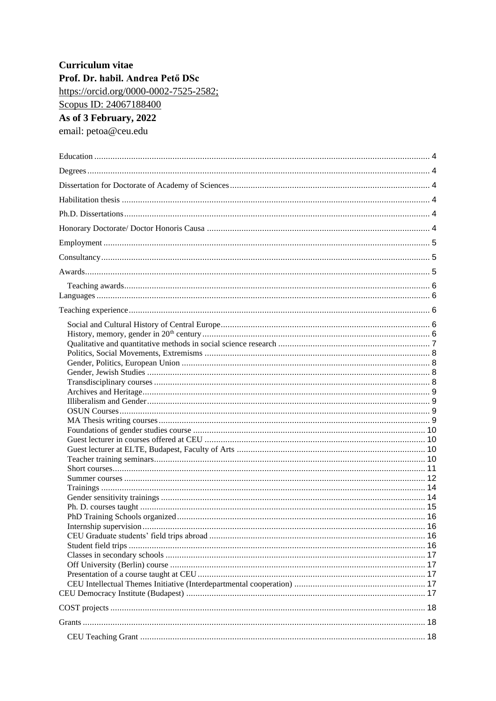# Curriculum vitae Prof. Dr. habil. Andrea Pető DSc https://orcid.org/0000-0002-7525-2582; Scopus ID: 24067188400 As of 3 February, 2022 email: petoa@ceu.edu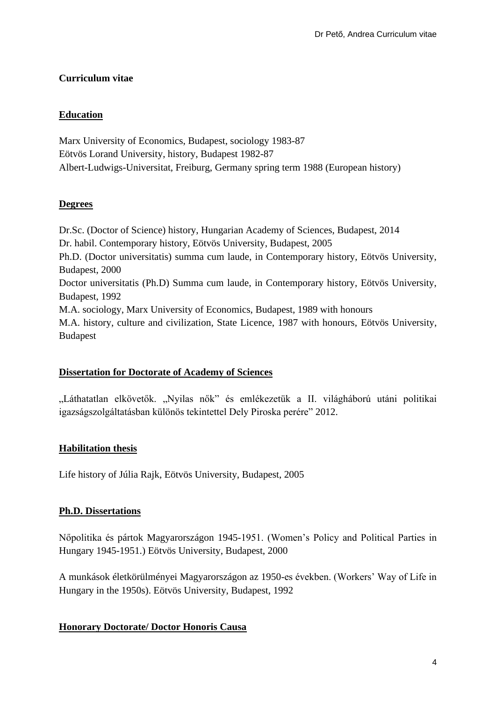# **Curriculum vitae**

# **Education**

Marx University of Economics, Budapest, sociology 1983-87 Eötvös Lorand University, history, Budapest 1982-87 Albert-Ludwigs-Universitat, Freiburg, Germany spring term 1988 (European history)

# **Degrees**

Dr.Sc. (Doctor of Science) history, Hungarian Academy of Sciences, Budapest, 2014 Dr. habil. Contemporary history, Eötvös University, Budapest, 2005 Ph.D. (Doctor universitatis) summa cum laude, in Contemporary history, Eötvös University, Budapest, 2000 Doctor universitatis (Ph.D) Summa cum laude, in Contemporary history, Eötvös University, Budapest, 1992 M.A. sociology, Marx University of Economics, Budapest, 1989 with honours M.A. history, culture and civilization, State Licence, 1987 with honours, Eötvös University, Budapest

# **Dissertation for Doctorate of Academy of Sciences**

"Láthatatlan elkövetők. "Nyilas nők" és emlékezetük a II. világháború utáni politikai igazságszolgáltatásban különös tekintettel Dely Piroska perére" 2012.

# **Habilitation thesis**

Life history of Júlia Rajk, Eötvös University, Budapest, 2005

#### **Ph.D. Dissertations**

Nőpolitika és pártok Magyarországon 1945-1951. (Women's Policy and Political Parties in Hungary 1945-1951.) Eötvös University, Budapest, 2000

A munkások életkörülményei Magyarországon az 1950-es években. (Workers' Way of Life in Hungary in the 1950s). Eötvös University, Budapest, 1992

# **Honorary Doctorate/ Doctor Honoris Causa**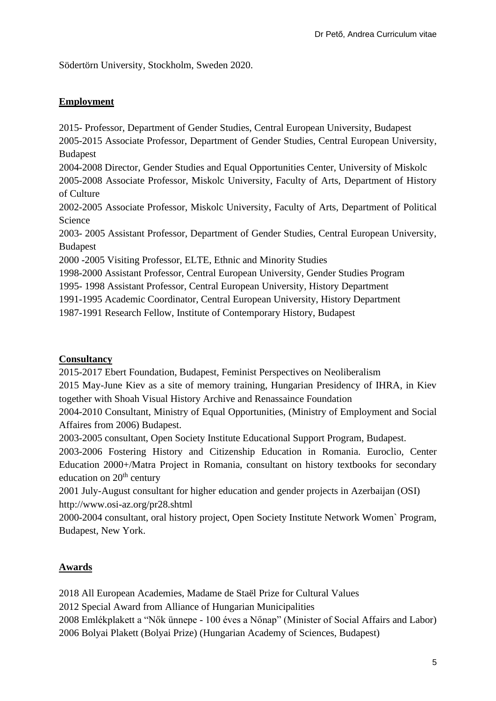Södertörn University, Stockholm, Sweden 2020.

# **Employment**

2015- Professor, Department of Gender Studies, Central European University, Budapest 2005-2015 Associate Professor, Department of Gender Studies, Central European University, Budapest

2004-2008 Director, Gender Studies and Equal Opportunities Center, University of Miskolc

2005-2008 Associate Professor, Miskolc University, Faculty of Arts, Department of History of Culture

2002-2005 Associate Professor, Miskolc University, Faculty of Arts, Department of Political Science

2003- 2005 Assistant Professor, Department of Gender Studies, Central European University, Budapest

2000 -2005 Visiting Professor, ELTE, Ethnic and Minority Studies

1998-2000 Assistant Professor, Central European University, Gender Studies Program

1995- 1998 Assistant Professor, Central European University, History Department

1991-1995 Academic Coordinator, Central European University, History Department

1987-1991 Research Fellow, Institute of Contemporary History, Budapest

# **Consultancy**

2015-2017 Ebert Foundation, Budapest, Feminist Perspectives on Neoliberalism

2015 May-June Kiev as a site of memory training, Hungarian Presidency of IHRA, in Kiev together with Shoah Visual History Archive and Renassaince Foundation

2004-2010 Consultant, Ministry of Equal Opportunities, (Ministry of Employment and Social Affaires from 2006) Budapest.

2003-2005 consultant, Open Society Institute Educational Support Program, Budapest.

2003-2006 Fostering History and Citizenship Education in Romania. Euroclio, Center Education 2000+/Matra Project in Romania, consultant on history textbooks for secondary education on  $20<sup>th</sup>$  century

2001 July-August consultant for higher education and gender projects in Azerbaijan (OSI) http://www.osi-az.org/pr28.shtml

2000-2004 consultant, oral history project, Open Society Institute Network Women` Program, Budapest, New York.

# **Awards**

2018 All European Academies, Madame de Staël Prize for Cultural Values 2012 Special Award from Alliance of Hungarian Municipalities 2008 Emlékplakett a "Nők ünnepe - 100 éves a Nőnap" (Minister of Social Affairs and Labor) 2006 Bolyai Plakett (Bolyai Prize) (Hungarian Academy of Sciences, Budapest)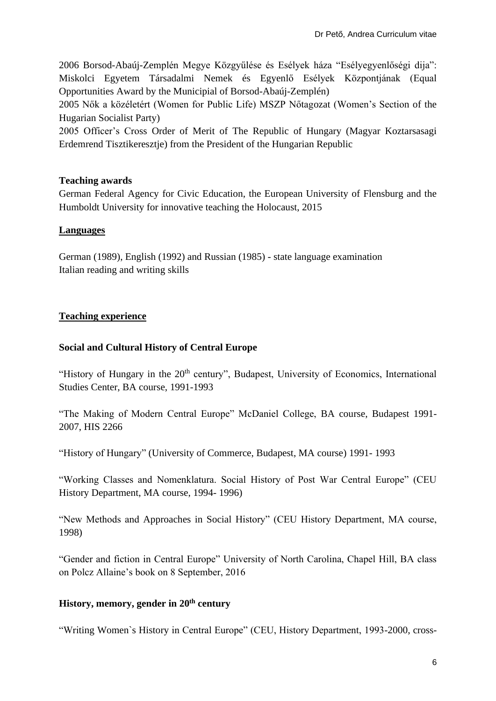2006 Borsod-Abaúj-Zemplén Megye Közgyűlése és Esélyek háza "Esélyegyenlőségi dija": Miskolci Egyetem Társadalmi Nemek és Egyenlő Esélyek Központjának (Equal Opportunities Award by the Municipial of Borsod-Abaúj-Zemplén)

2005 Nők a közéletért (Women for Public Life) MSZP Nőtagozat (Women's Section of the Hugarian Socialist Party)

2005 Officer's Cross Order of Merit of The Republic of Hungary (Magyar Koztarsasagi Erdemrend Tisztikeresztje) from the President of the Hungarian Republic

# **Teaching awards**

German Federal Agency for Civic Education, the European University of Flensburg and the Humboldt University for innovative teaching the Holocaust, 2015

## **Languages**

German (1989), English (1992) and Russian (1985) - state language examination Italian reading and writing skills

## **Teaching experience**

## **Social and Cultural History of Central Europe**

"History of Hungary in the 20<sup>th</sup> century", Budapest, University of Economics, International Studies Center, BA course, 1991-1993

"The Making of Modern Central Europe" McDaniel College, BA course, Budapest 1991- 2007, HIS 2266

"History of Hungary" (University of Commerce, Budapest, MA course) 1991- 1993

"Working Classes and Nomenklatura. Social History of Post War Central Europe" (CEU History Department, MA course, 1994- 1996)

"New Methods and Approaches in Social History" (CEU History Department, MA course, 1998)

"Gender and fiction in Central Europe" University of North Carolina, Chapel Hill, BA class on Polcz Allaine's book on 8 September, 2016

#### **History, memory, gender in 20th century**

"Writing Women`s History in Central Europe" (CEU, History Department, 1993-2000, cross-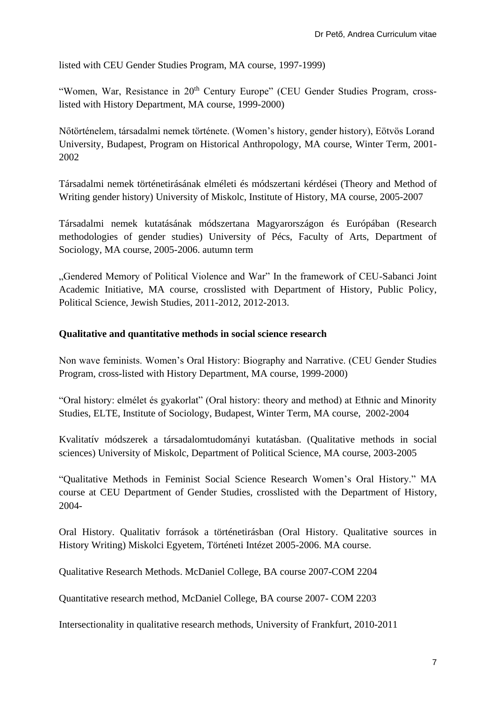listed with CEU Gender Studies Program, MA course, 1997-1999)

"Women, War, Resistance in 20<sup>th</sup> Century Europe" (CEU Gender Studies Program, crosslisted with History Department, MA course, 1999-2000)

Nőtörténelem, társadalmi nemek története. (Women's history, gender history), Eötvös Lorand University, Budapest, Program on Historical Anthropology, MA course, Winter Term, 2001- 2002

Társadalmi nemek történetirásának elméleti és módszertani kérdései (Theory and Method of Writing gender history) University of Miskolc, Institute of History, MA course, 2005-2007

Társadalmi nemek kutatásának módszertana Magyarországon és Európában (Research methodologies of gender studies) University of Pécs, Faculty of Arts, Department of Sociology, MA course, 2005-2006. autumn term

"Gendered Memory of Political Violence and War" In the framework of CEU-Sabanci Joint Academic Initiative, MA course, crosslisted with Department of History, Public Policy, Political Science, Jewish Studies, 2011-2012, 2012-2013.

#### **Qualitative and quantitative methods in social science research**

Non wave feminists. Women's Oral History: Biography and Narrative. (CEU Gender Studies Program, cross-listed with History Department, MA course, 1999-2000)

"Oral history: elmélet és gyakorlat" (Oral history: theory and method) at Ethnic and Minority Studies, ELTE, Institute of Sociology, Budapest, Winter Term, MA course, 2002-2004

Kvalitatív módszerek a társadalomtudományi kutatásban. (Qualitative methods in social sciences) University of Miskolc, Department of Political Science, MA course, 2003-2005

"Qualitative Methods in Feminist Social Science Research Women's Oral History." MA course at CEU Department of Gender Studies, crosslisted with the Department of History, 2004-

Oral History. Qualitativ források a történetirásban (Oral History. Qualitative sources in History Writing) Miskolci Egyetem, Történeti Intézet 2005-2006. MA course.

Qualitative Research Methods. McDaniel College, BA course 2007-COM 2204

Quantitative research method, McDaniel College, BA course 2007- COM 2203

Intersectionality in qualitative research methods, University of Frankfurt, 2010-2011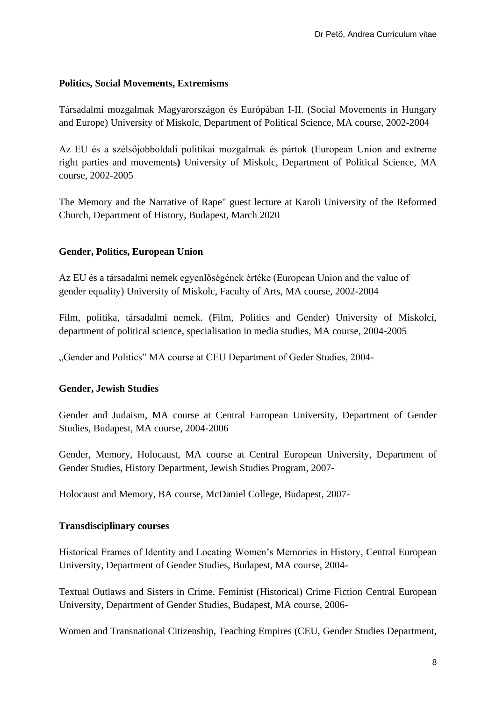#### **Politics, Social Movements, Extremisms**

Társadalmi mozgalmak Magyarországon és Európában I-II. (Social Movements in Hungary and Europe) University of Miskolc, Department of Political Science, MA course, 2002-2004

Az EU és a szélsőjobboldali politikai mozgalmak és pártok (European Union and extreme right parties and movements**)** University of Miskolc, Department of Political Science, MA course, 2002-2005

The Memory and the Narrative of Rape" guest lecture at Karoli University of the Reformed Church, Department of History, Budapest, March 2020

## **Gender, Politics, European Union**

Az EU és a társadalmi nemek egyenlőségének értéke (European Union and the value of gender equality) University of Miskolc, Faculty of Arts, MA course, 2002-2004

Film, politika, társadalmi nemek. (Film, Politics and Gender) University of Miskolci, department of political science, specialisation in media studies, MA course, 2004-2005

"Gender and Politics" MA course at CEU Department of Geder Studies, 2004-

#### **Gender, Jewish Studies**

Gender and Judaism, MA course at Central European University, Department of Gender Studies, Budapest, MA course, 2004-2006

Gender, Memory, Holocaust, MA course at Central European University, Department of Gender Studies, History Department, Jewish Studies Program, 2007-

Holocaust and Memory, BA course, McDaniel College, Budapest, 2007-

#### **Transdisciplinary courses**

Historical Frames of Identity and Locating Women's Memories in History, Central European University, Department of Gender Studies, Budapest, MA course, 2004-

Textual Outlaws and Sisters in Crime. Feminist (Historical) Crime Fiction Central European University, Department of Gender Studies, Budapest, MA course, 2006-

Women and Transnational Citizenship, Teaching Empires (CEU, Gender Studies Department,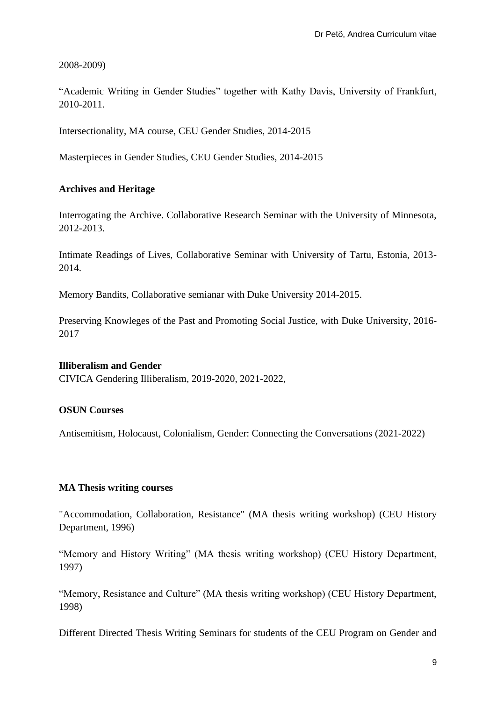2008-2009)

"Academic Writing in Gender Studies" together with Kathy Davis, University of Frankfurt, 2010-2011.

Intersectionality, MA course, CEU Gender Studies, 2014-2015

Masterpieces in Gender Studies, CEU Gender Studies, 2014-2015

## **Archives and Heritage**

Interrogating the Archive. Collaborative Research Seminar with the University of Minnesota, 2012-2013.

Intimate Readings of Lives, Collaborative Seminar with University of Tartu, Estonia, 2013- 2014.

Memory Bandits, Collaborative semianar with Duke University 2014-2015.

Preserving Knowleges of the Past and Promoting Social Justice, with Duke University, 2016- 2017

#### **Illiberalism and Gender**

CIVICA Gendering Illiberalism, 2019-2020, 2021-2022,

#### **OSUN Courses**

Antisemitism, Holocaust, Colonialism, Gender: Connecting the Conversations (2021-2022)

#### **MA Thesis writing courses**

"Accommodation, Collaboration, Resistance" (MA thesis writing workshop) (CEU History Department, 1996)

"Memory and History Writing" (MA thesis writing workshop) (CEU History Department, 1997)

"Memory, Resistance and Culture" (MA thesis writing workshop) (CEU History Department, 1998)

Different Directed Thesis Writing Seminars for students of the CEU Program on Gender and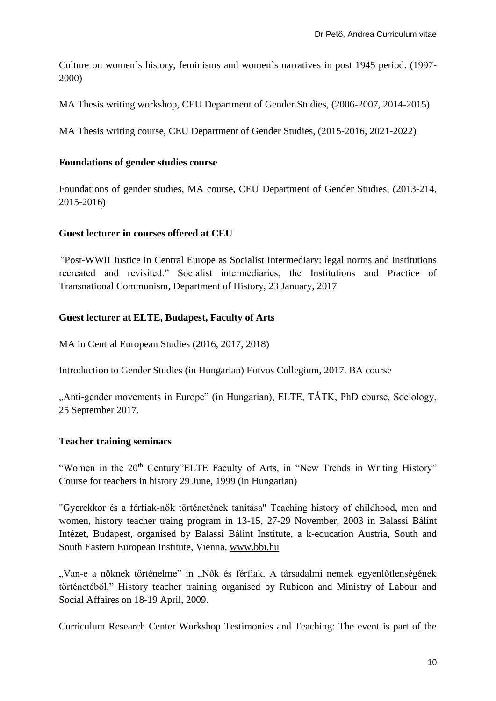Culture on women`s history, feminisms and women`s narratives in post 1945 period. (1997- 2000)

MA Thesis writing workshop, CEU Department of Gender Studies, (2006-2007, 2014-2015)

MA Thesis writing course, CEU Department of Gender Studies, (2015-2016, 2021-2022)

#### **Foundations of gender studies course**

Foundations of gender studies, MA course, CEU Department of Gender Studies, (2013-214, 2015-2016)

## **Guest lecturer in courses offered at CEU**

*"*Post-WWII Justice in Central Europe as Socialist Intermediary: legal norms and institutions recreated and revisited." Socialist intermediaries, the Institutions and Practice of Transnational Communism, Department of History, 23 January, 2017

# **Guest lecturer at ELTE, Budapest, Faculty of Arts**

MA in Central European Studies (2016, 2017, 2018)

Introduction to Gender Studies (in Hungarian) Eotvos Collegium, 2017. BA course

"Anti-gender movements in Europe" (in Hungarian), ELTE, TÁTK, PhD course, Sociology, 25 September 2017.

# **Teacher training seminars**

"Women in the 20<sup>th</sup> Century"ELTE Faculty of Arts, in "New Trends in Writing History" Course for teachers in history 29 June, 1999 (in Hungarian)

"Gyerekkor és a férfiak-nők történetének tanítása" Teaching history of childhood, men and women, history teacher traing program in 13-15, 27-29 November, 2003 in Balassi Bálint Intézet, Budapest, organised by Balassi Bálint Institute, a k-education Austria, South and South Eastern European Institute, Vienna, [www.bbi.hu](http://www.bbi.hu/almenuk.php?r=1#11)

"Van-e a nőknek történelme" in "Nők és férfiak. A társadalmi nemek egyenlőtlenségének történetéből," History teacher training organised by Rubicon and Ministry of Labour and Social Affaires on 18-19 April, 2009.

Curriculum Research Center Workshop Testimonies and Teaching: The event is part of the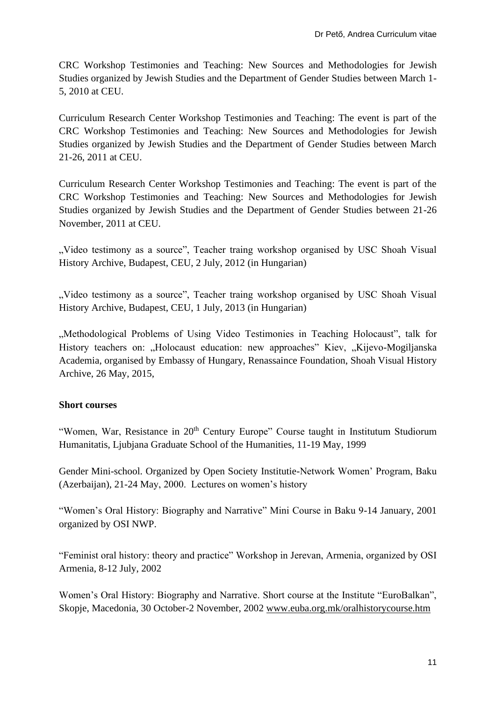CRC Workshop Testimonies and Teaching: New Sources and Methodologies for Jewish Studies organized by Jewish Studies and the Department of Gender Studies between March 1- 5, 2010 at CEU.

Curriculum Research Center Workshop Testimonies and Teaching: The event is part of the CRC Workshop Testimonies and Teaching: New Sources and Methodologies for Jewish Studies organized by Jewish Studies and the Department of Gender Studies between March 21-26, 2011 at CEU.

Curriculum Research Center Workshop Testimonies and Teaching: The event is part of the CRC Workshop Testimonies and Teaching: New Sources and Methodologies for Jewish Studies organized by Jewish Studies and the Department of Gender Studies between 21-26 November, 2011 at CEU.

, Video testimony as a source", Teacher traing workshop organised by USC Shoah Visual History Archive, Budapest, CEU, 2 July, 2012 (in Hungarian)

", Video testimony as a source", Teacher traing workshop organised by USC Shoah Visual History Archive, Budapest, CEU, 1 July, 2013 (in Hungarian)

...Methodological Problems of Using Video Testimonies in Teaching Holocaust", talk for History teachers on: "Holocaust education: new approaches" Kiev, "Kijevo-Mogiljanska Academia, organised by Embassy of Hungary, Renassaince Foundation, Shoah Visual History Archive, 26 May, 2015,

# **Short courses**

"Women, War, Resistance in 20<sup>th</sup> Century Europe" Course taught in Institutum Studiorum Humanitatis, Ljubjana Graduate School of the Humanities, 11-19 May, 1999

Gender Mini-school. Organized by Open Society Institutie-Network Women' Program, Baku (Azerbaijan), 21-24 May, 2000. Lectures on women's history

"Women's Oral History: Biography and Narrative" Mini Course in Baku 9-14 January, 2001 organized by OSI NWP.

"Feminist oral history: theory and practice" Workshop in Jerevan, Armenia, organized by OSI Armenia, 8-12 July, 2002

Women's Oral History: Biography and Narrative. Short course at the Institute "EuroBalkan", Skopje, Macedonia, 30 October-2 November, 2002 [www.euba.org.mk/oralhistorycourse.htm](http://www.euba.org.mk/oralhistorycourse.htm)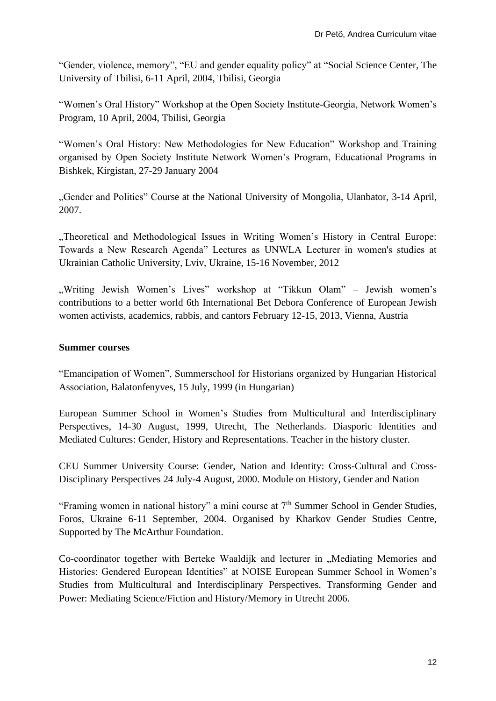"Gender, violence, memory", "EU and gender equality policy" at "Social Science Center, The University of Tbilisi, 6-11 April, 2004, Tbilisi, Georgia

"Women's Oral History" Workshop at the Open Society Institute-Georgia, Network Women's Program, 10 April, 2004, Tbilisi, Georgia

"Women's Oral History: New Methodologies for New Education" Workshop and Training organised by Open Society Institute Network Women's Program, Educational Programs in Bishkek, Kirgistan, 27-29 January 2004

"Gender and Politics" Course at the National University of Mongolia, Ulanbator, 3-14 April, 2007.

"Theoretical and Methodological Issues in Writing Women's History in Central Europe: Towards a New Research Agenda" Lectures as UNWLA Lecturer in women's studies at Ukrainian Catholic University, Lviv, Ukraine, 15-16 November, 2012

"Writing Jewish Women's Lives" workshop at "Tikkun Olam" – Jewish women's contributions to a better world 6th International Bet Debora Conference of European Jewish women activists, academics, rabbis, and cantors February 12-15, 2013, Vienna, Austria

#### **Summer courses**

"Emancipation of Women", Summerschool for Historians organized by Hungarian Historical Association, Balatonfenyves, 15 July, 1999 (in Hungarian)

European Summer School in Women's Studies from Multicultural and Interdisciplinary Perspectives, 14-30 August, 1999, Utrecht, The Netherlands. Diasporic Identities and Mediated Cultures: Gender, History and Representations. Teacher in the history cluster.

CEU Summer University Course: Gender, Nation and Identity: Cross-Cultural and Cross-Disciplinary Perspectives 24 July-4 August, 2000. Module on History, Gender and Nation

"Framing women in national history" a mini course at  $7<sup>th</sup>$  Summer School in Gender Studies, Foros, Ukraine 6-11 September, 2004. Organised by Kharkov Gender Studies Centre, Supported by The McArthur Foundation.

Co-coordinator together with Berteke Waaldijk and lecturer in "Mediating Memories and Histories: Gendered European Identities" at NOISE European Summer School in Women's Studies from Multicultural and Interdisciplinary Perspectives. Transforming Gender and Power: Mediating Science/Fiction and History/Memory in Utrecht 2006.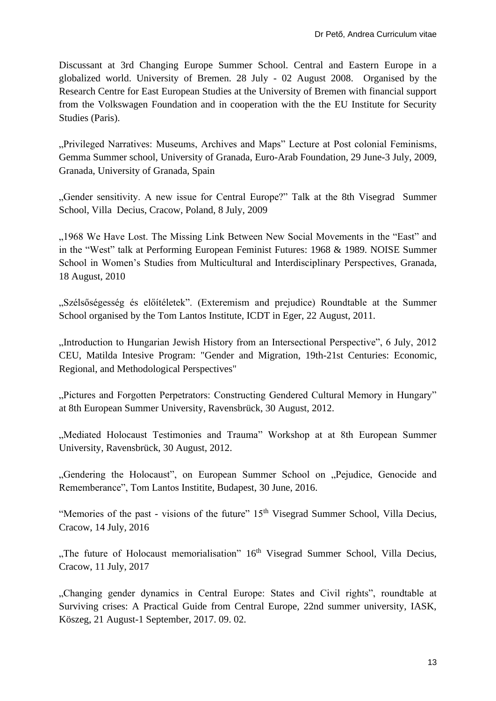Discussant at 3rd Changing Europe Summer School. Central and Eastern Europe in a globalized world. University of Bremen. 28 July - 02 August 2008. Organised by the Research Centre for East European Studies at the University of Bremen with financial support from the Volkswagen Foundation and in cooperation with the the EU Institute for Security Studies (Paris).

..Privileged Narratives: Museums, Archives and Maps" Lecture at Post colonial Feminisms, Gemma Summer school, University of Granada, Euro-Arab Foundation, 29 June-3 July, 2009, Granada, University of Granada, Spain

"Gender sensitivity. A new issue for Central Europe?" Talk at the 8th Visegrad Summer School, Villa Decius, Cracow, Poland, 8 July, 2009

"1968 We Have Lost. The Missing Link Between New Social Movements in the "East" and in the "West" talk at Performing European Feminist Futures: 1968 & 1989. NOISE Summer School in Women's Studies from Multicultural and Interdisciplinary Perspectives, Granada, 18 August, 2010

"Szélsőségesség és előítéletek". (Exteremism and prejudice) Roundtable at the Summer School organised by the Tom Lantos Institute, ICDT in Eger, 22 August, 2011.

"Introduction to Hungarian Jewish History from an Intersectional Perspective", 6 July, 2012 CEU, Matilda Intesive Program: "Gender and Migration, 19th-21st Centuries: Economic, Regional, and Methodological Perspectives"

"Pictures and Forgotten Perpetrators: Constructing Gendered Cultural Memory in Hungary" at 8th European Summer University, Ravensbrück, 30 August, 2012.

"Mediated Holocaust Testimonies and Trauma" Workshop at at 8th European Summer University, Ravensbrück, 30 August, 2012.

"Gendering the Holocaust", on European Summer School on "Pejudice, Genocide and Rememberance", Tom Lantos Institite, Budapest, 30 June, 2016.

"Memories of the past - visions of the future" 15<sup>th</sup> Visegrad Summer School, Villa Decius, Cracow, 14 July, 2016

"The future of Holocaust memorialisation" 16<sup>th</sup> Visegrad Summer School, Villa Decius, Cracow, 11 July, 2017

"Changing gender dynamics in Central Europe: States and Civil rights", roundtable at Surviving crises: A Practical Guide from Central Europe, 22nd summer university, IASK, Köszeg, 21 August-1 September, 2017. 09. 02.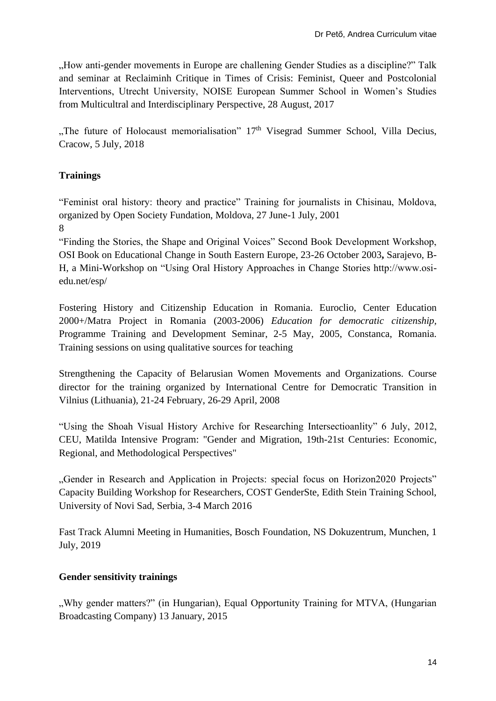"How anti-gender movements in Europe are challening Gender Studies as a discipline?" Talk and seminar at Reclaiminh Critique in Times of Crisis: Feminist, Queer and Postcolonial Interventions, Utrecht University, NOISE European Summer School in Women's Studies from Multicultral and Interdisciplinary Perspective, 28 August, 2017

"The future of Holocaust memorialisation" 17<sup>th</sup> Visegrad Summer School, Villa Decius, Cracow, 5 July, 2018

# **Trainings**

"Feminist oral history: theory and practice" Training for journalists in Chisinau, Moldova, organized by Open Society Fundation, Moldova, 27 June-1 July, 2001

8

"Finding the Stories, the Shape and Original Voices" Second Book Development Workshop, OSI Book on Educational Change in South Eastern Europe, 23-26 October 2003**,** Sarajevo, B-H, a Mini-Workshop on "Using Oral History Approaches in Change Stories http://www.osiedu.net/esp/

Fostering History and Citizenship Education in Romania. Euroclio, Center Education 2000+/Matra Project in Romania (2003-2006) *Education for democratic citizenship,*  Programme Training and Development Seminar, 2-5 May, 2005, Constanca, Romania. Training sessions on using qualitative sources for teaching

Strengthening the Capacity of Belarusian Women Movements and Organizations. Course director for the training organized by International Centre for Democratic Transition in Vilnius (Lithuania), 21-24 February, 26-29 April, 2008

"Using the Shoah Visual History Archive for Researching Intersectioanlity" 6 July, 2012, CEU, Matilda Intensive Program: "Gender and Migration, 19th-21st Centuries: Economic, Regional, and Methodological Perspectives"

"Gender in Research and Application in Projects: special focus on Horizon2020 Projects" Capacity Building Workshop for Researchers, COST GenderSte, Edith Stein Training School, University of Novi Sad, Serbia, 3-4 March 2016

Fast Track Alumni Meeting in Humanities, Bosch Foundation, NS Dokuzentrum, Munchen, 1 July, 2019

# **Gender sensitivity trainings**

"Why gender matters?" (in Hungarian), Equal Opportunity Training for MTVA, (Hungarian Broadcasting Company) 13 January, 2015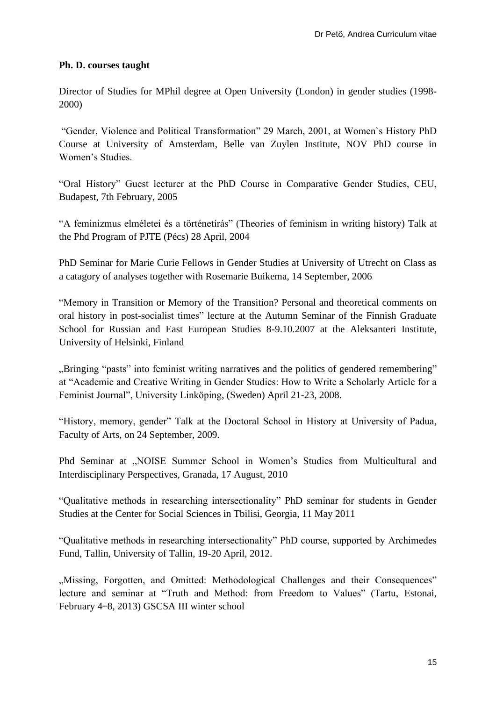#### **Ph. D. courses taught**

Director of Studies for MPhil degree at Open University (London) in gender studies (1998- 2000)

"Gender, Violence and Political Transformation" 29 March, 2001, at Women`s History PhD Course at University of Amsterdam, Belle van Zuylen Institute, NOV PhD course in Women's Studies.

"Oral History" Guest lecturer at the PhD Course in Comparative Gender Studies, CEU, Budapest, 7th February, 2005

"A feminizmus elméletei és a történetírás" (Theories of feminism in writing history) Talk at the Phd Program of PJTE (Pécs) 28 April, 2004

PhD Seminar for Marie Curie Fellows in Gender Studies at University of Utrecht on Class as a catagory of analyses together with Rosemarie Buikema, 14 September, 2006

"Memory in Transition or Memory of the Transition? Personal and theoretical comments on oral history in post-socialist times" lecture at the Autumn Seminar of the Finnish Graduate School for Russian and East European Studies 8-9.10.2007 at the Aleksanteri Institute, University of Helsinki, Finland

"Bringing "pasts" into feminist writing narratives and the politics of gendered remembering" at "Academic and Creative Writing in Gender Studies: How to Write a Scholarly Article for a Feminist Journal", University Linköping, (Sweden) April 21-23, 2008.

"History, memory, gender" Talk at the Doctoral School in History at University of Padua, Faculty of Arts, on 24 September, 2009.

Phd Seminar at "NOISE Summer School in Women's Studies from Multicultural and Interdisciplinary Perspectives, Granada, 17 August, 2010

"Qualitative methods in researching intersectionality" PhD seminar for students in Gender Studies at the Center for Social Sciences in Tbilisi, Georgia, 11 May 2011

"Qualitative methods in researching intersectionality" PhD course, supported by Archimedes Fund, Tallin, University of Tallin, 19-20 April, 2012.

"Missing, Forgotten, and Omitted: Methodological Challenges and their Consequences" lecture and seminar at "Truth and Method: from Freedom to Values" (Tartu, Estonai, February 4–8, 2013) GSCSA III winter school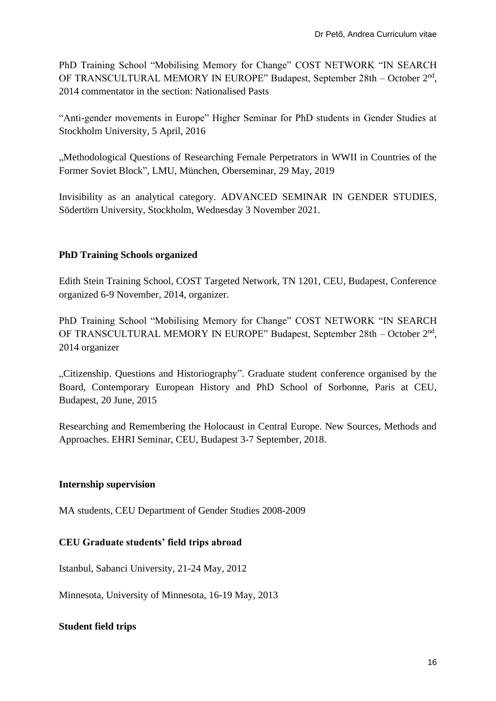PhD Training School "Mobilising Memory for Change" COST NETWORK "IN SEARCH OF TRANSCULTURAL MEMORY IN EUROPE" Budapest, September 28th - October 2<sup>nd</sup>, 2014 commentator in the section: Nationalised Pasts

"Anti-gender movements in Europe" Higher Seminar for PhD students in Gender Studies at Stockholm University, 5 April, 2016

"Methodological Questions of Researching Female Perpetrators in WWII in Countries of the Former Soviet Block", LMU, München, Oberseminar, 29 May, 2019

Invisibility as an analytical category. ADVANCED SEMINAR IN GENDER STUDIES, Södertörn University, Stockholm, Wednesday 3 November 2021.

# **PhD Training Schools organized**

Edith Stein Training School, COST Targeted Network, TN 1201, CEU, Budapest, Conference organized 6-9 November, 2014, organizer.

PhD Training School "Mobilising Memory for Change" COST NETWORK "IN SEARCH OF TRANSCULTURAL MEMORY IN EUROPE" Budapest, September 28th - October 2<sup>nd</sup>, 2014 organizer

"Citizenship. Questions and Historiography". Graduate student conference organised by the Board, Contemporary European History and PhD School of Sorbonne, Paris at CEU, Budapest, 20 June, 2015

Researching and Remembering the Holocaust in Central Europe. New Sources, Methods and Approaches. EHRI Seminar, CEU, Budapest 3-7 September, 2018.

# **Internship supervision**

MA students, CEU Department of Gender Studies 2008-2009

# **CEU Graduate students' field trips abroad**

Istanbul, Sabanci University, 21-24 May, 2012

Minnesota, University of Minnesota, 16-19 May, 2013

# **Student field trips**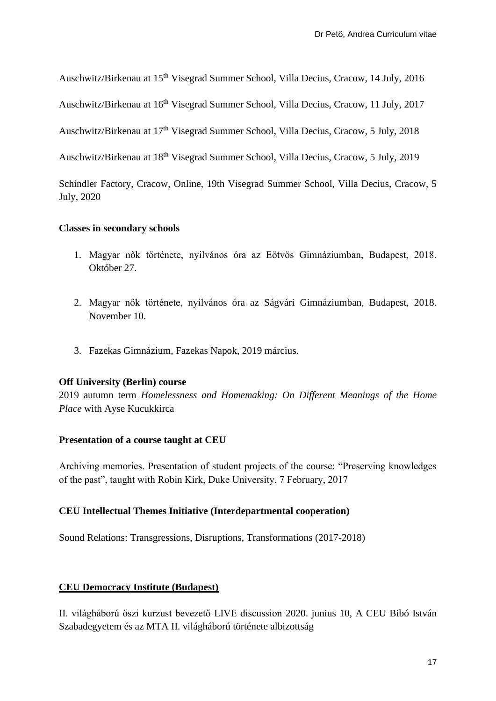Auschwitz/Birkenau at 15<sup>th</sup> Visegrad Summer School, Villa Decius, Cracow, 14 July, 2016

Auschwitz/Birkenau at 16<sup>th</sup> Visegrad Summer School, Villa Decius, Cracow, 11 July, 2017

Auschwitz/Birkenau at 17<sup>th</sup> Visegrad Summer School, Villa Decius, Cracow, 5 July, 2018

Auschwitz/Birkenau at 18<sup>th</sup> Visegrad Summer School, Villa Decius, Cracow, 5 July, 2019

Schindler Factory, Cracow, Online, 19th Visegrad Summer School, Villa Decius, Cracow, 5 July, 2020

#### **Classes in secondary schools**

- 1. Magyar nők története, nyilvános óra az Eötvös Gimnáziumban, Budapest, 2018. Október 27.
- 2. Magyar nők története, nyilvános óra az Ságvári Gimnáziumban, Budapest, 2018. November 10.
- 3. Fazekas Gimnázium, Fazekas Napok, 2019 március.

#### **Off University (Berlin) course**

2019 autumn term *Homelessness and Homemaking: On Different Meanings of the Home Place* with Ayse Kucukkirca

#### **Presentation of a course taught at CEU**

Archiving memories. Presentation of student projects of the course: "Preserving knowledges of the past", taught with Robin Kirk, Duke University, 7 February, 2017

#### **CEU Intellectual Themes Initiative (Interdepartmental cooperation)**

Sound Relations: Transgressions, Disruptions, Transformations (2017-2018)

#### **CEU Democracy Institute (Budapest)**

[II. világháború őszi kurzust bevezető LIVE discussion](https://www.academia.edu/43246356/Online_A_II_vil%C3%A1gh%C3%A1bor%C3%BA_%C5%91szi_kurzust_bevezet%C5%91_LIVE_besz%C3%A9lget%C3%A9s_2020_junius_10) 2020. junius 10, A CEU Bibó István Szabadegyetem és az MTA II. világháború története albizottság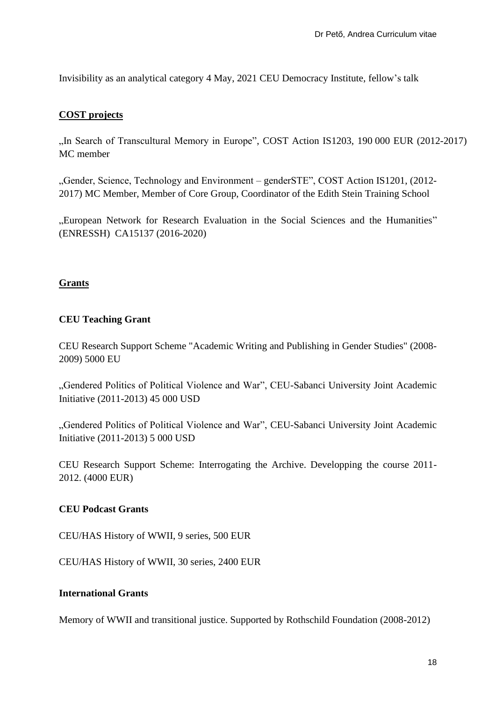Invisibility as an analytical category 4 May, 2021 CEU Democracy Institute, fellow's talk

#### **COST projects**

"In Search of Transcultural Memory in Europe", COST Action IS1203, 190 000 EUR (2012-2017) MC member

"Gender, Science, Technology and Environment – genderSTE", COST Action IS1201, (2012-2017) MC Member, Member of Core Group, Coordinator of the Edith Stein Training School

"European Network for Research Evaluation in the Social Sciences and the Humanities" (ENRESSH) CA15137 (2016-2020)

## **Grants**

## **CEU Teaching Grant**

CEU Research Support Scheme "Academic Writing and Publishing in Gender Studies" (2008- 2009) 5000 EU

"Gendered Politics of Political Violence and War", CEU-Sabanci University Joint Academic Initiative (2011-2013) 45 000 USD

"Gendered Politics of Political Violence and War", CEU-Sabanci University Joint Academic Initiative (2011-2013) 5 000 USD

CEU Research Support Scheme: Interrogating the Archive. Developping the course 2011- 2012. (4000 EUR)

#### **CEU Podcast Grants**

CEU/HAS History of WWII, 9 series, 500 EUR

CEU/HAS History of WWII, 30 series, 2400 EUR

#### **International Grants**

Memory of WWII and transitional justice. Supported by Rothschild Foundation (2008-2012)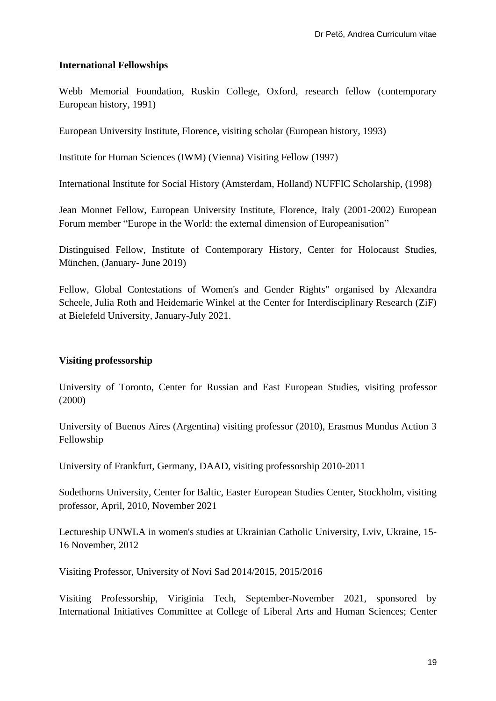## **International Fellowships**

Webb Memorial Foundation, Ruskin College, Oxford, research fellow (contemporary European history, 1991)

European University Institute, Florence, visiting scholar (European history, 1993)

Institute for Human Sciences (IWM) (Vienna) Visiting Fellow (1997)

International Institute for Social History (Amsterdam, Holland) NUFFIC Scholarship, (1998)

Jean Monnet Fellow, European University Institute, Florence, Italy (2001-2002) European Forum member "Europe in the World: the external dimension of Europeanisation"

Distinguised Fellow, Institute of Contemporary History, Center for Holocaust Studies, München, (January- June 2019)

Fellow, Global Contestations of Women's and Gender Rights" organised by Alexandra Scheele, Julia Roth and Heidemarie Winkel at the Center for Interdisciplinary Research (ZiF) at Bielefeld University, January-July 2021.

# **Visiting professorship**

University of Toronto, Center for Russian and East European Studies, visiting professor (2000)

University of Buenos Aires (Argentina) visiting professor (2010), Erasmus Mundus Action 3 Fellowship

University of Frankfurt, Germany, DAAD, visiting professorship 2010-2011

Sodethorns University, Center for Baltic, Easter European Studies Center, Stockholm, visiting professor, April, 2010, November 2021

Lectureship UNWLA in women's studies at Ukrainian Catholic University, Lviv, Ukraine, 15- 16 November, 2012

Visiting Professor, University of Novi Sad 2014/2015, 2015/2016

Visiting Professorship, Viriginia Tech, September-November 2021, sponsored by International Initiatives Committee at College of Liberal Arts and Human Sciences; Center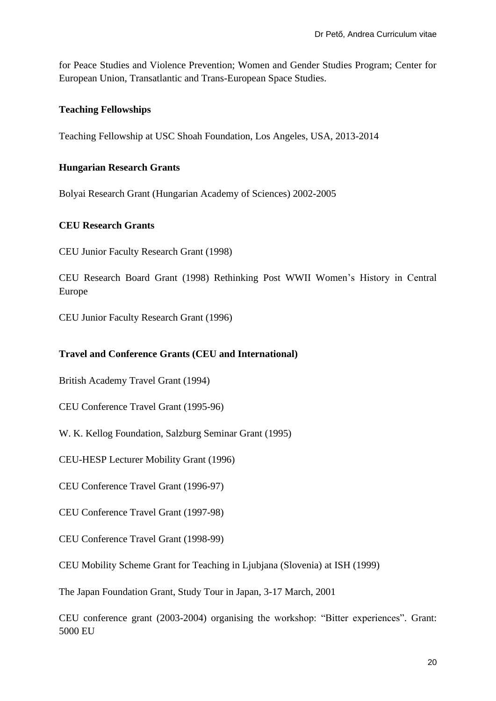for Peace Studies and Violence Prevention; Women and Gender Studies Program; Center for European Union, Transatlantic and Trans-European Space Studies.

# **Teaching Fellowships**

Teaching Fellowship at USC Shoah Foundation, Los Angeles, USA, 2013-2014

#### **Hungarian Research Grants**

Bolyai Research Grant (Hungarian Academy of Sciences) 2002-2005

#### **CEU Research Grants**

CEU Junior Faculty Research Grant (1998)

CEU Research Board Grant (1998) Rethinking Post WWII Women's History in Central Europe

CEU Junior Faculty Research Grant (1996)

#### **Travel and Conference Grants (CEU and International)**

British Academy Travel Grant (1994)

CEU Conference Travel Grant (1995-96)

W. K. Kellog Foundation, Salzburg Seminar Grant (1995)

CEU-HESP Lecturer Mobility Grant (1996)

CEU Conference Travel Grant (1996-97)

CEU Conference Travel Grant (1997-98)

CEU Conference Travel Grant (1998-99)

CEU Mobility Scheme Grant for Teaching in Ljubjana (Slovenia) at ISH (1999)

The Japan Foundation Grant, Study Tour in Japan, 3-17 March, 2001

CEU conference grant (2003-2004) organising the workshop: "Bitter experiences". Grant: 5000 EU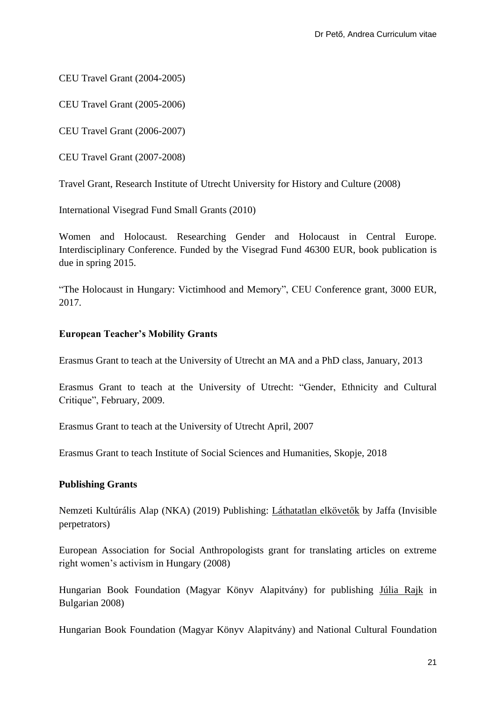CEU Travel Grant (2004-2005)

CEU Travel Grant (2005-2006)

CEU Travel Grant (2006-2007)

CEU Travel Grant (2007-2008)

Travel Grant, Research Institute of Utrecht University for History and Culture (2008)

International Visegrad Fund Small Grants (2010)

Women and Holocaust. Researching Gender and Holocaust in Central Europe. Interdisciplinary Conference. Funded by the Visegrad Fund 46300 EUR, book publication is due in spring 2015.

"The Holocaust in Hungary: Victimhood and Memory", CEU Conference grant, 3000 EUR, 2017.

#### **European Teacher's Mobility Grants**

Erasmus Grant to teach at the University of Utrecht an MA and a PhD class, January, 2013

Erasmus Grant to teach at the University of Utrecht: "Gender, Ethnicity and Cultural Critique", February, 2009.

Erasmus Grant to teach at the University of Utrecht April, 2007

Erasmus Grant to teach Institute of Social Sciences and Humanities, Skopje, 2018

#### **Publishing Grants**

Nemzeti Kultúrális Alap (NKA) (2019) Publishing: Láthatatlan elkövetők by Jaffa (Invisible perpetrators)

European Association for Social Anthropologists grant for translating articles on extreme right women's activism in Hungary (2008)

Hungarian Book Foundation (Magyar Könyv Alapitvány) for publishing Júlia Rajk in Bulgarian 2008)

Hungarian Book Foundation (Magyar Könyv Alapitvány) and National Cultural Foundation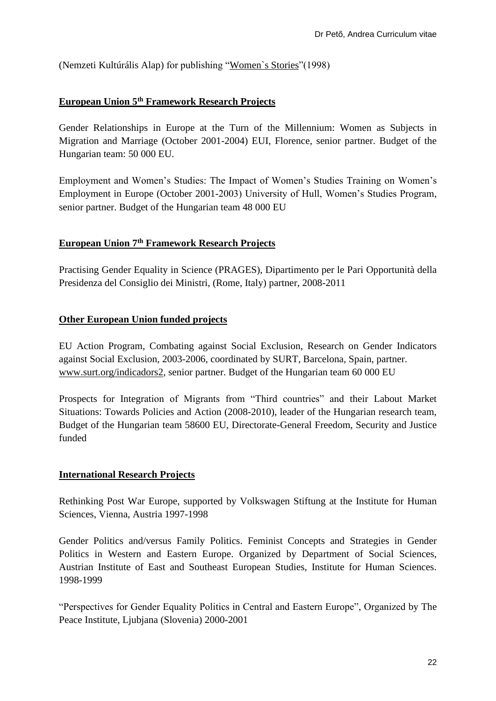(Nemzeti Kultúrális Alap) for publishing "Women`s Stories"(1998)

## **European Union 5th Framework Research Projects**

Gender Relationships in Europe at the Turn of the Millennium: Women as Subjects in Migration and Marriage (October 2001-2004) EUI, Florence, senior partner. Budget of the Hungarian team: 50 000 EU.

Employment and Women's Studies: The Impact of Women's Studies Training on Women's Employment in Europe (October 2001-2003) University of Hull, Women's Studies Program, senior partner. Budget of the Hungarian team 48 000 EU

# **European Union 7th Framework Research Projects**

Practising Gender Equality in Science (PRAGES), Dipartimento per le Pari Opportunità della Presidenza del Consiglio dei Ministri, (Rome, Italy) partner, 2008-2011

#### **Other European Union funded projects**

EU Action Program, Combating against Social Exclusion, Research on Gender Indicators against Social Exclusion, 2003-2006, coordinated by SURT, Barcelona, Spain, partner. [www.surt.org/indicadors2,](http://www.surt.org/indicadors2) senior partner. Budget of the Hungarian team 60 000 EU

Prospects for Integration of Migrants from "Third countries" and their Labout Market Situations: Towards Policies and Action (2008-2010), leader of the Hungarian research team, Budget of the Hungarian team 58600 EU, Directorate-General Freedom, Security and Justice funded

#### **International Research Projects**

Rethinking Post War Europe, supported by Volkswagen Stiftung at the Institute for Human Sciences, Vienna, Austria 1997-1998

Gender Politics and/versus Family Politics. Feminist Concepts and Strategies in Gender Politics in Western and Eastern Europe. Organized by Department of Social Sciences, Austrian Institute of East and Southeast European Studies, Institute for Human Sciences. 1998-1999

"Perspectives for Gender Equality Politics in Central and Eastern Europe", Organized by The Peace Institute, Ljubjana (Slovenia) 2000-2001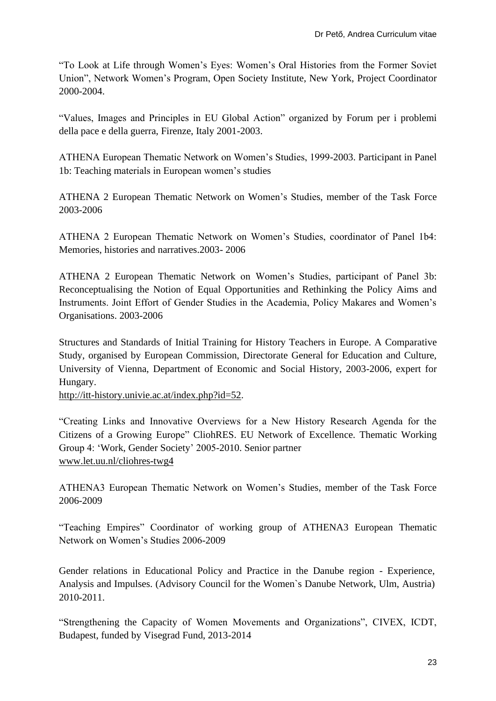"To Look at Life through Women's Eyes: Women's Oral Histories from the Former Soviet Union", Network Women's Program, Open Society Institute, New York, Project Coordinator 2000-2004.

"Values, Images and Principles in EU Global Action" organized by Forum per i problemi della pace e della guerra, Firenze, Italy 2001-2003.

ATHENA European Thematic Network on Women's Studies, 1999-2003. Participant in Panel 1b: Teaching materials in European women's studies

ATHENA 2 European Thematic Network on Women's Studies, member of the Task Force 2003-2006

ATHENA 2 European Thematic Network on Women's Studies, coordinator of Panel 1b4: Memories, histories and narratives.2003- 2006

ATHENA 2 European Thematic Network on Women's Studies, participant of Panel 3b: Reconceptualising the Notion of Equal Opportunities and Rethinking the Policy Aims and Instruments. Joint Effort of Gender Studies in the Academia, Policy Makares and Women's Organisations. 2003-2006

Structures and Standards of Initial Training for History Teachers in Europe. A Comparative Study, organised by European Commission, Directorate General for Education and Culture, University of Vienna, Department of Economic and Social History, 2003-2006, expert for Hungary.

[http://itt-history.univie.ac.at/index.php?id=52.](http://itt-history.univie.ac.at/index.php?id=52)

"Creating Links and Innovative Overviews for a New History Research Agenda for the Citizens of a Growing Europe" CliohRES. EU Network of Excellence. Thematic Working Group 4: 'Work, Gender Society' 2005-2010. Senior partner [www.let.uu.nl/cliohres-twg4](http://www.let.uu.nl/cliohres-twg4)

ATHENA3 European Thematic Network on Women's Studies, member of the Task Force 2006-2009

"Teaching Empires" Coordinator of working group of ATHENA3 European Thematic Network on Women's Studies 2006-2009

Gender relations in Educational Policy and Practice in the Danube region - Experience, Analysis and Impulses. (Advisory Council for the Women`s Danube Network, Ulm, Austria) 2010-2011.

"Strengthening the Capacity of Women Movements and Organizations", CIVEX, ICDT, Budapest, funded by Visegrad Fund, 2013-2014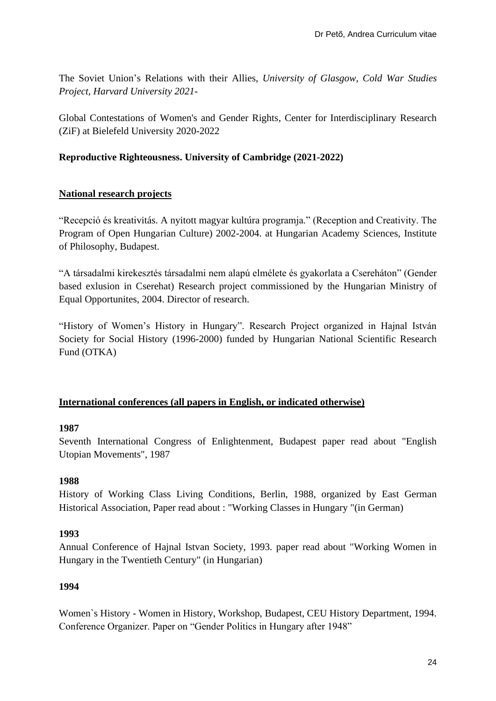The Soviet Union's Relations with their Allies, *University of Glasgow*, *Cold War Studies Project, Harvard University 2021-*

Global Contestations of Women's and Gender Rights, Center for Interdisciplinary Research (ZiF) at Bielefeld University 2020-2022

# **Reproductive Righteousness. University of Cambridge (2021-2022)**

#### **National research projects**

"Recepció és kreativitás. A nyitott magyar kultúra programja." (Reception and Creativity. The Program of Open Hungarian Culture) 2002-2004. at Hungarian Academy Sciences, Institute of Philosophy, Budapest.

"A társadalmi kirekesztés társadalmi nem alapú elmélete és gyakorlata a Csereháton" (Gender based exlusion in Cserehat) Research project commissioned by the Hungarian Ministry of Equal Opportunites, 2004. Director of research.

"History of Women's History in Hungary". Research Project organized in Hajnal István Society for Social History (1996-2000) funded by Hungarian National Scientific Research Fund (OTKA)

#### **International conferences (all papers in English, or indicated otherwise)**

#### **1987**

Seventh International Congress of Enlightenment, Budapest paper read about "English Utopian Movements", 1987

# **1988**

History of Working Class Living Conditions, Berlin, 1988, organized by East German Historical Association, Paper read about : "Working Classes in Hungary "(in German)

# **1993**

Annual Conference of Hajnal Istvan Society, 1993. paper read about "Working Women in Hungary in the Twentieth Century" (in Hungarian)

#### **1994**

Women`s History - Women in History, Workshop, Budapest, CEU History Department, 1994. Conference Organizer. Paper on "Gender Politics in Hungary after 1948"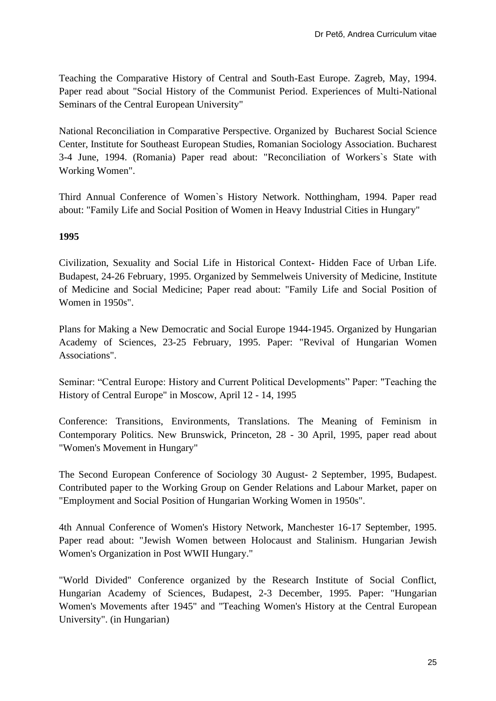Teaching the Comparative History of Central and South-East Europe. Zagreb, May, 1994. Paper read about "Social History of the Communist Period. Experiences of Multi-National Seminars of the Central European University"

National Reconciliation in Comparative Perspective. Organized by Bucharest Social Science Center, Institute for Southeast European Studies, Romanian Sociology Association. Bucharest 3-4 June, 1994. (Romania) Paper read about: "Reconciliation of Workers`s State with Working Women".

Third Annual Conference of Women`s History Network. Notthingham, 1994. Paper read about: "Family Life and Social Position of Women in Heavy Industrial Cities in Hungary"

## **1995**

Civilization, Sexuality and Social Life in Historical Context- Hidden Face of Urban Life. Budapest, 24-26 February, 1995. Organized by Semmelweis University of Medicine, Institute of Medicine and Social Medicine; Paper read about: "Family Life and Social Position of Women in 1950s".

Plans for Making a New Democratic and Social Europe 1944-1945. Organized by Hungarian Academy of Sciences, 23-25 February, 1995. Paper: "Revival of Hungarian Women Associations".

Seminar: "Central Europe: History and Current Political Developments" Paper: "Teaching the History of Central Europe" in Moscow, April 12 - 14, 1995

Conference: Transitions, Environments, Translations. The Meaning of Feminism in Contemporary Politics. New Brunswick, Princeton, 28 - 30 April, 1995, paper read about "Women's Movement in Hungary"

The Second European Conference of Sociology 30 August- 2 September, 1995, Budapest. Contributed paper to the Working Group on Gender Relations and Labour Market, paper on "Employment and Social Position of Hungarian Working Women in 1950s".

4th Annual Conference of Women's History Network, Manchester 16-17 September, 1995. Paper read about: "Jewish Women between Holocaust and Stalinism. Hungarian Jewish Women's Organization in Post WWII Hungary."

"World Divided" Conference organized by the Research Institute of Social Conflict, Hungarian Academy of Sciences, Budapest, 2-3 December, 1995. Paper: "Hungarian Women's Movements after 1945" and "Teaching Women's History at the Central European University". (in Hungarian)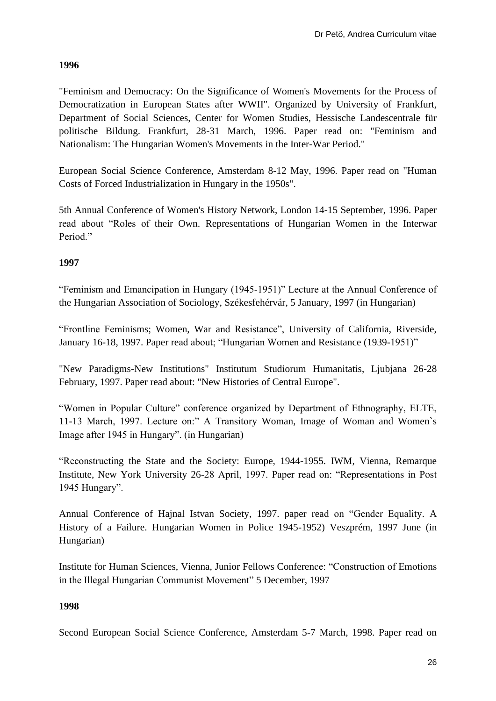#### **1996**

"Feminism and Democracy: On the Significance of Women's Movements for the Process of Democratization in European States after WWII". Organized by University of Frankfurt, Department of Social Sciences, Center for Women Studies, Hessische Landescentrale für politische Bildung. Frankfurt, 28-31 March, 1996. Paper read on: "Feminism and Nationalism: The Hungarian Women's Movements in the Inter-War Period."

European Social Science Conference, Amsterdam 8-12 May, 1996. Paper read on "Human Costs of Forced Industrialization in Hungary in the 1950s".

5th Annual Conference of Women's History Network, London 14-15 September, 1996. Paper read about "Roles of their Own. Representations of Hungarian Women in the Interwar Period<sup>"</sup>

## **1997**

"Feminism and Emancipation in Hungary (1945-1951)" Lecture at the Annual Conference of the Hungarian Association of Sociology, Székesfehérvár, 5 January, 1997 (in Hungarian)

"Frontline Feminisms; Women, War and Resistance", University of California, Riverside, January 16-18, 1997. Paper read about; "Hungarian Women and Resistance (1939-1951)"

"New Paradigms-New Institutions" Institutum Studiorum Humanitatis, Ljubjana 26-28 February, 1997. Paper read about: "New Histories of Central Europe".

"Women in Popular Culture" conference organized by Department of Ethnography, ELTE, 11-13 March, 1997. Lecture on:" A Transitory Woman, Image of Woman and Women`s Image after 1945 in Hungary". (in Hungarian)

"Reconstructing the State and the Society: Europe, 1944-1955. IWM, Vienna, Remarque Institute, New York University 26-28 April, 1997. Paper read on: "Representations in Post 1945 Hungary".

Annual Conference of Hajnal Istvan Society, 1997. paper read on "Gender Equality. A History of a Failure. Hungarian Women in Police 1945-1952) Veszprém, 1997 June (in Hungarian)

Institute for Human Sciences, Vienna, Junior Fellows Conference: "Construction of Emotions in the Illegal Hungarian Communist Movement" 5 December, 1997

#### **1998**

Second European Social Science Conference, Amsterdam 5-7 March, 1998. Paper read on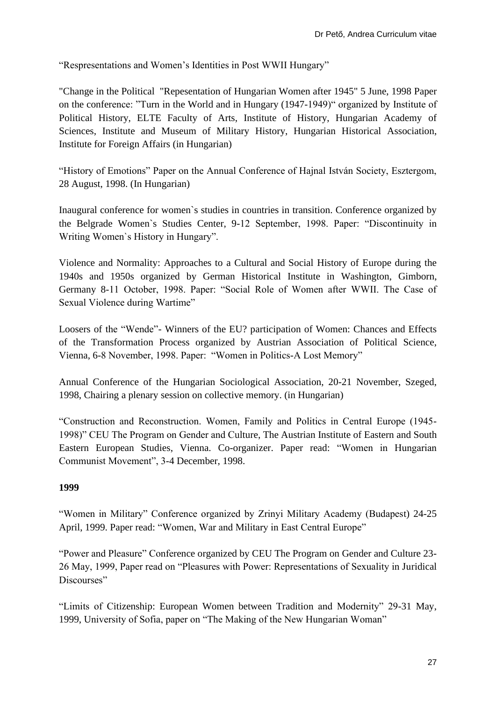"Respresentations and Women's Identities in Post WWII Hungary"

"Change in the Political "Repesentation of Hungarian Women after 1945" 5 June, 1998 Paper on the conference: "Turn in the World and in Hungary (1947-1949)" organized by Institute of Political History, ELTE Faculty of Arts, Institute of History, Hungarian Academy of Sciences, Institute and Museum of Military History, Hungarian Historical Association, Institute for Foreign Affairs (in Hungarian)

"History of Emotions" Paper on the Annual Conference of Hajnal István Society, Esztergom, 28 August, 1998. (In Hungarian)

Inaugural conference for women`s studies in countries in transition. Conference organized by the Belgrade Women`s Studies Center, 9-12 September, 1998. Paper: "Discontinuity in Writing Women`s History in Hungary".

Violence and Normality: Approaches to a Cultural and Social History of Europe during the 1940s and 1950s organized by German Historical Institute in Washington, Gimborn, Germany 8-11 October, 1998. Paper: "Social Role of Women after WWII. The Case of Sexual Violence during Wartime"

Loosers of the "Wende"- Winners of the EU? participation of Women: Chances and Effects of the Transformation Process organized by Austrian Association of Political Science, Vienna, 6-8 November, 1998. Paper: "Women in Politics-A Lost Memory"

Annual Conference of the Hungarian Sociological Association, 20-21 November, Szeged, 1998, Chairing a plenary session on collective memory. (in Hungarian)

"Construction and Reconstruction. Women, Family and Politics in Central Europe (1945- 1998)" CEU The Program on Gender and Culture, The Austrian Institute of Eastern and South Eastern European Studies, Vienna. Co-organizer. Paper read: "Women in Hungarian Communist Movement", 3-4 December, 1998.

#### **1999**

"Women in Military" Conference organized by Zrinyi Military Academy (Budapest) 24-25 April, 1999. Paper read: "Women, War and Military in East Central Europe"

"Power and Pleasure" Conference organized by CEU The Program on Gender and Culture 23- 26 May, 1999, Paper read on "Pleasures with Power: Representations of Sexuality in Juridical Discourses"

"Limits of Citizenship: European Women between Tradition and Modernity" 29-31 May, 1999, University of Sofia, paper on "The Making of the New Hungarian Woman"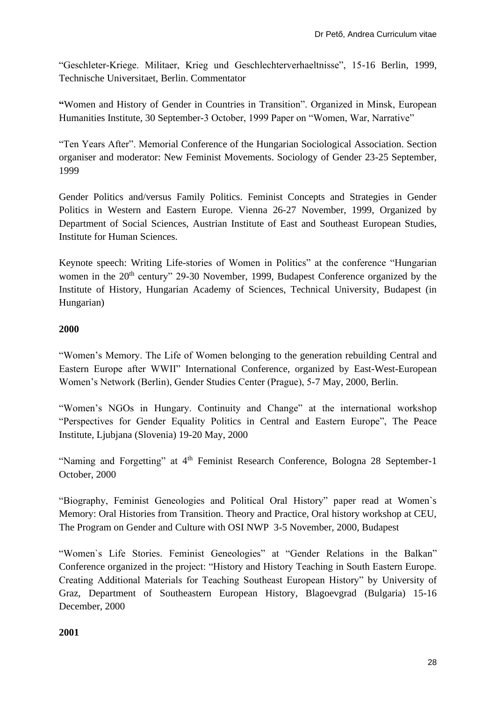"Geschleter-Kriege. Militaer, Krieg und Geschlechterverhaeltnisse", 15-16 Berlin, 1999, Technische Universitaet, Berlin. Commentator

**"**Women and History of Gender in Countries in Transition". Organized in Minsk, European Humanities Institute, 30 September-3 October, 1999 Paper on "Women, War, Narrative"

"Ten Years After". Memorial Conference of the Hungarian Sociological Association. Section organiser and moderator: New Feminist Movements. Sociology of Gender 23-25 September, 1999

Gender Politics and/versus Family Politics. Feminist Concepts and Strategies in Gender Politics in Western and Eastern Europe. Vienna 26-27 November, 1999, Organized by Department of Social Sciences, Austrian Institute of East and Southeast European Studies, Institute for Human Sciences.

Keynote speech: Writing Life-stories of Women in Politics" at the conference "Hungarian women in the 20<sup>th</sup> century" 29-30 November, 1999, Budapest Conference organized by the Institute of History, Hungarian Academy of Sciences, Technical University, Budapest (in Hungarian)

# **2000**

"Women's Memory. The Life of Women belonging to the generation rebuilding Central and Eastern Europe after WWII" International Conference, organized by East-West-European Women's Network (Berlin), Gender Studies Center (Prague), 5-7 May, 2000, Berlin.

"Women's NGOs in Hungary. Continuity and Change" at the international workshop "Perspectives for Gender Equality Politics in Central and Eastern Europe", The Peace Institute, Ljubjana (Slovenia) 19-20 May, 2000

"Naming and Forgetting" at 4th Feminist Research Conference, Bologna 28 September-1 October, 2000

"Biography, Feminist Geneologies and Political Oral History" paper read at Women`s Memory: Oral Histories from Transition. Theory and Practice, Oral history workshop at CEU, The Program on Gender and Culture with OSI NWP 3-5 November, 2000, Budapest

"Women`s Life Stories. Feminist Geneologies" at "Gender Relations in the Balkan" Conference organized in the project: "History and History Teaching in South Eastern Europe. Creating Additional Materials for Teaching Southeast European History" by University of Graz, Department of Southeastern European History, Blagoevgrad (Bulgaria) 15-16 December, 2000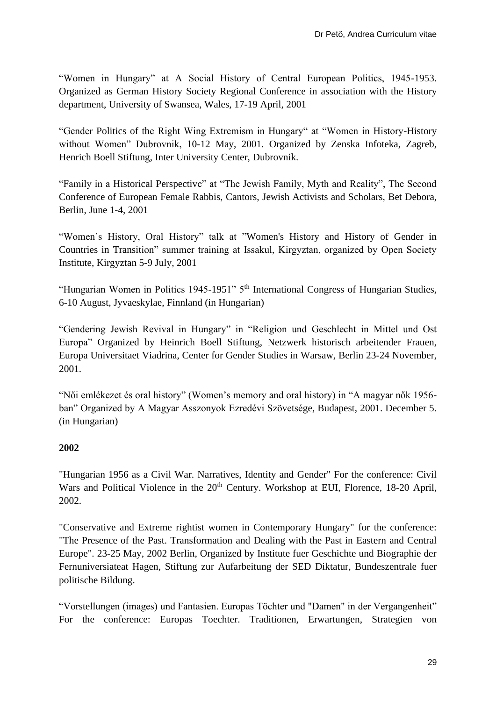"Women in Hungary" at A Social History of Central European Politics, 1945-1953. Organized as German History Society Regional Conference in association with the History department, University of Swansea, Wales, 17-19 April, 2001

"Gender Politics of the Right Wing Extremism in Hungary" at "Women in History-History without Women" Dubrovnik, 10-12 May, 2001. Organized by Zenska Infoteka, Zagreb, Henrich Boell Stiftung, Inter University Center, Dubrovnik.

"Family in a Historical Perspective" at "The Jewish Family, Myth and Reality", The Second Conference of European Female Rabbis, Cantors, Jewish Activists and Scholars, Bet Debora, Berlin, June 1-4, 2001

"Women`s History, Oral History" talk at "Women's History and History of Gender in Countries in Transition" summer training at Issakul, Kirgyztan, organized by Open Society Institute, Kirgyztan 5-9 July, 2001

"Hungarian Women in Politics 1945-1951" 5<sup>th</sup> International Congress of Hungarian Studies, 6-10 August, Jyvaeskylae, Finnland (in Hungarian)

"Gendering Jewish Revival in Hungary" in "Religion und Geschlecht in Mittel und Ost Europa" Organized by Heinrich Boell Stiftung, Netzwerk historisch arbeitender Frauen, Europa Universitaet Viadrina, Center for Gender Studies in Warsaw, Berlin 23-24 November, 2001.

"Női emlékezet és oral history" (Women's memory and oral history) in "A magyar nők 1956 ban" Organized by A Magyar Asszonyok Ezredévi Szövetsége, Budapest, 2001. December 5. (in Hungarian)

#### **2002**

"Hungarian 1956 as a Civil War. Narratives, Identity and Gender" For the conference: Civil Wars and Political Violence in the 20<sup>th</sup> Century. Workshop at EUI, Florence, 18-20 April, 2002.

"Conservative and Extreme rightist women in Contemporary Hungary" for the conference: "The Presence of the Past. Transformation and Dealing with the Past in Eastern and Central Europe". 23-25 May, 2002 Berlin, Organized by Institute fuer Geschichte und Biographie der Fernuniversiateat Hagen, Stiftung zur Aufarbeitung der SED Diktatur, Bundeszentrale fuer politische Bildung.

"Vorstellungen (images) und Fantasien. Europas Töchter und "Damen" in der Vergangenheit" For the conference: Europas Toechter. Traditionen, Erwartungen, Strategien von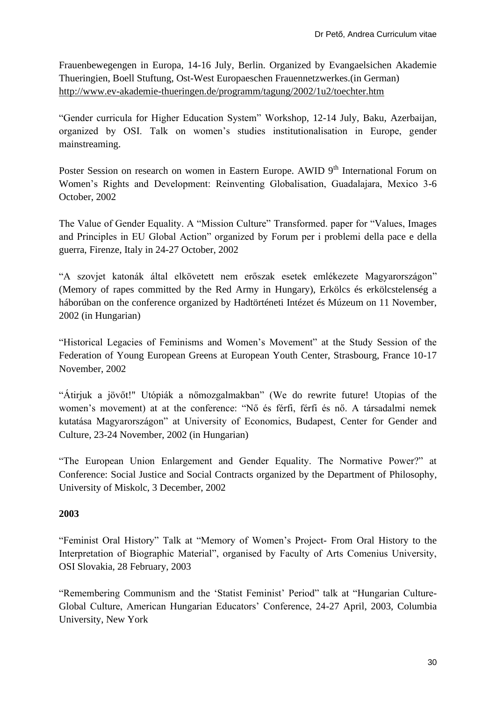Frauenbewegengen in Europa, 14-16 July, Berlin. Organized by Evangaelsichen Akademie Thueringien, Boell Stuftung, Ost-West Europaeschen Frauennetzwerkes.(in German) <http://www.ev-akademie-thueringen.de/programm/tagung/2002/1u2/toechter.htm>

"Gender curricula for Higher Education System" Workshop, 12-14 July, Baku, Azerbaijan, organized by OSI. Talk on women's studies institutionalisation in Europe, gender mainstreaming.

Poster Session on research on women in Eastern Europe. AWID 9<sup>th</sup> International Forum on Women's Rights and Development: Reinventing Globalisation, Guadalajara, Mexico 3-6 October, 2002

The Value of Gender Equality. A "Mission Culture" Transformed. paper for "Values, Images and Principles in EU Global Action" organized by Forum per i problemi della pace e della guerra, Firenze, Italy in 24-27 October, 2002

"A szovjet katonák által elkövetett nem erőszak esetek emlékezete Magyarországon" (Memory of rapes committed by the Red Army in Hungary), Erkölcs és erkölcstelenség a háborúban on the conference organized by Hadtörténeti Intézet és Múzeum on 11 November, 2002 (in Hungarian)

"Historical Legacies of Feminisms and Women's Movement" at the Study Session of the Federation of Young European Greens at European Youth Center, Strasbourg, France 10-17 November, 2002

"Átirjuk a jövőt!" Utópiák a nőmozgalmakban" (We do rewrite future! Utopias of the women's movement) at at the conference: "Nő és férfi, férfi és nő. A társadalmi nemek kutatása Magyarországon" at University of Economics, Budapest, Center for Gender and Culture, 23-24 November, 2002 (in Hungarian)

"The European Union Enlargement and Gender Equality. The Normative Power?" at Conference: Social Justice and Social Contracts organized by the Department of Philosophy, University of Miskolc, 3 December, 2002

# **2003**

"Feminist Oral History" Talk at "Memory of Women's Project- From Oral History to the Interpretation of Biographic Material", organised by Faculty of Arts Comenius University, OSI Slovakia, 28 February, 2003

"Remembering Communism and the 'Statist Feminist' Period" talk at "Hungarian Culture-Global Culture, American Hungarian Educators' Conference, 24-27 April, 2003, Columbia University, New York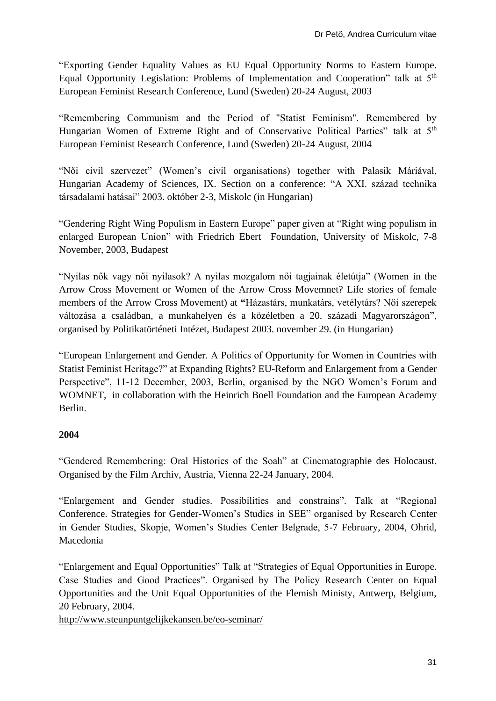"Exporting Gender Equality Values as EU Equal Opportunity Norms to Eastern Europe. Equal Opportunity Legislation: Problems of Implementation and Cooperation" talk at 5<sup>th</sup> European Feminist Research Conference, Lund (Sweden) 20-24 August, 2003

"Remembering Communism and the Period of "Statist Feminism". Remembered by Hungarian Women of Extreme Right and of Conservative Political Parties" talk at 5<sup>th</sup> European Feminist Research Conference, Lund (Sweden) 20-24 August, 2004

"Női civil szervezet" (Women's civil organisations) together with Palasik Máriával, Hungarian Academy of Sciences, IX. Section on a conference: "A XXI. század technika társadalami hatásai" 2003. október 2-3, Miskolc (in Hungarian)

"Gendering Right Wing Populism in Eastern Europe" paper given at "Right wing populism in enlarged European Union" with Friedrich Ebert Foundation, University of Miskolc, 7-8 November, 2003, Budapest

"Nyilas nők vagy női nyilasok? A nyilas mozgalom női tagjainak életútja" (Women in the Arrow Cross Movement or Women of the Arrow Cross Movemnet? Life stories of female members of the Arrow Cross Movement) at **"**Házastárs, munkatárs, vetélytárs? Női szerepek változása a családban, a munkahelyen és a közéletben a 20. századi Magyarországon", organised by Politikatörténeti Intézet, Budapest 2003. november 29. (in Hungarian)

"European Enlargement and Gender. A Politics of Opportunity for Women in Countries with Statist Feminist Heritage?" at Expanding Rights? EU-Reform and Enlargement from a Gender Perspective", 11-12 December, 2003, Berlin, organised by the NGO Women's Forum and WOMNET, in collaboration with the Heinrich Boell Foundation and the European Academy Berlin.

# **2004**

"Gendered Remembering: Oral Histories of the Soah" at Cinematographie des Holocaust. Organised by the Film Archiv, Austria, Vienna 22-24 January, 2004.

"Enlargement and Gender studies. Possibilities and constrains". Talk at "Regional Conference. Strategies for Gender-Women's Studies in SEE" organised by Research Center in Gender Studies, Skopje, Women's Studies Center Belgrade, 5-7 February, 2004, Ohrid, Macedonia

"Enlargement and Equal Opportunities" Talk at "Strategies of Equal Opportunities in Europe. Case Studies and Good Practices". Organised by The Policy Research Center on Equal Opportunities and the Unit Equal Opportunities of the Flemish Ministy, Antwerp, Belgium, 20 February, 2004.

<http://www.steunpuntgelijkekansen.be/eo-seminar/>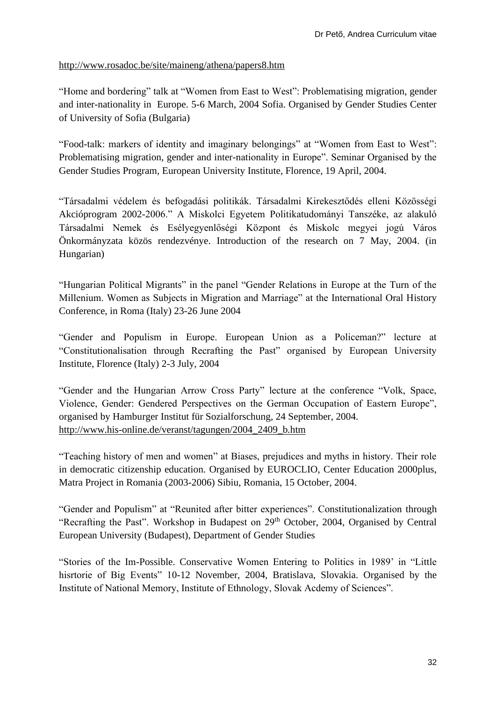#### <http://www.rosadoc.be/site/maineng/athena/papers8.htm>

"Home and bordering" talk at "Women from East to West": Problematising migration, gender and inter-nationality in Europe. 5-6 March, 2004 Sofia. Organised by Gender Studies Center of University of Sofia (Bulgaria)

"Food-talk: markers of identity and imaginary belongings" at "Women from East to West": Problematising migration, gender and inter-nationality in Europe". Seminar Organised by the Gender Studies Program, European University Institute, Florence, 19 April, 2004.

"Társadalmi védelem és befogadási politikák. Társadalmi Kirekesztődés elleni Közösségi Akcióprogram 2002-2006." A Miskolci Egyetem Politikatudományi Tanszéke, az alakuló Társadalmi Nemek és Esélyegyenlőségi Központ és Miskolc megyei jogú Város Önkormányzata közös rendezvénye. Introduction of the research on 7 May, 2004. (in Hungarian)

"Hungarian Political Migrants" in the panel "Gender Relations in Europe at the Turn of the Millenium. Women as Subjects in Migration and Marriage" at the International Oral History Conference, in Roma (Italy) 23-26 June 2004

"Gender and Populism in Europe. European Union as a Policeman?" lecture at "Constitutionalisation through Recrafting the Past" organised by European University Institute, Florence (Italy) 2-3 July, 2004

"Gender and the Hungarian Arrow Cross Party" lecture at the conference "Volk, Space, Violence, Gender: Gendered Perspectives on the German Occupation of Eastern Europe", organised by Hamburger Institut für Sozialforschung, 24 September, 2004. [http://www.his-online.de/veranst/tagungen/2004\\_2409\\_b.htm](http://www.his-online.de/veranst/tagungen/2004_2409_b.htm)

"Teaching history of men and women" at Biases, prejudices and myths in history. Their role in democratic citizenship education. Organised by EUROCLIO, Center Education 2000plus, Matra Project in Romania (2003-2006) Sibiu, Romania, 15 October, 2004.

"Gender and Populism" at "Reunited after bitter experiences". Constitutionalization through "Recrafting the Past". Workshop in Budapest on 29<sup>th</sup> October, 2004, Organised by Central European University (Budapest), Department of Gender Studies

"Stories of the Im-Possible. Conservative Women Entering to Politics in 1989' in "Little hisrtorie of Big Events" 10-12 November, 2004, Bratislava, Slovakia. Organised by the Institute of National Memory, Institute of Ethnology, Slovak Acdemy of Sciences".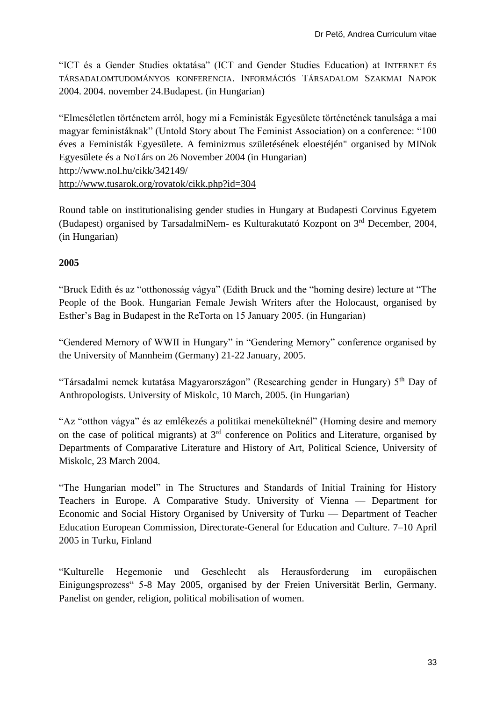"ICT és a Gender Studies oktatása" (ICT and Gender Studies Education) at INTERNET ÉS TÁRSADALOMTUDOMÁNYOS KONFERENCIA. INFORMÁCIÓS TÁRSADALOM SZAKMAI NAPOK 2004. 2004. november 24.Budapest. (in Hungarian)

"Elmeséletlen történetem arról, hogy mi a Feministák Egyesülete történetének tanulsága a mai magyar feministáknak" (Untold Story about The Feminist Association) on a conference: "100 éves a Feministák Egyesülete. A feminizmus születésének eloestéjén" organised by MINok Egyesülete és a NoTárs on 26 November 2004 (in Hungarian) <http://www.nol.hu/cikk/342149/> <http://www.tusarok.org/rovatok/cikk.php?id=304>

Round table on institutionalising gender studies in Hungary at Budapesti Corvinus Egyetem (Budapest) organised by TarsadalmiNem- es Kulturakutató Kozpont on 3rd December, 2004, (in Hungarian)

# **2005**

"Bruck Edith és az "otthonosság vágya" (Edith Bruck and the "homing desire) lecture at "The People of the Book. Hungarian Female Jewish Writers after the Holocaust, organised by Esther's Bag in Budapest in the ReTorta on 15 January 2005. (in Hungarian)

"Gendered Memory of WWII in Hungary" in "Gendering Memory" conference organised by the University of Mannheim (Germany) 21-22 January, 2005.

"Társadalmi nemek kutatása Magyarországon" (Researching gender in Hungary) 5th Day of Anthropologists. University of Miskolc, 10 March, 2005. (in Hungarian)

"Az "otthon vágya" és az emlékezés a politikai menekülteknél" (Homing desire and memory on the case of political migrants) at 3rd conference on Politics and Literature, organised by Departments of Comparative Literature and History of Art, Political Science, University of Miskolc, 23 March 2004.

"The Hungarian model" in The Structures and Standards of Initial Training for History Teachers in Europe. A Comparative Study. University of Vienna — Department for Economic and Social History Organised by University of Turku — Department of Teacher Education European Commission, Directorate-General for Education and Culture. 7–10 April 2005 in Turku, Finland

"Kulturelle Hegemonie und Geschlecht als Herausforderung im europäischen Einigungsprozess" 5-8 May 2005, organised by der Freien Universität Berlin, Germany. Panelist on gender, religion, political mobilisation of women.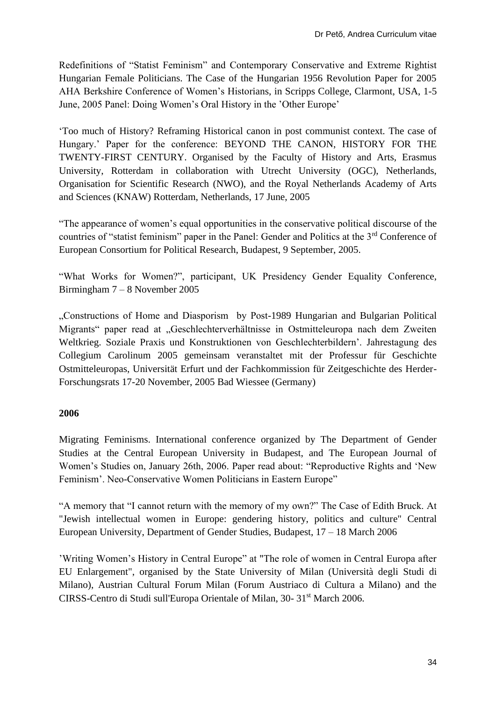Redefinitions of "Statist Feminism" and Contemporary Conservative and Extreme Rightist Hungarian Female Politicians. The Case of the Hungarian 1956 Revolution Paper for 2005 AHA Berkshire Conference of Women's Historians, in Scripps College, Clarmont, USA, 1-5 June, 2005 Panel: Doing Women's Oral History in the 'Other Europe'

'Too much of History? Reframing Historical canon in post communist context. The case of Hungary.' Paper for the conference: BEYOND THE CANON, HISTORY FOR THE TWENTY-FIRST CENTURY. Organised by the Faculty of History and Arts, Erasmus University, Rotterdam in collaboration with Utrecht University (OGC), Netherlands, Organisation for Scientific Research (NWO), and the Royal Netherlands Academy of Arts and Sciences (KNAW) Rotterdam, Netherlands, 17 June, 2005

"The appearance of women's equal opportunities in the conservative political discourse of the countries of "statist feminism" paper in the Panel: Gender and Politics at the 3<sup>rd</sup> Conference of European Consortium for Political Research, Budapest, 9 September, 2005.

"What Works for Women?", participant, UK Presidency Gender Equality Conference, Birmingham 7 – 8 November 2005

"Constructions of Home and Diasporism by Post-1989 Hungarian and Bulgarian Political Migrants" paper read at "Geschlechterverhältnisse in Ostmitteleuropa nach dem Zweiten Weltkrieg. Soziale Praxis und Konstruktionen von Geschlechterbildern'. Jahrestagung des Collegium Carolinum 2005 gemeinsam veranstaltet mit der Professur für Geschichte Ostmitteleuropas, Universität Erfurt und der Fachkommission für Zeitgeschichte des Herder-Forschungsrats 17-20 November, 2005 Bad Wiessee (Germany)

#### **2006**

Migrating Feminisms. International conference organized by The Department of Gender Studies at the Central European University in Budapest, and The European Journal of Women's Studies on, January 26th, 2006. Paper read about: "Reproductive Rights and 'New Feminism'. Neo-Conservative Women Politicians in Eastern Europe"

"A memory that "I cannot return with the memory of my own?" The Case of Edith Bruck. At "Jewish intellectual women in Europe: gendering history, politics and culture" Central European University, Department of Gender Studies, Budapest, 17 – 18 March 2006

'Writing Women's History in Central Europe" at "The role of women in Central Europa after EU Enlargement", organised by the State University of Milan (Università degli Studi di Milano), Austrian Cultural Forum Milan (Forum Austriaco di Cultura a Milano) and the CIRSS-Centro di Studi sull'Europa Orientale of Milan, 30-31<sup>st</sup> March 2006.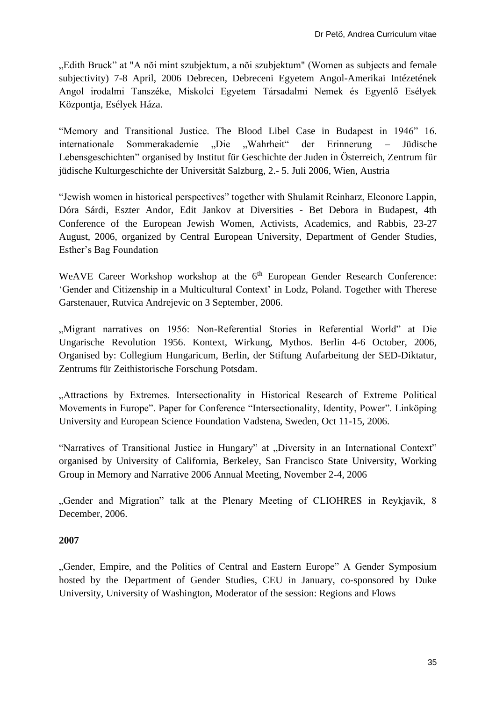"Edith Bruck" at "A nõi mint szubjektum, a nõi szubjektum" (Women as subjects and female subjectivity) 7-8 April, 2006 Debrecen, Debreceni Egyetem Angol-Amerikai Intézetének Angol irodalmi Tanszéke, Miskolci Egyetem Társadalmi Nemek és Egyenlő Esélyek Központja, Esélyek Háza.

"Memory and Transitional Justice. The Blood Libel Case in Budapest in 1946" 16. internationale Sommerakademie ..Die ..Wahrheit" der Erinnerung – Jüdische Lebensgeschichten" organised by Institut für Geschichte der Juden in Österreich, Zentrum für jüdische Kulturgeschichte der Universität Salzburg, 2.- 5. Juli 2006, Wien, Austria

"Jewish women in historical perspectives" together with Shulamit Reinharz, Eleonore Lappin, Dóra Sárdi, Eszter Andor, Edit Jankov at Diversities - Bet Debora in Budapest, 4th Conference of the European Jewish Women, Activists, Academics, and Rabbis, 23-27 August, 2006, organized by Central European University, Department of Gender Studies, Esther's Bag Foundation

WeAVE Career Workshop workshop at the 6<sup>th</sup> European Gender Research Conference: 'Gender and Citizenship in a Multicultural Context' in Lodz, Poland. Together with Therese Garstenauer, Rutvica Andrejevic on 3 September, 2006.

"Migrant narratives on 1956: Non-Referential Stories in Referential World" at Die Ungarische Revolution 1956. Kontext, Wirkung, Mythos. Berlin 4-6 October, 2006, Organised by: Collegium Hungaricum, Berlin, der Stiftung Aufarbeitung der SED-Diktatur, Zentrums für Zeithistorische Forschung Potsdam.

"Attractions by Extremes. Intersectionality in Historical Research of Extreme Political Movements in Europe". Paper for Conference "Intersectionality, Identity, Power". Linköping University and European Science Foundation Vadstena, Sweden, Oct 11-15, 2006.

"Narratives of Transitional Justice in Hungary" at "Diversity in an International Context" organised by University of California, Berkeley, San Francisco State University, Working Group in Memory and Narrative 2006 Annual Meeting, November 2-4, 2006

"Gender and Migration" talk at the Plenary Meeting of CLIOHRES in Reykjavik, 8 December, 2006.

# **2007**

"Gender, Empire, and the Politics of Central and Eastern Europe" A Gender Symposium hosted by the Department of Gender Studies, CEU in January, co-sponsored by Duke University, University of Washington, Moderator of the session: Regions and Flows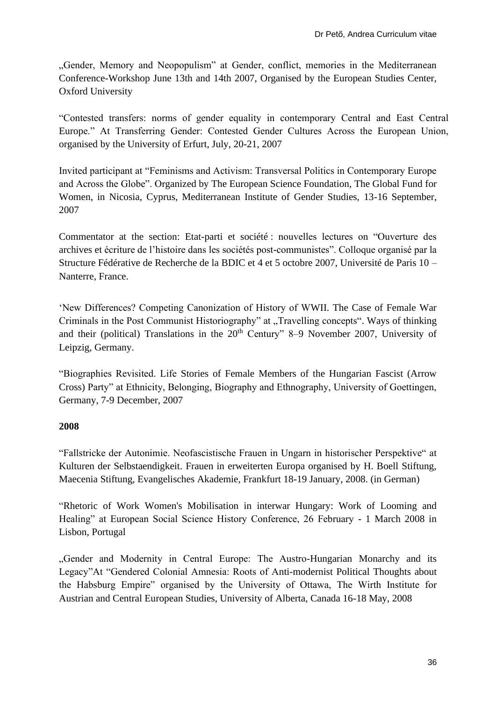"Gender, Memory and Neopopulism" at Gender, conflict, memories in the Mediterranean Conference-Workshop June 13th and 14th 2007, Organised by the European Studies Center, Oxford University

"Contested transfers: norms of gender equality in contemporary Central and East Central Europe." At Transferring Gender: Contested Gender Cultures Across the European Union, organised by the University of Erfurt, July, 20-21, 2007

Invited participant at "Feminisms and Activism: Transversal Politics in Contemporary Europe and Across the Globe". Organized by The European Science Foundation, The Global Fund for Women, in Nicosia, Cyprus, Mediterranean Institute of Gender Studies, 13-16 September, 2007

Commentator at the section: Etat-parti et société : nouvelles lectures on "Ouverture des archives et écriture de l'histoire dans les sociétés post-communistes". Colloque organisé par la Structure Fédérative de Recherche de la BDIC et 4 et 5 octobre 2007, Université de Paris 10 – Nanterre, France.

'New Differences? Competing Canonization of History of WWII. The Case of Female War Criminals in the Post Communist Historiography" at "Travelling concepts". Ways of thinking and their (political) Translations in the  $20<sup>th</sup>$  Century" 8–9 November 2007, University of Leipzig, Germany.

"Biographies Revisited. Life Stories of Female Members of the Hungarian Fascist (Arrow Cross) Party" at Ethnicity, Belonging, Biography and Ethnography, University of Goettingen, Germany, 7-9 December, 2007

#### **2008**

"Fallstricke der Autonimie. Neofascistische Frauen in Ungarn in historischer Perspektive" at Kulturen der Selbstaendigkeit. Frauen in erweiterten Europa organised by H. Boell Stiftung, Maecenia Stiftung, Evangelisches Akademie, Frankfurt 18-19 January, 2008. (in German)

"Rhetoric of Work Women's Mobilisation in interwar Hungary: Work of Looming and Healing" at European Social Science History Conference, 26 February - 1 March 2008 in Lisbon, Portugal

"Gender and Modernity in Central Europe: The Austro-Hungarian Monarchy and its Legacy"At "Gendered Colonial Amnesia: Roots of Anti-modernist Political Thoughts about the Habsburg Empire" organised by the University of Ottawa, The Wirth Institute for Austrian and Central European Studies, University of Alberta, Canada 16-18 May, 2008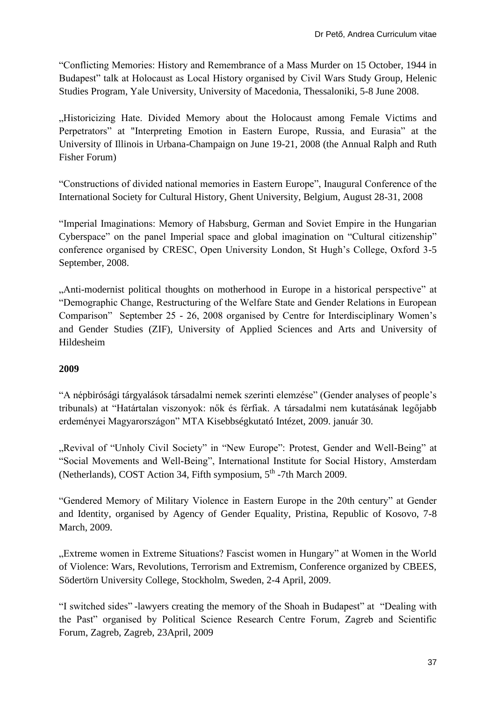"Conflicting Memories: History and Remembrance of a Mass Murder on 15 October, 1944 in Budapest" talk at Holocaust as Local History organised by Civil Wars Study Group, Helenic Studies Program, Yale University, University of Macedonia, Thessaloniki, 5-8 June 2008.

"Historicizing Hate. Divided Memory about the Holocaust among Female Victims and Perpetrators" at "Interpreting Emotion in Eastern Europe, Russia, and Eurasia" at the University of Illinois in Urbana-Champaign on June 19-21, 2008 (the Annual Ralph and Ruth Fisher Forum)

"Constructions of divided national memories in Eastern Europe", Inaugural Conference of the International Society for Cultural History, Ghent University, Belgium, August 28-31, 2008

"Imperial Imaginations: Memory of Habsburg, German and Soviet Empire in the Hungarian Cyberspace" on the panel Imperial space and global imagination on "Cultural citizenship" conference organised by CRESC, Open University London, St Hugh's College, Oxford 3-5 September, 2008.

"Anti-modernist political thoughts on motherhood in Europe in a historical perspective" at "Demographic Change, Restructuring of the Welfare State and Gender Relations in European Comparison" September 25 - 26, 2008 organised by Centre for Interdisciplinary Women's and Gender Studies (ZIF), University of Applied Sciences and Arts and University of Hildesheim

# **2009**

"A népbirósági tárgyalások társadalmi nemek szerinti elemzése" (Gender analyses of people's tribunals) at "Határtalan viszonyok: nők és férfiak. A társadalmi nem kutatásának legőjabb erdeményei Magyarországon" MTA Kisebbségkutató Intézet, 2009. január 30.

"Revival of "Unholy Civil Society" in "New Europe": Protest, Gender and Well-Being" at "Social Movements and Well-Being", International Institute for Social History, Amsterdam (Netherlands), COST Action 34, Fifth symposium, 5<sup>th</sup> -7th March 2009.

"Gendered Memory of Military Violence in Eastern Europe in the 20th century" at Gender and Identity, organised by Agency of Gender Equality, Pristina, Republic of Kosovo, 7-8 March, 2009.

"...Extreme women in Extreme Situations? Fascist women in Hungary" at Women in the World of Violence: Wars, Revolutions, Terrorism and Extremism, Conference organized by CBEES, Södertörn University College, Stockholm, Sweden, 2-4 April, 2009.

"I switched sides" -lawyers creating the memory of the Shoah in Budapest" at "Dealing with the Past" organised by Political Science Research Centre Forum, Zagreb and Scientific Forum, Zagreb, Zagreb, 23April, 2009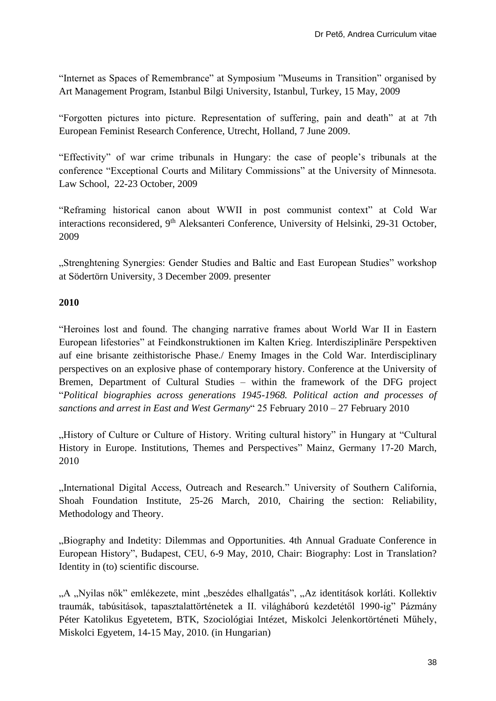"Internet as Spaces of Remembrance" at Symposium "Museums in Transition" organised by Art Management Program, Istanbul Bilgi University, Istanbul, Turkey, 15 May, 2009

"Forgotten pictures into picture. Representation of suffering, pain and death" at at 7th European Feminist Research Conference, Utrecht, Holland, 7 June 2009.

"Effectivity" of war crime tribunals in Hungary: the case of people's tribunals at the conference "Exceptional Courts and Military Commissions" at the University of Minnesota. Law School, 22-23 October, 2009

"Reframing historical canon about WWII in post communist context" at Cold War interactions reconsidered, 9<sup>th</sup> Aleksanteri Conference, University of Helsinki, 29-31 October, 2009

"Strenghtening Synergies: Gender Studies and Baltic and East European Studies" workshop at Södertörn University, 3 December 2009. presenter

#### **2010**

"Heroines lost and found. The changing narrative frames about World War II in Eastern European lifestories" at Feindkonstruktionen im Kalten Krieg. Interdisziplinäre Perspektiven auf eine brisante zeithistorische Phase./ Enemy Images in the Cold War. Interdisciplinary perspectives on an explosive phase of contemporary history. Conference at the University of Bremen, Department of Cultural Studies – within the framework of the DFG project "*Political biographies across generations 1945-1968. Political action and processes of sanctions and arrest in East and West Germany*" 25 February 2010 – 27 February 2010

"History of Culture or Culture of History. Writing cultural history" in Hungary at "Cultural History in Europe. Institutions, Themes and Perspectives" Mainz, Germany 17-20 March, 2010

"International Digital Access, Outreach and Research." University of Southern California, Shoah Foundation Institute, 25-26 March, 2010, Chairing the section: Reliability, Methodology and Theory.

"Biography and Indetity: Dilemmas and Opportunities. 4th Annual Graduate Conference in European History", Budapest, CEU, 6-9 May, 2010, Chair: Biography: Lost in Translation? Identity in (to) scientific discourse.

"A "Nyilas nők" emlékezete, mint "beszédes elhallgatás", "Az identitások korláti. Kollektiv traumák, tabúsitások, tapasztalattörténetek a II. világháború kezdetétől 1990-ig" Pázmány Péter Katolikus Egyetetem, BTK, Szociológiai Intézet, Miskolci Jelenkortörténeti Műhely, Miskolci Egyetem, 14-15 May, 2010. (in Hungarian)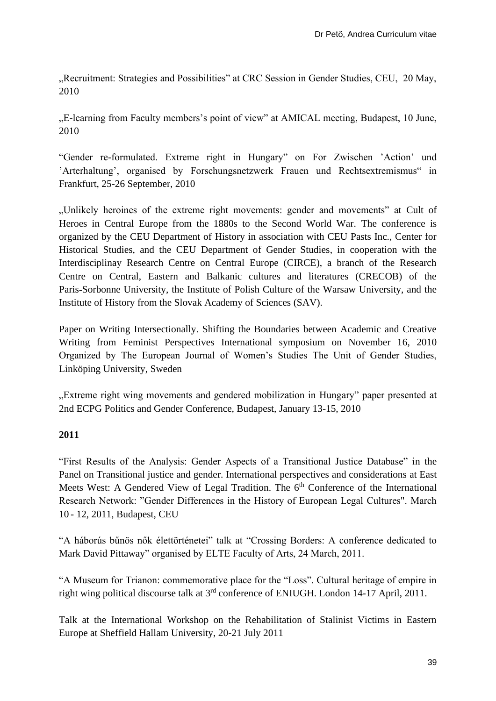"Recruitment: Strategies and Possibilities" at CRC Session in Gender Studies, CEU, 20 May, 2010

"E-learning from Faculty members's point of view" at AMICAL meeting, Budapest, 10 June, 2010

"Gender re-formulated. Extreme right in Hungary" on For Zwischen 'Action' und 'Arterhaltung', organised by Forschungsnetzwerk Frauen und Rechtsextremismus" in Frankfurt, 25-26 September, 2010

"Unlikely heroines of the extreme right movements: gender and movements" at Cult of Heroes in Central Europe from the 1880s to the Second World War. The conference is organized by the CEU Department of History in association with CEU Pasts Inc., Center for Historical Studies, and the CEU Department of Gender Studies, in cooperation with the Interdisciplinay Research Centre on Central Europe (CIRCE), a branch of the Research Centre on Central, Eastern and Balkanic cultures and literatures (CRECOB) of the Paris‐Sorbonne University, the Institute of Polish Culture of the Warsaw University, and the Institute of History from the Slovak Academy of Sciences (SAV).

Paper on Writing Intersectionally. Shifting the Boundaries between Academic and Creative Writing from Feminist Perspectives International symposium on November 16, 2010 Organized by The European Journal of Women's Studies The Unit of Gender Studies, Linköping University, Sweden

"Extreme right wing movements and gendered mobilization in Hungary" paper presented at 2nd ECPG Politics and Gender Conference, Budapest, January 13-15, 2010

#### **2011**

"First Results of the Analysis: Gender Aspects of a Transitional Justice Database" in the Panel on Transitional justice and gender. International perspectives and considerations at East Meets West: A Gendered View of Legal Tradition. The 6<sup>th</sup> Conference of the International Research Network: "Gender Differences in the History of European Legal Cultures". March 10 - 12, 2011, Budapest, CEU

"A háborús bűnös nők élettörténetei" talk at "Crossing Borders: A conference dedicated to Mark David Pittaway" organised by ELTE Faculty of Arts, 24 March, 2011.

"A Museum for Trianon: commemorative place for the "Loss". Cultural heritage of empire in right wing political discourse talk at 3rd conference of ENIUGH. London 14-17 April, 2011.

Talk at the International Workshop on the Rehabilitation of Stalinist Victims in Eastern Europe at Sheffield Hallam University, 20-21 July 2011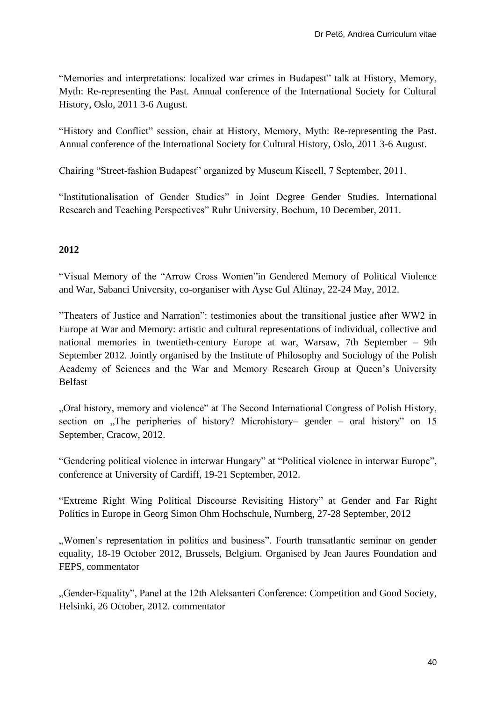"Memories and interpretations: localized war crimes in Budapest" talk at History, Memory, Myth: Re-representing the Past. Annual conference of the International Society for Cultural History, Oslo, 2011 3-6 August.

"History and Conflict" session, chair at History, Memory, Myth: Re-representing the Past. Annual conference of the International Society for Cultural History, Oslo, 2011 3-6 August.

Chairing "Street-fashion Budapest" organized by Museum Kiscell, 7 September, 2011.

"Institutionalisation of Gender Studies" in Joint Degree Gender Studies. International Research and Teaching Perspectives" Ruhr University, Bochum, 10 December, 2011.

# **2012**

"Visual Memory of the "Arrow Cross Women"in Gendered Memory of Political Violence and War, Sabanci University, co-organiser with Ayse Gul Altinay, 22-24 May, 2012.

"Theaters of Justice and Narration": testimonies about the transitional justice after WW2 in Europe at War and Memory: artistic and cultural representations of individual, collective and national memories in twentieth-century Europe at war, Warsaw, 7th September – 9th September 2012. Jointly organised by the Institute of Philosophy and Sociology of the Polish Academy of Sciences and the War and Memory Research Group at Queen's University Belfast

"Oral history, memory and violence" at The Second International Congress of Polish History, section on  $n$ . The peripheries of history? Microhistory– gender – oral history" on 15 September, Cracow, 2012.

"Gendering political violence in interwar Hungary" at "Political violence in interwar Europe", conference at University of Cardiff, 19-21 September, 2012.

"Extreme Right Wing Political Discourse Revisiting History" at Gender and Far Right Politics in Europe in Georg Simon Ohm Hochschule, Nurnberg, 27-28 September, 2012

", Women's representation in politics and business". Fourth transatlantic seminar on gender equality, 18-19 October 2012, Brussels, Belgium. Organised by Jean Jaures Foundation and FEPS, commentator

"Gender-Equality", Panel at the 12th Aleksanteri Conference: Competition and Good Society, Helsinki, 26 October, 2012. commentator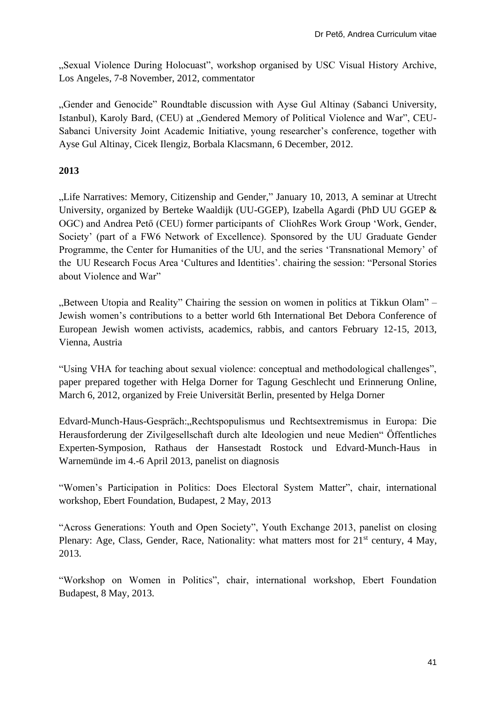"Sexual Violence During Holocuast", workshop organised by USC Visual History Archive, Los Angeles, 7-8 November, 2012, commentator

"Gender and Genocide" Roundtable discussion with Ayse Gul Altinay (Sabanci University, Istanbul), Karoly Bard, (CEU) at "Gendered Memory of Political Violence and War", CEU-Sabanci University Joint Academic Initiative, young researcher's conference, together with Ayse Gul Altinay, Cicek Ilengiz, Borbala Klacsmann, 6 December, 2012.

# **2013**

"Life Narratives: Memory, Citizenship and Gender," January 10, 2013, A seminar at Utrecht University, organized by Berteke Waaldijk (UU-GGEP), Izabella Agardi (PhD UU GGEP & OGC) and Andrea Pető (CEU) former participants of CliohRes Work Group 'Work, Gender, Society' (part of a FW6 Network of Excellence). Sponsored by the UU Graduate Gender Programme, the Center for Humanities of the UU, and the series 'Transnational Memory' of the UU Research Focus Area 'Cultures and Identities'. chairing the session: "Personal Stories about Violence and War"

"Between Utopia and Reality" Chairing the session on women in politics at Tikkun Olam" – Jewish women's contributions to a better world 6th International Bet Debora Conference of European Jewish women activists, academics, rabbis, and cantors February 12-15, 2013, Vienna, Austria

"Using VHA for teaching about sexual violence: conceptual and methodological challenges", paper prepared together with Helga Dorner for Tagung Geschlecht und Erinnerung Online, March 6, 2012, organized by Freie Universität Berlin, presented by Helga Dorner

Edvard-Munch-Haus-Gespräch: "Rechtspopulismus und Rechtsextremismus in Europa: Die Herausforderung der Zivilgesellschaft durch alte Ideologien und neue Medien" Öffentliches Experten-Symposion, Rathaus der Hansestadt Rostock und Edvard-Munch-Haus in Warnemünde im 4.-6 April 2013, panelist on diagnosis

"Women's Participation in Politics: Does Electoral System Matter", chair, international workshop, Ebert Foundation, Budapest, 2 May, 2013

"Across Generations: Youth and Open Society", Youth Exchange 2013, panelist on closing Plenary: Age, Class, Gender, Race, Nationality: what matters most for 21<sup>st</sup> century, 4 May, 2013.

"Workshop on Women in Politics", chair, international workshop, Ebert Foundation Budapest, 8 May, 2013.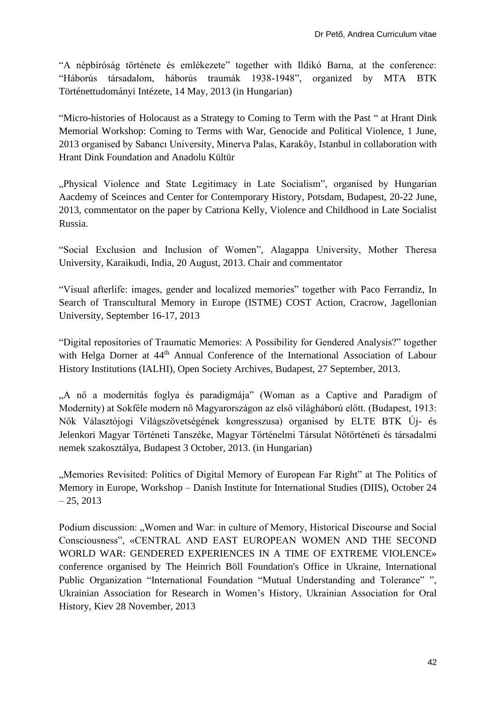"A népbíróság története és emlékezete" together with Ildikó Barna, at the conference: "Háborús társadalom, háborús traumák 1938-1948", organized by MTA BTK Történettudományi Intézete, 14 May, 2013 (in Hungarian)

"Micro-histories of Holocaust as a Strategy to Coming to Term with the Past " at Hrant Dink Memorial Workshop: Coming to Terms with War, Genocide and Political Violence, 1 June, 2013 organised by Sabancı University, Minerva Palas, Karaköy, Istanbul in collaboration with Hrant Dink Foundation and Anadolu Kültür

".Physical Violence and State Legitimacy in Late Socialism", organised by Hungarian Aacdemy of Sceinces and Center for Contemporary History, Potsdam, Budapest, 20-22 June, 2013, commentator on the paper by Catriona Kelly, Violence and Childhood in Late Socialist Russia.

"Social Exclusion and Inclusion of Women", Alagappa University, Mother Theresa University, Karaikudi, India, 20 August, 2013. Chair and commentator

"Visual afterlife: images, gender and localized memories" together with Paco Ferrandiz, In Search of Transcultural Memory in Europe (ISTME) COST Action, Cracrow, Jagellonian University, September 16-17, 2013

"Digital repositories of Traumatic Memories: A Possibility for Gendered Analysis?" together with Helga Dorner at 44<sup>th</sup> Annual Conference of the International Association of Labour History Institutions (IALHI), Open Society Archives, Budapest, 27 September, 2013.

"A nő a modernitás foglya és paradigmája" (Woman as a Captive and Paradigm of Modernity) at Sokféle modern nő Magyarországon az első világháború előtt. (Budapest, 1913: Nők Választójogi Világszövetségének kongresszusa) organised by ELTE BTK Új- és Jelenkori Magyar Történeti Tanszéke, Magyar Történelmi Társulat Nőtörténeti és társadalmi nemek szakosztálya, Budapest 3 October, 2013. (in Hungarian)

"Memories Revisited: Politics of Digital Memory of European Far Right" at The Politics of Memory in Europe, Workshop – Danish Institute for International Studies (DIIS), October 24  $-25, 2013$ 

Podium discussion: "Women and War: in culture of Memory, Historical Discourse and Social Consciousness", «CENTRAL AND EAST EUROPEAN WOMEN AND THE SECOND WORLD WAR: GENDERED EXPERIENCES IN A TIME OF EXTREME VIOLENCE» conference organised by The Heinrich Böll Foundation's Office in Ukraine, International Public Organization "International Foundation "Mutual Understanding and Tolerance" ", Ukrainian Association for Research in Women's History, Ukrainian Association for Oral History, Kiev 28 November, 2013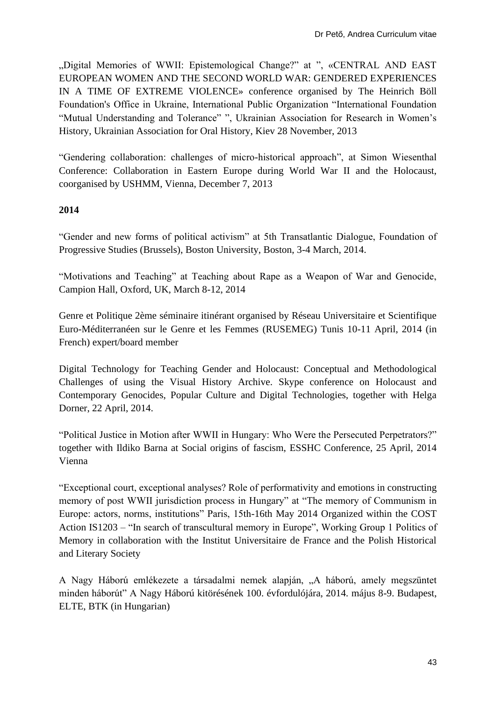"Digital Memories of WWII: Epistemological Change?" at ", «CENTRAL AND EAST EUROPEAN WOMEN AND THE SECOND WORLD WAR: GENDERED EXPERIENCES IN A TIME OF EXTREME VIOLENCE» conference organised by The Heinrich Böll Foundation's Office in Ukraine, International Public Organization "International Foundation "Mutual Understanding and Tolerance" ", Ukrainian Association for Research in Women's History, Ukrainian Association for Oral History, Kiev 28 November, 2013

"Gendering collaboration: challenges of micro-historical approach", at Simon Wiesenthal Conference: Collaboration in Eastern Europe during World War II and the Holocaust, coorganised by USHMM, Vienna, December 7, 2013

# **2014**

"Gender and new forms of political activism" at 5th Transatlantic Dialogue, Foundation of Progressive Studies (Brussels), Boston University, Boston, 3-4 March, 2014.

"Motivations and Teaching" at Teaching about Rape as a Weapon of War and Genocide, Campion Hall, Oxford, UK, March 8-12, 2014

Genre et Politique 2ème séminaire itinérant organised by Réseau Universitaire et Scientifique Euro-Méditerranéen sur le Genre et les Femmes (RUSEMEG) Tunis 10-11 April, 2014 (in French) expert/board member

Digital Technology for Teaching Gender and Holocaust: Conceptual and Methodological Challenges of using the Visual History Archive. Skype conference on Holocaust and Contemporary Genocides, Popular Culture and Digital Technologies, together with Helga Dorner, 22 April, 2014.

"Political Justice in Motion after WWII in Hungary: Who Were the Persecuted Perpetrators?" together with Ildiko Barna at Social origins of fascism, ESSHC Conference, 25 April, 2014 Vienna

"Exceptional court, exceptional analyses? Role of performativity and emotions in constructing memory of post WWII jurisdiction process in Hungary" at "The memory of Communism in Europe: actors, norms, institutions" Paris, 15th-16th May 2014 Organized within the COST Action IS1203 – "In search of transcultural memory in Europe", Working Group 1 Politics of Memory in collaboration with the Institut Universitaire de France and the Polish Historical and Literary Society

A Nagy Háború emlékezete a társadalmi nemek alapján, "A háború, amely megszüntet minden háborút" A Nagy Háború kitörésének 100. évfordulójára, 2014. május 8-9. Budapest, ELTE, BTK (in Hungarian)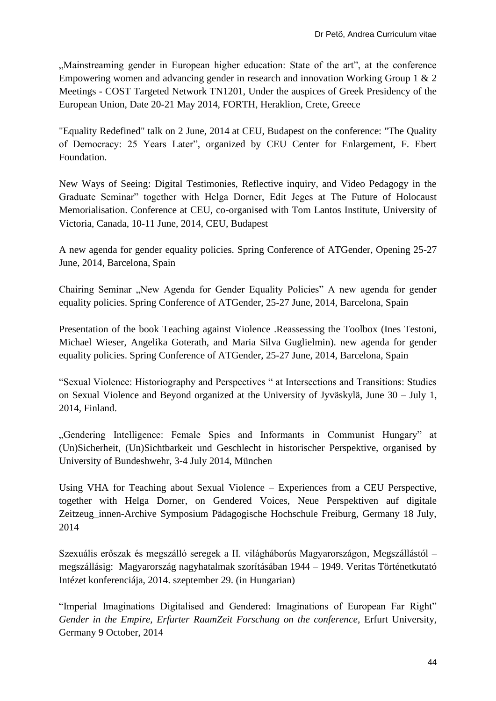"Mainstreaming gender in European higher education: State of the art", at the conference Empowering women and advancing gender in research and innovation Working Group 1 & 2 Meetings - COST Targeted Network TN1201, Under the auspices of Greek Presidency of the European Union, Date 20-21 May 2014, FORTH, Heraklion, Crete, Greece

["Equality Redefined" talk on 2 June, 2014 at CEU, Budapest on the conference: "The Quality](http://www.academia.edu/7131790/_Equality_Redefined_talk_on_2_June_CEU_Budapest_on_the_conference_The_Quality_of_Democracy_25_Years_Later_)  [of Democracy: 25 Years Later",](http://www.academia.edu/7131790/_Equality_Redefined_talk_on_2_June_CEU_Budapest_on_the_conference_The_Quality_of_Democracy_25_Years_Later_) organized by CEU Center for Enlargement, F. Ebert Foundation.

New Ways of Seeing: Digital Testimonies, Reflective inquiry, and Video Pedagogy in the Graduate Seminar" together with Helga Dorner, Edit Jeges at [The Future of Holocaust](http://www.academia.edu/7218593/The_Future_of_Holocaust_Memorialisation._Conference_at_CEU_co-organised_with_Tom_Lantos_Institute_10_June_2014)  [Memorialisation. Conference at CEU, co-organised with Tom Lantos Institute, University of](http://www.academia.edu/7218593/The_Future_of_Holocaust_Memorialisation._Conference_at_CEU_co-organised_with_Tom_Lantos_Institute_10_June_2014)  [Victoria, Canada, 10-11 June, 2014,](http://www.academia.edu/7218593/The_Future_of_Holocaust_Memorialisation._Conference_at_CEU_co-organised_with_Tom_Lantos_Institute_10_June_2014) CEU, Budapest

A new agenda for gender equality policies. Spring Conference of ATGender, Opening 25-27 June, 2014, Barcelona, Spain

Chairing Seminar "New Agenda for Gender Equality Policies" A new agenda for gender equality policies. Spring Conference of ATGender, 25-27 June, 2014, Barcelona, Spain

Presentation of the book Teaching against Violence .Reassessing the Toolbox (Ines Testoni, Michael Wieser, Angelika Goterath, and Maria Silva Guglielmin). new agenda for gender equality policies. Spring Conference of ATGender, 25-27 June, 2014, Barcelona, Spain

"Sexual Violence: Historiography and Perspectives " at Intersections and Transitions: Studies on Sexual Violence and Beyond organized at the University of Jyväskylä, June 30 – July 1, 2014, Finland.

"Gendering Intelligence: Female Spies and Informants in Communist Hungary" at (Un)Sicherheit, (Un)Sichtbarkeit und Geschlecht in historischer Perspektive, organised by University of Bundeshwehr, 3-4 July 2014, München

Using VHA for Teaching about Sexual Violence – Experiences from a CEU Perspective, together with Helga Dorner, on Gendered Voices, Neue Perspektiven auf digitale Zeitzeug\_innen-Archive Symposium Pädagogische Hochschule Freiburg, Germany 18 July, 2014

Szexuális erőszak és megszálló seregek a II. világháborús Magyarországon, Megszállástól – megszállásig: Magyarország nagyhatalmak szorításában 1944 – 1949. Veritas Történetkutató Intézet konferenciája, 2014. szeptember 29. (in Hungarian)

"Imperial Imaginations Digitalised and Gendered: Imaginations of European Far Right" *Gender in the Empire, Erfurter RaumZeit Forschung on the conference, Erfurt University,* Germany 9 October, 2014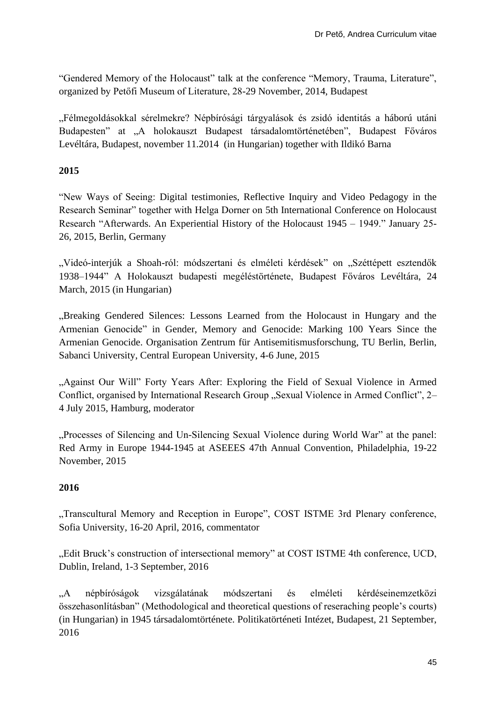"Gendered Memory of the Holocaust" talk at the conference "Memory, Trauma, Literature", organized by Petőfi Museum of Literature, 28-29 November, 2014, Budapest

"Félmegoldásokkal sérelmekre? Népbírósági tárgyalások és zsidó identitás a háború utáni Budapesten" at "A holokauszt Budapest társadalomtörténetében", Budapest Főváros Levéltára, Budapest, november 11.2014 (in Hungarian) together with Ildikó Barna

#### **2015**

"New Ways of Seeing: Digital testimonies, Reflective Inquiry and Video Pedagogy in the Research Seminar" together with Helga Dorner on 5th International Conference on Holocaust Research "Afterwards. An Experiential History of the Holocaust 1945 – 1949." January 25- 26, 2015, Berlin, Germany

"Videó-interjúk a Shoah-ról: módszertani és elméleti kérdések" on "Széttépett esztendők 1938–1944" A Holokauszt budapesti megéléstörténete, Budapest Főváros Levéltára, 24 March, 2015 (in Hungarian)

"Breaking Gendered Silences: Lessons Learned from the Holocaust in Hungary and the Armenian Genocide" in Gender, Memory and Genocide: Marking 100 Years Since the Armenian Genocide. Organisation Zentrum für Antisemitismusforschung, TU Berlin, Berlin, Sabanci University, Central European University, 4-6 June, 2015

"Against Our Will" Forty Years After: Exploring the Field of Sexual Violence in Armed Conflict, organised by International Research Group "Sexual Violence in Armed Conflict", 2– 4 July 2015, Hamburg, moderator

"Processes of Silencing and Un-Silencing Sexual Violence during World War" at the panel: Red Army in Europe 1944-1945 at ASEEES 47th Annual Convention, Philadelphia, 19-22 November, 2015

# **2016**

"Transcultural Memory and Reception in Europe", COST ISTME 3rd Plenary conference, Sofia University, 16-20 April, 2016, commentator

"Edit Bruck's construction of intersectional memory" at COST ISTME 4th conference, UCD, Dublin, Ireland, 1-3 September, 2016

"A népbíróságok vizsgálatának módszertani és elméleti kérdéseinemzetközi összehasonlításban" (Methodological and theoretical questions of reseraching people's courts) (in Hungarian) in 1945 társadalomtörténete. Politikatörténeti Intézet, Budapest, 21 September, 2016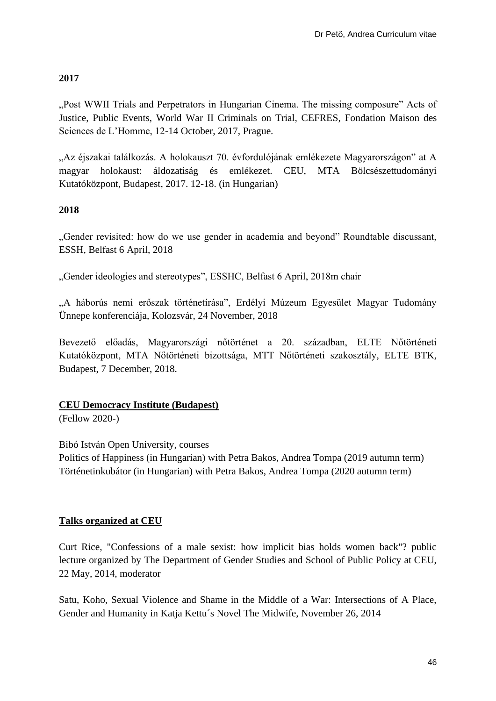# **2017**

"Post WWII Trials and Perpetrators in Hungarian Cinema. The missing composure" Acts of Justice, Public Events, World War II Criminals on Trial, CEFRES, Fondation Maison des Sciences de L'Homme, 12-14 October, 2017, Prague.

"Az éjszakai találkozás. A holokauszt 70. évfordulójának emlékezete Magyarországon" at A magyar holokaust: áldozatiság és emlékezet. CEU, MTA Bölcsészettudományi Kutatóközpont, Budapest, 2017. 12-18. (in Hungarian)

# **2018**

"Gender revisited: how do we use gender in academia and beyond" Roundtable discussant, ESSH, Belfast 6 April, 2018

"Gender ideologies and stereotypes", ESSHC, Belfast 6 April, 2018m chair

"A háborús nemi erőszak történetírása", Erdélyi Múzeum Egyesület Magyar Tudomány Ünnepe konferenciája, Kolozsvár, 24 November, 2018

Bevezető előadás, Magyarországi nőtörténet a 20. században, ELTE Nőtörténeti Kutatóközpont, MTA Nőtörténeti bizottsága, MTT Nőtörténeti szakosztály, ELTE BTK, Budapest, 7 December, 2018.

# **CEU Democracy Institute (Budapest)**

(Fellow 2020-)

Bibó István Open University, courses

Politics of Happiness (in Hungarian) with Petra Bakos, Andrea Tompa (2019 autumn term) Történetinkubátor (in Hungarian) with Petra Bakos, Andrea Tompa (2020 autumn term)

#### **Talks organized at CEU**

Curt Rice, "Confessions of a male sexist: how implicit bias holds women back"? public lecture organized by The Department of Gender Studies and School of Public Policy at CEU, 22 May, 2014, moderator

Satu, Koho, [Sexual Violence and Shame in the Middle of a War: Intersections of A Place,](http://www.ceu.edu/event/2014-11-26/sexual-violence-and-shame-middle-war-intersections-place-gender-and-humanity-katja)  Gender and Humanity [in Katja Kettu´s Novel The Midwife,](http://www.ceu.edu/event/2014-11-26/sexual-violence-and-shame-middle-war-intersections-place-gender-and-humanity-katja) November 26, 2014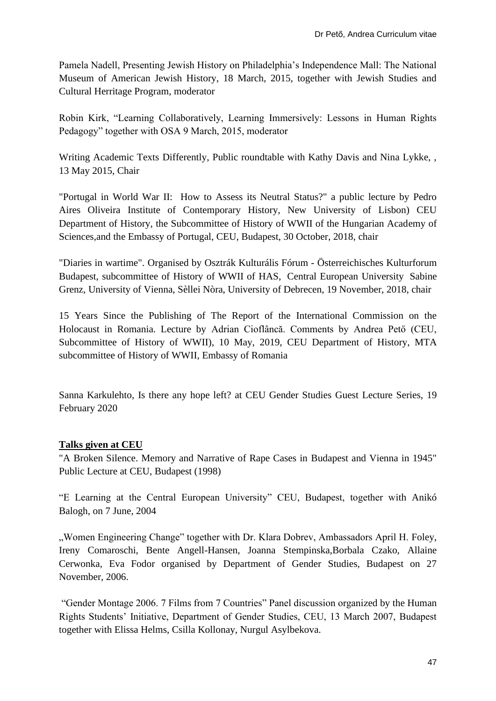Pamela Nadell, Presenting Jewish History on Philadelphia's Independence Mall: The National Museum of American Jewish History, 18 March, 2015, together with Jewish Studies and Cultural Herritage Program, moderator

Robin Kirk, "Learning Collaboratively, Learning Immersively: Lessons in Human Rights Pedagogy" together with OSA 9 March, 2015, moderator

Writing Academic Texts Differently, Public roundtable with Kathy Davis and Nina Lykke, , 13 May 2015, Chair

"Portugal in World War II: How to Assess its Neutral Status?" a public lecture by Pedro Aires Oliveira Institute of Contemporary History, New University of Lisbon) CEU Department of History, the Subcommittee of History of WWII of the Hungarian Academy of Sciences,and the Embassy of Portugal, CEU, Budapest, 30 October, 2018, chair

"Diaries in wartime". Organised by Osztrák Kulturális Fórum - [Österreichisches Kulturforum](https://www.facebook.com/kulturforumbudapest/?__tn__=K-R&eid=ARDlKqDeK2UZ-EqmgbAvyH8_H-KxnTulHFBD7ciNMkOlK1ozf_SJoLLe-0ppfMffGx5xIIV4a4Y5TwhG&fref=mentions&__xts__%5B0%5D=68.ARDzZGMh6Phv6vn-wEt83Afs_OBI25X_KJvMSNwhJHK9CtpCN2hYKyu_mNoSb8Ur1n30yLH_qpxjGRvId8-30uU6ha7n53sxiUQ49MumNN2k_hHIWBM_B_kKbMVvJQ1W87knL7A2np9YjsrWQHZcgGmztgfxWUPTacJqeW6rSmtiub1tH3gES8QQF42OMNL-Z1wi3G66uxWuKVkwHD42PFf4smuMSCgFafMsQ7eR68ZxdEPx8cxCy8NPdlv3ydwxv7eK0wSSQLX0GMQGmZ3LQqfPmRD60n1EQlGZvodveK9ExKkEiZIwbXhSW5N_nbwjqgEuVhRFOdUIjVcbTaI588wkt8mXJABYHfFWV9qhb0xhl3NMn5lc2xCJMt8w7V7CbxxV-XXgqcwVfLa_kOpScpkQ2QGq6bJAW7qsLQY)  [Budapest,](https://www.facebook.com/kulturforumbudapest/?__tn__=K-R&eid=ARDlKqDeK2UZ-EqmgbAvyH8_H-KxnTulHFBD7ciNMkOlK1ozf_SJoLLe-0ppfMffGx5xIIV4a4Y5TwhG&fref=mentions&__xts__%5B0%5D=68.ARDzZGMh6Phv6vn-wEt83Afs_OBI25X_KJvMSNwhJHK9CtpCN2hYKyu_mNoSb8Ur1n30yLH_qpxjGRvId8-30uU6ha7n53sxiUQ49MumNN2k_hHIWBM_B_kKbMVvJQ1W87knL7A2np9YjsrWQHZcgGmztgfxWUPTacJqeW6rSmtiub1tH3gES8QQF42OMNL-Z1wi3G66uxWuKVkwHD42PFf4smuMSCgFafMsQ7eR68ZxdEPx8cxCy8NPdlv3ydwxv7eK0wSSQLX0GMQGmZ3LQqfPmRD60n1EQlGZvodveK9ExKkEiZIwbXhSW5N_nbwjqgEuVhRFOdUIjVcbTaI588wkt8mXJABYHfFWV9qhb0xhl3NMn5lc2xCJMt8w7V7CbxxV-XXgqcwVfLa_kOpScpkQ2QGq6bJAW7qsLQY) subcommittee of History of WWII of HAS, [Central European University](https://www.facebook.com/ceuhungary/?__tn__=K-R&eid=ARBfsgkkaLB_0zsAribcxYcc8M2YMVrpBOM49g1neZ6WdF0LJffaCVP4c4HUatgl_WD4bnObNMsGTwC4&fref=mentions&__xts__%5B0%5D=68.ARDzZGMh6Phv6vn-wEt83Afs_OBI25X_KJvMSNwhJHK9CtpCN2hYKyu_mNoSb8Ur1n30yLH_qpxjGRvId8-30uU6ha7n53sxiUQ49MumNN2k_hHIWBM_B_kKbMVvJQ1W87knL7A2np9YjsrWQHZcgGmztgfxWUPTacJqeW6rSmtiub1tH3gES8QQF42OMNL-Z1wi3G66uxWuKVkwHD42PFf4smuMSCgFafMsQ7eR68ZxdEPx8cxCy8NPdlv3ydwxv7eK0wSSQLX0GMQGmZ3LQqfPmRD60n1EQlGZvodveK9ExKkEiZIwbXhSW5N_nbwjqgEuVhRFOdUIjVcbTaI588wkt8mXJABYHfFWV9qhb0xhl3NMn5lc2xCJMt8w7V7CbxxV-XXgqcwVfLa_kOpScpkQ2QGq6bJAW7qsLQY) Sabine Grenz, University of Vienna, Sèllei Nòra, University of Debrecen, 19 November, 2018, chair

15 Years Since the Publishing of The Report of the International Commission on the Holocaust in Romania. Lecture by Adrian Cioflâncă. Comments by Andrea Pető (CEU, Subcommittee of History of WWII), 10 May, 2019, CEU Department of History, MTA subcommittee of History of WWII, Embassy of Romania

[Sanna Karkulehto,](https://www.jyu.fi/hytk/fi/laitokset/mutku/henkilokunta/laitoksen-henkilokunta/karkulehto-sanna) Is there any hope left? at CEU Gender Studies Guest Lecture Series, 19 February 2020

# **Talks given at CEU**

"A Broken Silence. Memory and Narrative of Rape Cases in Budapest and Vienna in 1945" Public Lecture at CEU, Budapest (1998)

"E Learning at the Central European University" CEU, Budapest, together with Anikó Balogh, on 7 June, 2004

"Women Engineering Change" together with Dr. Klara Dobrev, Ambassadors April H. Foley, Ireny Comaroschi, Bente Angell-Hansen, Joanna Stempinska,Borbala Czako, Allaine Cerwonka, Eva Fodor organised by Department of Gender Studies, Budapest on 27 November, 2006.

"Gender Montage 2006. 7 Films from 7 Countries" Panel discussion organized by the Human Rights Students' Initiative, Department of Gender Studies, CEU, 13 March 2007, Budapest together with Elissa Helms, Csilla Kollonay, Nurgul Asylbekova.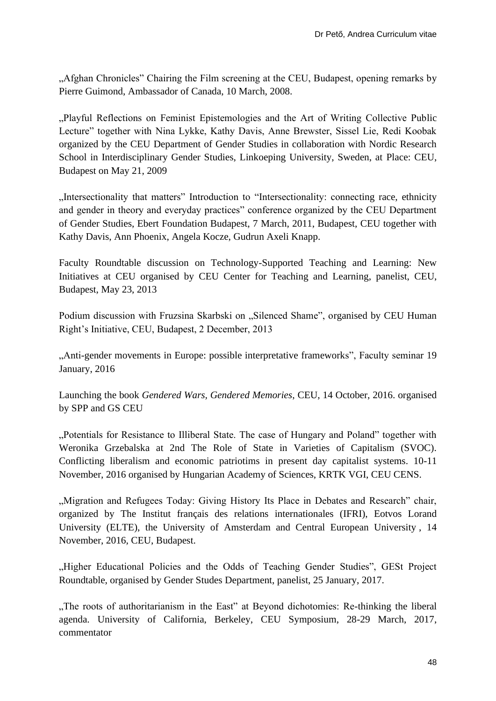"Afghan Chronicles" Chairing the Film screening at the CEU, Budapest, opening remarks by Pierre Guimond, Ambassador of Canada, 10 March, 2008.

"Playful Reflections on Feminist Epistemologies and the Art of Writing Collective Public Lecture" together with Nina Lykke, Kathy Davis, Anne Brewster, Sissel Lie, Redi Koobak organized by the CEU Department of Gender Studies in collaboration with Nordic Research School in Interdisciplinary Gender Studies, Linkoeping University, Sweden, at Place: CEU, Budapest on May 21, 2009

"Intersectionality that matters" Introduction to "Intersectionality: connecting race, ethnicity and gender in theory and everyday practices" conference organized by the CEU Department of Gender Studies, Ebert Foundation Budapest, 7 March, 2011, Budapest, CEU together with Kathy Davis, Ann Phoenix, Angela Kocze, Gudrun Axeli Knapp.

Faculty Roundtable discussion on Technology-Supported Teaching and Learning: New Initiatives at CEU organised by CEU Center for Teaching and Learning, panelist, CEU, Budapest, May 23, 2013

Podium discussion with Fruzsina Skarbski on "Silenced Shame", organised by CEU Human Right's Initiative, CEU, Budapest, 2 December, 2013

"Anti-gender movements in Europe: possible interpretative frameworks", Faculty seminar 19 January, 2016

Launching the book *Gendered Wars, Gendered Memories*, CEU, 14 October, 2016. organised by SPP and GS CEU

"Potentials for Resistance to Illiberal State. The case of Hungary and Poland" together with Weronika Grzebalska at 2nd The Role of State in Varieties of Capitalism (SVOC). Conflicting liberalism and economic patriotims in present day capitalist systems. 10-11 November, 2016 organised by Hungarian Academy of Sciences, KRTK VGI, CEU CENS.

"Migration and Refugees Today: Giving History Its Place in Debates and Research" chair, organized by The Institut français des relations internationales (IFRI), Eotvos Lorand University (ELTE), the University of Amsterdam and Central European University , 14 November, 2016, CEU, Budapest.

"Higher Educational Policies and the Odds of Teaching Gender Studies", GESt Project Roundtable, organised by Gender Studes Department, panelist, 25 January, 2017.

"The roots of authoritarianism in the East" at Beyond dichotomies: Re-thinking the liberal agenda. University of California, Berkeley, CEU Symposium, 28-29 March, 2017, commentator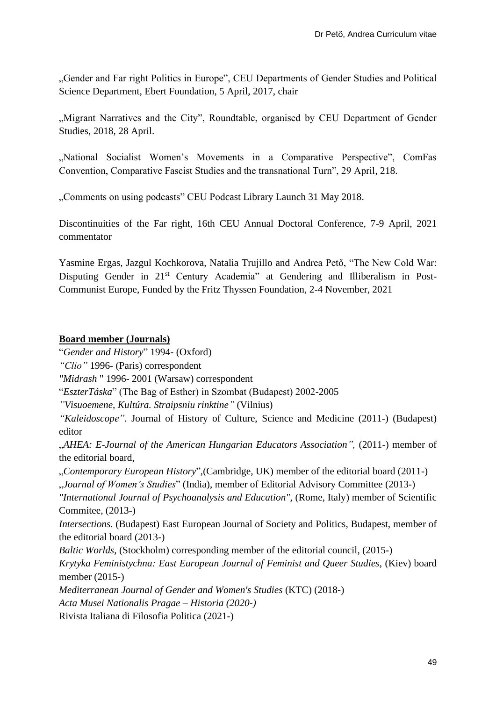"Gender and Far right Politics in Europe", CEU Departments of Gender Studies and Political Science Department, Ebert Foundation, 5 April, 2017, chair

"Migrant Narratives and the City", Roundtable, organised by CEU Department of Gender Studies, 2018, 28 April.

"National Socialist Women's Movements in a Comparative Perspective", ComFas Convention, Comparative Fascist Studies and the transnational Turn", 29 April, 218.

"Comments on using podcasts" CEU Podcast Library Launch 31 May 2018.

Discontinuities of the Far right, 16th CEU Annual Doctoral Conference, 7-9 April, 2021 commentator

Yasmine Ergas, Jazgul Kochkorova, Natalia Trujillo and Andrea Pető, "The New Cold War: Disputing Gender in 21<sup>st</sup> Century Academia" at Gendering and Illiberalism in Post-Communist Europe, Funded by the Fritz Thyssen Foundation, 2-4 November, 2021

#### **Board member (Journals)**

"*Gender and History*" 1994- (Oxford)

*"Clio"* 1996- (Paris) correspondent

*"Midrash* " 1996- 2001 (Warsaw) correspondent

"*EszterTáska*" (The Bag of Esther) in Szombat (Budapest) 2002-2005

*"Visuoemene, Kultúra. Straipsniu rinktine"* (Vilnius)

*"Kaleidoscope".* Journal of History of Culture, Science and Medicine (2011-) (Budapest) editor

"*AHEA: E-Journal of the American Hungarian Educators Association",* (2011-) member of the editorial board,

"*Contemporary European History*",(Cambridge, UK) member of the editorial board (2011-)

"*Journal of Women's Studies*" (India), member of Editorial Advisory Committee (2013-)

*"International Journal of Psychoanalysis and Education"*, (Rome, Italy) member of Scientific Commitee, (2013-)

*Intersections*. (Budapest) East European Journal of Society and Politics, Budapest, member of the editorial board (2013-)

*Baltic Worlds*, (Stockholm) corresponding member of the editorial council, (2015-)

*Krytyka Feministychna: East European Journal of Feminist and Queer Studies*, (Kiev) board member (2015-)

*Mediterranean Journal of Gender and Women's Studies* (KTC) (2018-)

*Acta Musei Nationalis Pragae – Historia (2020-)*

Rivista Italiana di Filosofia Politica (2021-)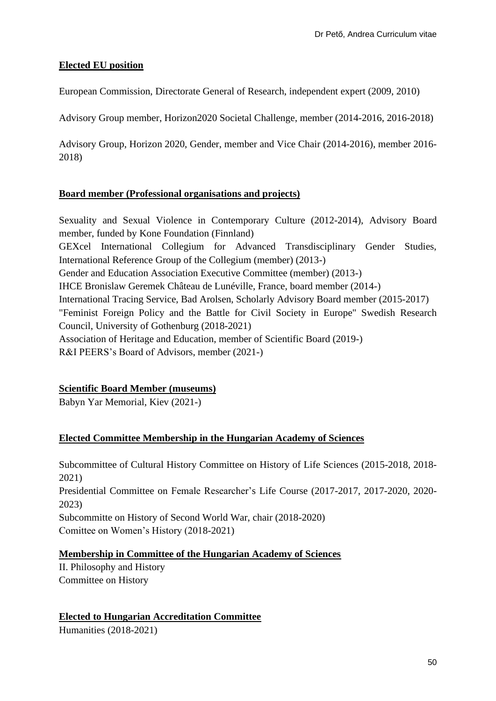# **Elected EU position**

European Commission, Directorate General of Research, independent expert (2009, 2010)

Advisory Group member, Horizon2020 Societal Challenge, member (2014-2016, 2016-2018)

Advisory Group, Horizon 2020, Gender, member and Vice Chair (2014-2016), member 2016- 2018)

#### **Board member (Professional organisations and projects)**

Sexuality and Sexual Violence in Contemporary Culture (2012-2014), Advisory Board member, funded by [Kone Foundation](http://www.koneensaatio.fi/) (Finnland) GEXcel International Collegium for Advanced Transdisciplinary Gender Studies, International Reference Group of the Collegium (member) (2013-) Gender and Education Association Executive Committee (member) (2013-) IHCE Bronislaw Geremek Château de Lunéville, France, board member (2014-) International Tracing Service, Bad Arolsen, Scholarly Advisory Board member (2015-2017) "Feminist Foreign Policy and the Battle for Civil Society in Europe" Swedish Research Council, University of Gothenburg (2018-2021) Association of Heritage and Education, member of Scientific Board (2019-) R&I PEERS's Board of Advisors, member (2021-)

# **Scientific Board Member (museums)**

Babyn Yar Memorial, Kiev (2021-)

# **Elected Committee Membership in the Hungarian Academy of Sciences**

Subcommittee of Cultural History Committee on History of Life Sciences (2015-2018, 2018- 2021) Presidential Committee on Female Researcher's Life Course (2017-2017, 2017-2020, 2020- 2023) Subcommitte on History of Second World War, chair (2018-2020) Comittee on Women's History (2018-2021)

# **Membership in Committee of the Hungarian Academy of Sciences**

II. Philosophy and History Committee on History

# **Elected to Hungarian Accreditation Committee**

Humanities (2018-2021)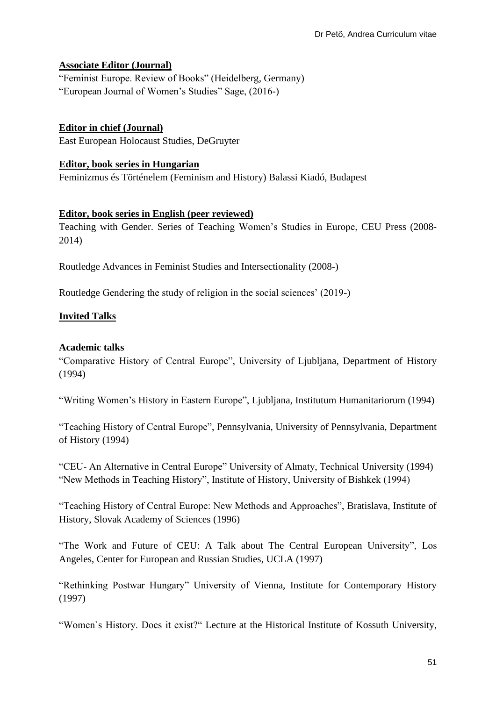#### **Associate Editor (Journal)**

"Feminist Europe. Review of Books" (Heidelberg, Germany) "European Journal of Women's Studies" Sage, (2016-)

**Editor in chief (Journal)** East European Holocaust Studies, DeGruyter

#### **Editor, book series in Hungarian**

Feminizmus és Történelem (Feminism and History) Balassi Kiadó, Budapest

#### **Editor, book series in English (peer reviewed)**

Teaching with Gender. Series of Teaching Women's Studies in Europe, CEU Press (2008- 2014)

Routledge Advances in Feminist Studies and Intersectionality (2008-)

Routledge Gendering the study of religion in the social sciences' (2019-)

#### **Invited Talks**

#### **Academic talks**

"Comparative History of Central Europe", University of Ljubljana, Department of History (1994)

"Writing Women's History in Eastern Europe", Ljubljana, Institutum Humanitariorum (1994)

"Teaching History of Central Europe", Pennsylvania, University of Pennsylvania, Department of History (1994)

"CEU- An Alternative in Central Europe" University of Almaty, Technical University (1994) "New Methods in Teaching History", Institute of History, University of Bishkek (1994)

"Teaching History of Central Europe: New Methods and Approaches", Bratislava, Institute of History, Slovak Academy of Sciences (1996)

"The Work and Future of CEU: A Talk about The Central European University", Los Angeles, Center for European and Russian Studies, UCLA (1997)

"Rethinking Postwar Hungary" University of Vienna, Institute for Contemporary History (1997)

"Women`s History. Does it exist?" Lecture at the Historical Institute of Kossuth University,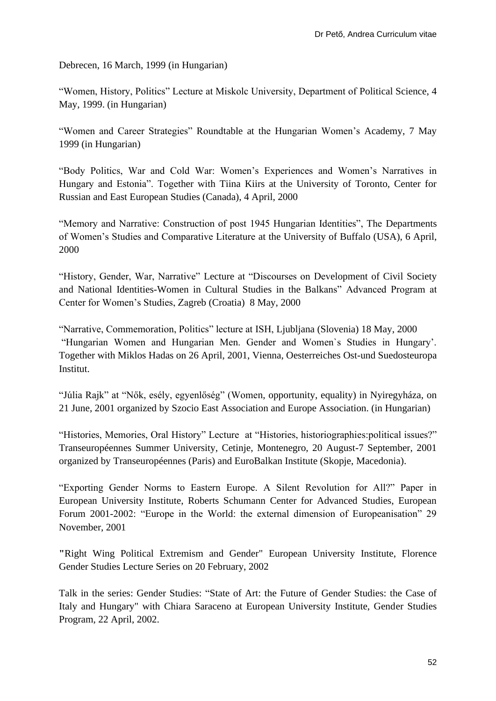Debrecen, 16 March, 1999 (in Hungarian)

"Women, History, Politics" Lecture at Miskolc University, Department of Political Science, 4 May, 1999. (in Hungarian)

"Women and Career Strategies" Roundtable at the Hungarian Women's Academy, 7 May 1999 (in Hungarian)

"Body Politics, War and Cold War: Women's Experiences and Women's Narratives in Hungary and Estonia". Together with Tiina Kiirs at the University of Toronto, Center for Russian and East European Studies (Canada), 4 April, 2000

"Memory and Narrative: Construction of post 1945 Hungarian Identities", The Departments of Women's Studies and Comparative Literature at the University of Buffalo (USA), 6 April, 2000

"History, Gender, War, Narrative" Lecture at "Discourses on Development of Civil Society and National Identities-Women in Cultural Studies in the Balkans" Advanced Program at Center for Women's Studies, Zagreb (Croatia) 8 May, 2000

"Narrative, Commemoration, Politics" lecture at ISH, Ljubljana (Slovenia) 18 May, 2000 "Hungarian Women and Hungarian Men. Gender and Women`s Studies in Hungary'. Together with Miklos Hadas on 26 April, 2001, Vienna, Oesterreiches Ost-und Suedosteuropa Institut.

"Júlia Rajk" at "Nők, esély, egyenlőség" (Women, opportunity, equality) in Nyiregyháza, on 21 June, 2001 organized by Szocio East Association and Europe Association. (in Hungarian)

"Histories, Memories, Oral History" Lecture at "Histories, historiographies:political issues?" Transeuropéennes Summer University, Cetinje, Montenegro, 20 August-7 September, 2001 organized by Transeuropéennes (Paris) and EuroBalkan Institute (Skopje, Macedonia).

"Exporting Gender Norms to Eastern Europe. A Silent Revolution for All?" Paper in European University Institute, Roberts Schumann Center for Advanced Studies, European Forum 2001-2002: "Europe in the World: the external dimension of Europeanisation" 29 November, 2001

**"**Right Wing Political Extremism and Gender" European University Institute, Florence Gender Studies Lecture Series on 20 February, 2002

Talk in the series: Gender Studies: "State of Art: the Future of Gender Studies: the Case of Italy and Hungary" with Chiara Saraceno at European University Institute, Gender Studies Program, 22 April, 2002.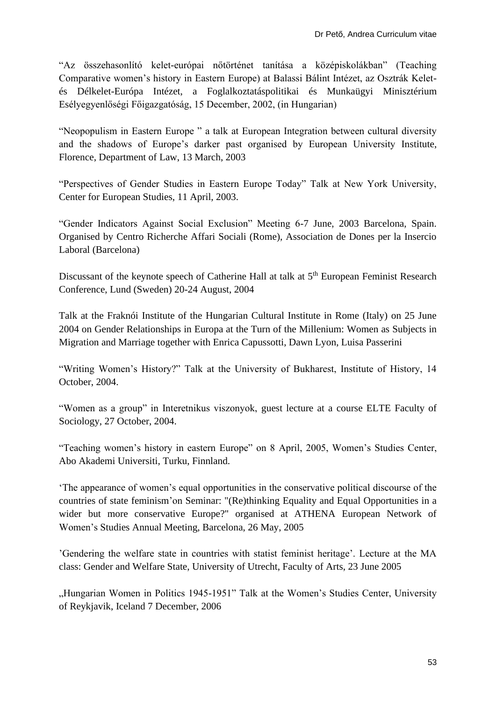"Az összehasonlító kelet-európai nőtörténet tanítása a középiskolákban" (Teaching Comparative women's history in Eastern Europe) at Balassi Bálint Intézet, az Osztrák Keletés Délkelet-Európa Intézet, a Foglalkoztatáspolitikai és Munkaügyi Minisztérium Esélyegyenlőségi Főigazgatóság, 15 December, 2002, (in Hungarian)

"Neopopulism in Eastern Europe " a talk at European Integration between cultural diversity and the shadows of Europe's darker past organised by European University Institute, Florence, Department of Law, 13 March, 2003

"Perspectives of Gender Studies in Eastern Europe Today" Talk at New York University, Center for European Studies, 11 April, 2003.

"Gender Indicators Against Social Exclusion" Meeting 6-7 June, 2003 Barcelona, Spain. Organised by Centro Richerche Affari Sociali (Rome), Association de Dones per la Insercio Laboral (Barcelona)

Discussant of the keynote speech of Catherine Hall at talk at 5<sup>th</sup> European Feminist Research Conference, Lund (Sweden) 20-24 August, 2004

Talk at the Fraknói Institute of the Hungarian Cultural Institute in Rome (Italy) on 25 June 2004 on Gender Relationships in Europa at the Turn of the Millenium: Women as Subjects in Migration and Marriage together with Enrica Capussotti, Dawn Lyon, Luisa Passerini

"Writing Women's History?" Talk at the University of Bukharest, Institute of History, 14 October, 2004.

"Women as a group" in Interetnikus viszonyok, guest lecture at a course ELTE Faculty of Sociology, 27 October, 2004.

"Teaching women's history in eastern Europe" on 8 April, 2005, Women's Studies Center, Abo Akademi Universiti, Turku, Finnland.

'The appearance of women's equal opportunities in the conservative political discourse of the countries of state feminism'on Seminar: "(Re)thinking Equality and Equal Opportunities in a wider but more conservative Europe?" organised at ATHENA European Network of Women's Studies Annual Meeting, Barcelona, 26 May, 2005

'Gendering the welfare state in countries with statist feminist heritage'. Lecture at the MA class: Gender and Welfare State, University of Utrecht, Faculty of Arts, 23 June 2005

"Hungarian Women in Politics 1945-1951" Talk at the Women's Studies Center, University of Reykjavik, Iceland 7 December, 2006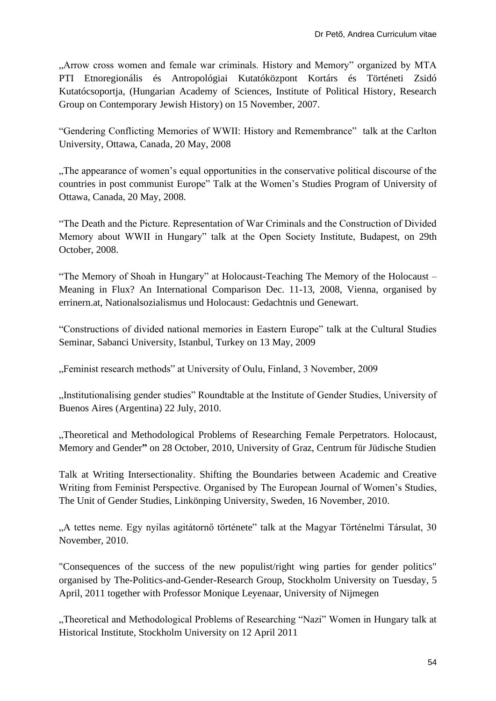"Arrow cross women and female war criminals. History and Memory" organized by MTA PTI Etnoregionális és Antropológiai Kutatóközpont Kortárs és Történeti Zsidó Kutatócsoportja, (Hungarian Academy of Sciences, Institute of Political History, Research Group on Contemporary Jewish History) on 15 November, 2007.

"Gendering Conflicting Memories of WWII: History and Remembrance" talk at the Carlton University, Ottawa, Canada, 20 May, 2008

"The appearance of women's equal opportunities in the conservative political discourse of the countries in post communist Europe" Talk at the Women's Studies Program of University of Ottawa, Canada, 20 May, 2008.

"The Death and the Picture. Representation of War Criminals and the Construction of Divided Memory about WWII in Hungary" talk at the Open Society Institute, Budapest, on 29th October, 2008.

"The Memory of Shoah in Hungary" at Holocaust-Teaching The Memory of the Holocaust – Meaning in Flux? An International Comparison Dec. 11-13, 2008, Vienna, organised by errinern.at, Nationalsozialismus und Holocaust: Gedachtnis und Genewart.

"Constructions of divided national memories in Eastern Europe" talk at the Cultural Studies Seminar, Sabanci University, Istanbul, Turkey on 13 May, 2009

"Feminist research methods" at University of Oulu, Finland, 3 November, 2009

"Institutionalising gender studies" Roundtable at the Institute of Gender Studies, University of Buenos Aires (Argentina) 22 July, 2010.

"Theoretical and Methodological Problems of Researching Female Perpetrators. Holocaust, Memory and Gender**"** on 28 October, 2010, University of Graz, Centrum für Jüdische Studien

Talk at Writing Intersectionality. Shifting the Boundaries between Academic and Creative Writing from Feminist Perspective. Organised by The European Journal of Women's Studies, The Unit of Gender Studies, Linkönping University, Sweden, 16 November, 2010.

"A tettes neme. Egy nyilas agitátornő története" talk at the Magyar Történelmi Társulat, 30 November, 2010.

"Consequences of the success of the new populist/right wing parties for gender politics" organised by The-Politics-and-Gender-Research Group, Stockholm University on Tuesday, 5 April, 2011 together with Professor Monique Leyenaar, University of Nijmegen

"Theoretical and Methodological Problems of Researching "Nazi" Women in Hungary talk at Historical Institute, Stockholm University on 12 April 2011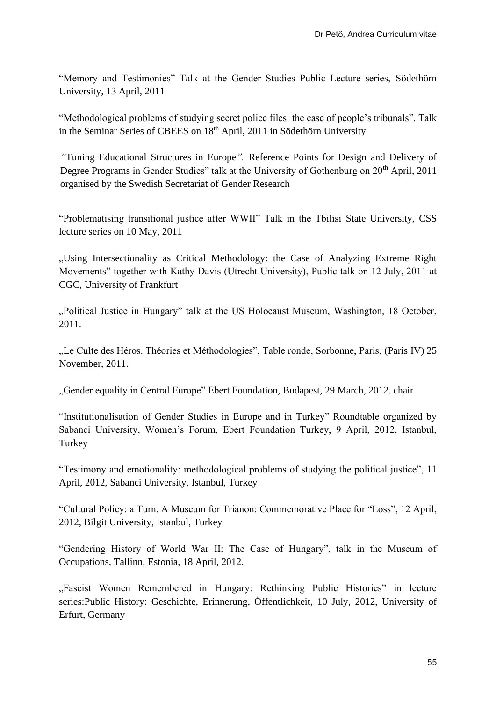"Memory and Testimonies" Talk at the Gender Studies Public Lecture series, Södethörn University, 13 April, 2011

"Methodological problems of studying secret police files: the case of people's tribunals". Talk in the Seminar Series of CBEES on 18<sup>th</sup> April, 2011 in Södethörn University

*"*[Tuning Educational Structures in Europe](http://www.atgender.eu/uploads/files/Gender%20Studies%20Tuning%20brochure%20Printed%20version%20FINAL.pdf)*".* Reference Points for Design and Delivery of Degree Programs in Gender Studies" talk at the University of Gothenburg on 20<sup>th</sup> April, 2011 organised by the Swedish Secretariat of Gender Research

"Problematising transitional justice after WWII" Talk in the Tbilisi State University, CSS lecture series on 10 May, 2011

"Using Intersectionality as Critical Methodology: the Case of Analyzing Extreme Right Movements" together with Kathy Davis (Utrecht University), Public talk on 12 July, 2011 at CGC, University of Frankfurt

"Political Justice in Hungary" talk at the US Holocaust Museum, Washington, 18 October, 2011.

"Le Culte des Héros. Théories et Méthodologies", Table ronde, Sorbonne, Paris, (Paris IV) 25 November, 2011.

"Gender equality in Central Europe" Ebert Foundation, Budapest, 29 March, 2012. chair

"Institutionalisation of Gender Studies in Europe and in Turkey" Roundtable organized by Sabanci University, Women's Forum, Ebert Foundation Turkey, 9 April, 2012, Istanbul, **Turkey** 

"Testimony and emotionality: methodological problems of studying the political justice", 11 April, 2012, Sabanci University, Istanbul, Turkey

"Cultural Policy: a Turn. A Museum for Trianon: Commemorative Place for "Loss", 12 April, 2012, Bilgit University, Istanbul, Turkey

"Gendering History of World War II: The Case of Hungary", talk in the Museum of Occupations, Tallinn, Estonia, 18 April, 2012.

"Fascist Women Remembered in Hungary: Rethinking Public Histories" in lecture series:Public History: Geschichte, Erinnerung, Öffentlichkeit*,* 10 July, 2012, University of Erfurt, Germany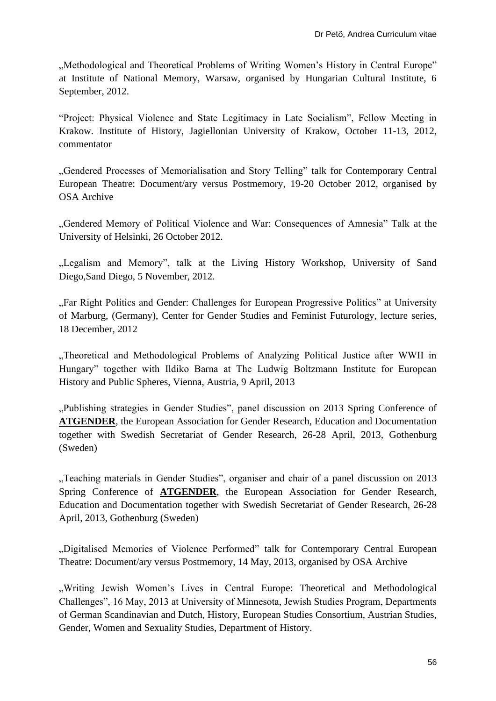"Methodological and Theoretical Problems of Writing Women's History in Central Europe" at Institute of National Memory, Warsaw, organised by Hungarian Cultural Institute, 6 September, 2012.

"Project: Physical Violence and State Legitimacy in Late Socialism", Fellow Meeting in Krakow. Institute of History, Jagiellonian University of Krakow, October 11-13, 2012, commentator

"Gendered Processes of Memorialisation and Story Telling" talk for Contemporary Central European Theatre: Document/ary versus Postmemory, 19-20 October 2012, organised by OSA Archive

"Gendered Memory of Political Violence and War: Consequences of Amnesia" Talk at the University of Helsinki, 26 October 2012.

"Legalism and Memory", talk at the Living History Workshop, University of Sand Diego,Sand Diego, 5 November, 2012.

"Far Right Politics and Gender: Challenges for European Progressive Politics" at University of Marburg, (Germany), Center for Gender Studies and Feminist Futurology, lecture series, 18 December, 2012

"Theoretical and Methodological Problems of Analyzing Political Justice after WWII in Hungary" together with Ildiko Barna at The Ludwig Boltzmann Institute for European History and Public Spheres, Vienna, Austria, 9 April, 2013

"Publishing strategies in Gender Studies", panel discussion on 2013 Spring Conference of **ATGENDER**, the European Association for Gender Research, Education and Documentation together with Swedish Secretariat of Gender Research, 26-28 April, 2013, Gothenburg (Sweden)

"Teaching materials in Gender Studies", organiser and chair of a panel discussion on 2013 Spring Conference of **ATGENDER**, the European Association for Gender Research, Education and Documentation together with Swedish Secretariat of Gender Research, 26-28 April, 2013, Gothenburg (Sweden)

"Digitalised Memories of Violence Performed" talk for Contemporary Central European Theatre: Document/ary versus Postmemory, 14 May, 2013, organised by OSA Archive

"Writing Jewish Women's Lives in Central Europe: Theoretical and Methodological Challenges", 16 May, 2013 at University of Minnesota, Jewish Studies Program, Departments of German Scandinavian and Dutch, History, European Studies Consortium, Austrian Studies, Gender, Women and Sexuality Studies, Department of History.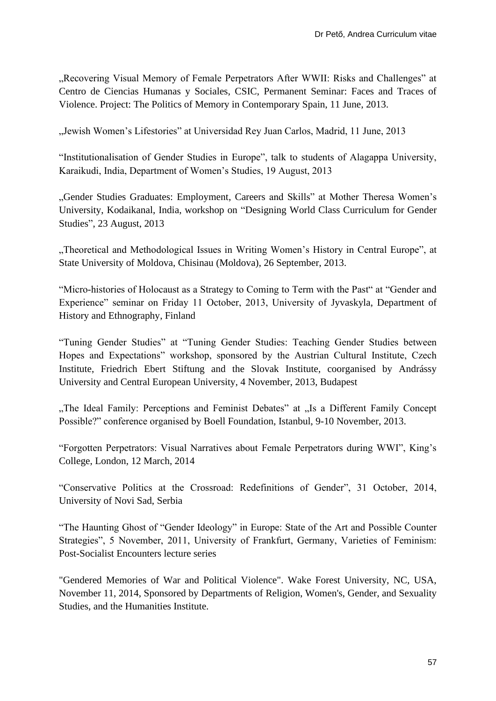"Recovering Visual Memory of Female Perpetrators After WWII: Risks and Challenges" at Centro de Ciencias Humanas y Sociales, CSIC, Permanent Seminar: Faces and Traces of Violence. Project: The Politics of Memory in Contemporary Spain, 11 June, 2013.

"Jewish Women's Lifestories" at Universidad Rey Juan Carlos, Madrid, 11 June, 2013

"Institutionalisation of Gender Studies in Europe", talk to students of Alagappa University, Karaikudi, India, Department of Women's Studies, 19 August, 2013

"Gender Studies Graduates: Employment, Careers and Skills" at Mother Theresa Women's University, Kodaikanal, India, workshop on "Designing World Class Curriculum for Gender Studies", 23 August, 2013

"Theoretical and Methodological Issues in Writing Women's History in Central Europe", at State University of Moldova, Chisinau (Moldova), 26 September, 2013.

"Micro-histories of Holocaust as a Strategy to Coming to Term with the Past" at "Gender and Experience" seminar on Friday 11 October, 2013, University of Jyvaskyla, Department of History and Ethnography, Finland

"Tuning Gender Studies" at "Tuning Gender Studies: Teaching Gender Studies between Hopes and Expectations" workshop, sponsored by the Austrian Cultural Institute, Czech Institute, Friedrich Ebert Stiftung and the Slovak Institute, coorganised by Andrássy University and Central European University, 4 November, 2013, Budapest

"The Ideal Family: Perceptions and Feminist Debates" at "Is a Different Family Concept Possible?" conference organised by Boell Foundation, Istanbul, 9-10 November, 2013.

"Forgotten Perpetrators: Visual Narratives about Female Perpetrators during WWI", King's College, London, 12 March, 2014

"Conservative Politics at the Crossroad: Redefinitions of Gender", 31 October, 2014, University of Novi Sad, Serbia

"The Haunting Ghost of "Gender Ideology" in Europe: State of the Art and Possible Counter Strategies", 5 November, 2011, University of Frankfurt, Germany, Varieties of Feminism: Post-Socialist Encounters lecture series

"Gendered Memories of War and Political Violence". Wake Forest University, NC, USA, November 11, 2014, Sponsored by Departments of Religion, Women's, Gender, and Sexuality Studies, and the Humanities Institute.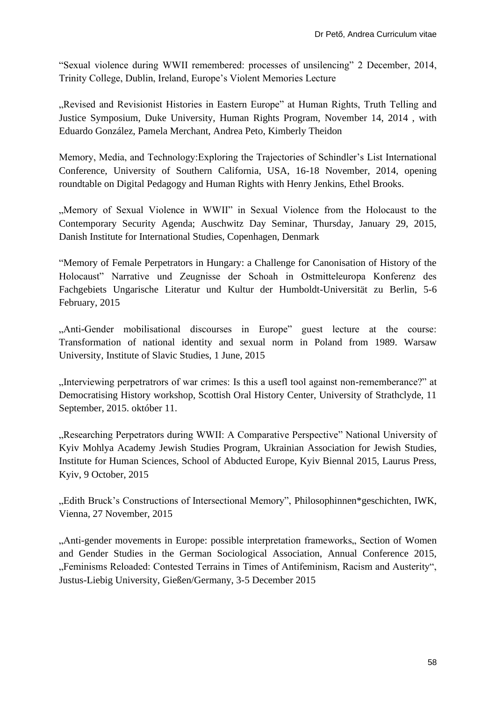"Sexual violence during WWII remembered: processes of unsilencing" 2 December, 2014, Trinity College, Dublin, Ireland, Europe's Violent Memories Lecture

"Revised and Revisionist Histories in Eastern Europe" at Human Rights, Truth Telling and Justice Symposium, Duke University, Human Rights Program, November 14, 2014 , with Eduardo González, Pamela Merchant, Andrea Peto, Kimberly Theidon

Memory, Media, and Technology:Exploring the Trajectories of Schindler's List International Conference, University of Southern California, USA, 16-18 November, 2014, opening roundtable on Digital Pedagogy and Human Rights with Henry Jenkins, Ethel Brooks.

"Memory of Sexual Violence in WWII" in Sexual Violence from the Holocaust to the Contemporary Security Agenda; Auschwitz Day Seminar, Thursday, January 29, 2015, Danish Institute for International Studies, Copenhagen, Denmark

"Memory of Female Perpetrators in Hungary: a Challenge for Canonisation of History of the Holocaust" Narrative und Zeugnisse der Schoah in Ostmitteleuropa Konferenz des Fachgebiets Ungarische Literatur und Kultur der Humboldt-Universität zu Berlin, 5-6 February, 2015

"Anti-Gender mobilisational discourses in Europe" guest lecture at the course: Transformation of national identity and sexual norm in Poland from 1989. Warsaw University, Institute of Slavic Studies, 1 June, 2015

"Interviewing perpetratrors of war crimes: Is this a usefl tool against non-rememberance?" at Democratising History workshop, Scottish Oral History Center, University of Strathclyde, 11 September, 2015. október 11.

"Researching Perpetrators during WWII: A Comparative Perspective" National University of Kyiv Mohlya Academy Jewish Studies Program, Ukrainian Association for Jewish Studies, Institute for Human Sciences, School of Abducted Europe, Kyiv Biennal 2015, Laurus Press, Kyiv, 9 October, 2015

"Edith Bruck's Constructions of Intersectional Memory", [Philosophinnen\\*geschichten,](http://www.iwk.ac.at/veranstaltungen/reihen/wintersemester-201516/philosophinnengeschichten) IWK, Vienna, 27 November, 2015

"Anti-gender movements in Europe: possible interpretation frameworks, Section of Women and Gender Studies in the German Sociological Association, Annual Conference 2015, "Feminisms Reloaded: Contested Terrains in Times of Antifeminism, Racism and Austerity", Justus-Liebig University, Gießen/Germany, 3-5 December 2015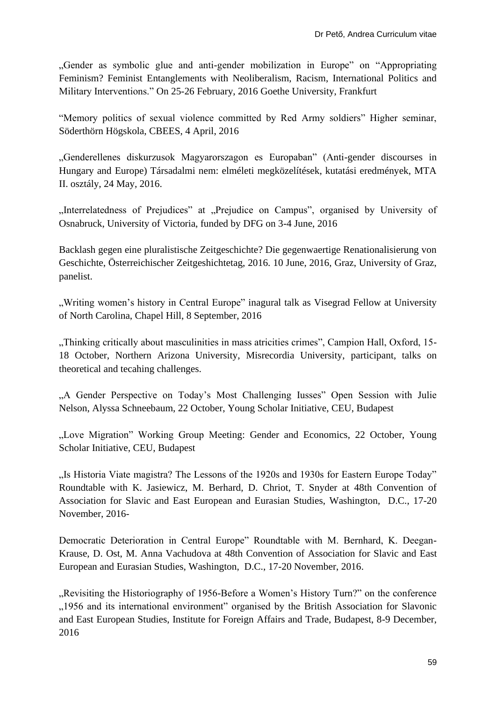"Gender as symbolic glue and anti-gender mobilization in Europe" on "Appropriating Feminism? Feminist Entanglements with Neoliberalism, Racism, International Politics and Military Interventions." On 25-26 February, 2016 Goethe University, Frankfurt

"Memory politics of sexual violence committed by Red Army soldiers" Higher seminar, Söderthörn Högskola, CBEES, 4 April, 2016

"Genderellenes diskurzusok Magyarorszagon es Europaban" (Anti-gender discourses in Hungary and Europe) Társadalmi nem: elméleti megközelítések, kutatási eredmények, MTA II. osztály, 24 May, 2016.

"Interrelatedness of Prejudices" at "Prejudice on Campus", organised by University of Osnabruck, University of Victoria, funded by DFG on 3-4 June, 2016

Backlash gegen eine pluralistische Zeitgeschichte? Die gegenwaertige Renationalisierung von Geschichte, Österreichischer Zeitgeshichtetag, 2016. 10 June, 2016, Graz, University of Graz, panelist.

", Writing women's history in Central Europe" inagural talk as Visegrad Fellow at University of North Carolina, Chapel Hill, 8 September, 2016

"Thinking critically about masculinities in mass atricities crimes", Campion Hall, Oxford, 15- 18 October, Northern Arizona University, Misrecordia University, participant, talks on theoretical and tecahing challenges.

"A Gender Perspective on Today's Most Challenging Iusses" Open Session with Julie Nelson, Alyssa Schneebaum, 22 October, Young Scholar Initiative, CEU, Budapest

"Love Migration" Working Group Meeting: Gender and Economics, 22 October, Young Scholar Initiative, CEU, Budapest

"Is Historia Viate magistra? The Lessons of the 1920s and 1930s for Eastern Europe Today" Roundtable with K. Jasiewicz, M. Berhard, D. Chriot, T. Snyder at 48th Convention of Association for Slavic and East European and Eurasian Studies, Washington, D.C., 17-20 November, 2016-

Democratic Deterioration in Central Europe" Roundtable with M. Bernhard, K. Deegan-Krause, D. Ost, M. Anna Vachudova at 48th Convention of Association for Slavic and East European and Eurasian Studies, Washington, D.C., 17-20 November, 2016.

"Revisiting the Historiography of 1956-Before a Women's History Turn?" on the conference "1956 and its international environment" organised by the British Association for Slavonic and East European Studies, Institute for Foreign Affairs and Trade, Budapest, 8-9 December, 2016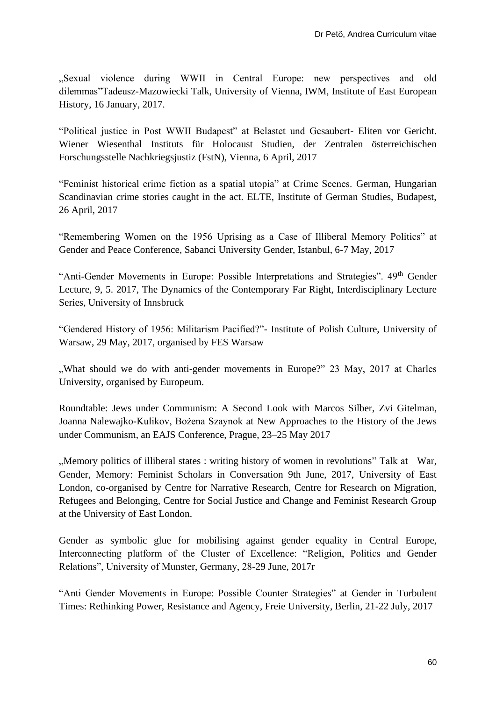"Sexual violence during WWII in Central Europe: new perspectives and old dilemmas"Tadeusz-Mazowiecki Talk, University of Vienna, IWM, Institute of East European History, 16 January, 2017.

"Political justice in Post WWII Budapest" at Belastet und Gesaubert- Eliten vor Gericht. Wiener Wiesenthal Instituts für Holocaust Studien, der Zentralen österreichischen Forschungsstelle Nachkriegsjustiz (FstN), Vienna, 6 April, 2017

"Feminist historical crime fiction as a spatial utopia" at Crime Scenes. German, Hungarian Scandinavian crime stories caught in the act. ELTE, Institute of German Studies, Budapest, 26 April, 2017

"Remembering Women on the 1956 Uprising as a Case of Illiberal Memory Politics" at Gender and Peace Conference, Sabanci University Gender, Istanbul, 6-7 May, 2017

"Anti-Gender Movements in Europe: Possible Interpretations and Strategies". 49<sup>th</sup> Gender Lecture, 9, 5. 2017, The Dynamics of the Contemporary Far Right, Interdisciplinary Lecture Series, University of Innsbruck

"Gendered History of 1956: Militarism Pacified?"- Institute of Polish Culture, University of Warsaw, 29 May, 2017, organised by FES Warsaw

"What should we do with anti-gender movements in Europe?" 23 May, 2017 at Charles University, organised by Europeum.

Roundtable: Jews under Communism: A Second Look with Marcos Silber, Zvi Gitelman, Joanna Nalewajko-Kulikov, Bożena Szaynok at New Approaches to the History of the Jews under Communism, an EAJS Conference, Prague, 23–25 May 2017

"Memory politics of illiberal states : writing history of women in revolutions" Talk at War, Gender, Memory: Feminist Scholars in Conversation 9th June, 2017, University of East London, co-organised by Centre for Narrative Research, Centre for Research on Migration, Refugees and Belonging, Centre for Social Justice and Change and Feminist Research Group at the University of East London.

Gender as symbolic glue for mobilising against gender equality in Central Europe, Interconnecting platform of the Cluster of Excellence: "Religion, Politics and Gender Relations", University of Munster, Germany, 28-29 June, 2017r

"Anti Gender Movements in Europe: Possible Counter Strategies" at Gender in Turbulent Times: Rethinking Power, Resistance and Agency, Freie University, Berlin, 21-22 July, 2017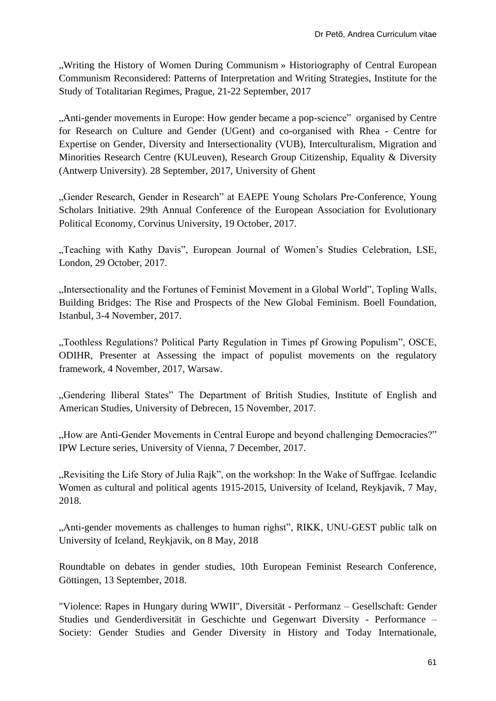"Writing the History of Women During Communism » Historiography of Central European Communism Reconsidered: Patterns of Interpretation and Writing Strategies, Institute for the Study of Totalitarian Regimes, Prague, 21-22 September, 2017

"Anti-gender movements in Europe: How gender became a pop-science" organised by Centre for Research on Culture and Gender (UGent) and co-organised with Rhea - Centre for Expertise on Gender, Diversity and Intersectionality (VUB), Interculturalism, Migration and Minorities Research Centre (KULeuven), Research Group Citizenship, Equality & Diversity (Antwerp University). 28 September, 2017, University of Ghent

"Gender Research, Gender in Research" at EAEPE Young Scholars Pre-Conference, Young Scholars Initiative. 29th Annual Conference of the European Association for Evolutionary Political Economy, Corvinus University, 19 October, 2017.

"Teaching with Kathy Davis", European Journal of Women's Studies Celebration, LSE, London, 29 October, 2017.

"Intersectionality and the Fortunes of Feminist Movement in a Global World", Topling Walls, Building Bridges: The Rise and Prospects of the New Global Feminism. Boell Foundation, Istanbul, 3-4 November, 2017.

"Toothless Regulations? Political Party Regulation in Times pf Growing Populism", OSCE, ODIHR, Presenter at Assessing the impact of populist movements on the regulatory framework, 4 November, 2017, Warsaw.

"Gendering Iliberal States" The Department of British Studies, Institute of English and American Studies, University of Debrecen, 15 November, 2017.

"How are Anti-Gender Movements in Central Europe and beyond challenging Democracies?" IPW Lecture series, University of Vienna, 7 December, 2017.

"Revisiting the Life Story of Julia Rajk", on the workshop: In the Wake of Suffrgae. Icelandic Women as cultural and political agents 1915-2015, University of Iceland, Reykjavik, 7 May, 2018.

"Anti-gender movements as challenges to human righst", RIKK, UNU-GEST public talk on University of Iceland, Reykjavik, on 8 May, 2018

Roundtable on debates in gender studies, 10th European Feminist Research Conference, Göttingen, 13 September, 2018.

"Violence: Rapes in Hungary during WWII", Diversität - Performanz – Gesellschaft: Gender Studies und Genderdiversität in Geschichte und Gegenwart Diversity - Performance – Society: Gender Studies and Gender Diversity in History and Today Internationale,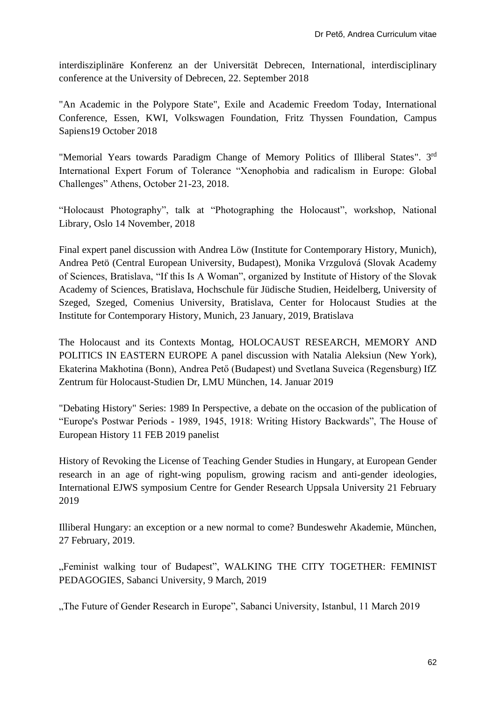interdisziplinäre Konferenz an der Universität Debrecen, International, interdisciplinary conference at the University of Debrecen, 22. September 2018

"An Academic in the Polypore State", Exile and Academic Freedom Today, International Conference, Essen, KWI, Volkswagen Foundation, Fritz Thyssen Foundation, Campus Sapiens19 October 2018

"Memorial Years towards Paradigm Change of Memory Politics of Illiberal States". 3rd International Expert Forum of Tolerance "Xenophobia and radicalism in Europe: Global Challenges" Athens, October 21-23, 2018.

"Holocaust Photography", talk at "Photographing the Holocaust", workshop, National Library, Oslo 14 November, 2018

Final expert panel discussion with Andrea Löw (Institute for Contemporary History, Munich), Andrea Petö (Central European University, Budapest), Monika Vrzgulová (Slovak Academy of Sciences, Bratislava, "If this Is A Woman", organized by Institute of History of the Slovak Academy of Sciences, Bratislava, Hochschule für Jüdische Studien, Heidelberg, University of Szeged, Szeged, Comenius University, Bratislava, Center for Holocaust Studies at the Institute for Contemporary History, Munich, 23 January, 2019, Bratislava

The Holocaust and its Contexts Montag, HOLOCAUST RESEARCH, MEMORY AND POLITICS IN EASTERN EUROPE A panel discussion with Natalia Aleksiun (New York), Ekaterina Makhotina (Bonn), Andrea Pető (Budapest) und Svetlana Suveica (Regensburg) IfZ Zentrum für Holocaust-Studien Dr, LMU München, 14. Januar 2019

"Debating History" Series: 1989 In Perspective, a debate on the occasion of the publication of "Europe's Postwar Periods - 1989, 1945, 1918: Writing History Backwards", The House of European History 11 FEB 2019 panelist

History of Revoking the License of Teaching Gender Studies in Hungary, at European Gender research in an age of right-wing populism, growing racism and anti-gender ideologies, International EJWS symposium Centre for Gender Research Uppsala University 21 February 2019

Illiberal Hungary: an exception or a new normal to come? Bundeswehr Akademie, München, 27 February, 2019.

"Feminist walking tour of Budapest", WALKING THE CITY TOGETHER: FEMINIST PEDAGOGIES, Sabanci University, 9 March, 2019

"The Future of Gender Research in Europe", Sabanci University, Istanbul, 11 March 2019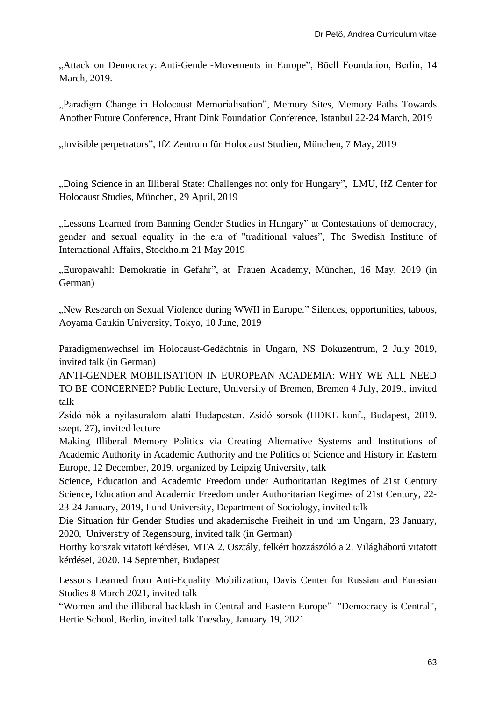"Attack on Democracy: Anti-Gender-Movements in Europe", Böell Foundation, Berlin, 14 March, 2019.

"Paradigm Change in Holocaust Memorialisation", Memory Sites, Memory Paths Towards [Another Future Conference,](https://hrantdink.org/en/activities/projects/site-of-memory/1870-memory-sites-memory-paths-towards-another-future-conference) Hrant Dink Foundation Conference, Istanbul 22-24 March, 2019

"Invisible perpetrators", IfZ Zentrum für Holocaust Studien, München, 7 May, 2019

"Doing Science in an Illiberal State: Challenges not only for Hungary", LMU, IfZ Center for Holocaust Studies, München, 29 April, 2019

"Lessons Learned from Banning Gender Studies in Hungary" at Contestations of democracy, gender and sexual equality in the era of "traditional values", The Swedish Institute of International Affairs, Stockholm 21 May 2019

"Europawahl: Demokratie in Gefahr", at Frauen Academy, München, 16 May, 2019 (in German)

"New Research on Sexual Violence during WWII in Europe." Silences, opportunities, taboos, Aoyama Gaukin University, Tokyo, 10 June, 2019

[Paradigmenwechsel im Holocaust-Gedächtnis in Ungarn, NS Dokuzentrum, 2 July 2019,](https://www.academia.edu/39778509/Paradigmenwechsel_im_Holocaust_Ged%C3%A4chtnis_in_Ungarn_NS_Dokuzentrum_2_July_2019) invited talk (in German)

[ANTI-GENDER MOBILISATION IN EUROPEAN ACADEMIA: WHY WE ALL NEED](https://www.academia.edu/39365544/ANTI_GENDER_MOBILISATION_IN_EUROPEAN_ACADEMIA_WHY_WE_ALL_NEED_TO_BE_CONCERNED_Public_Lecture_Bremen_2019)  [TO BE CONCERNED? Public Lecture, University of Bremen, Bremen 4 July, 2019.](https://www.academia.edu/39365544/ANTI_GENDER_MOBILISATION_IN_EUROPEAN_ACADEMIA_WHY_WE_ALL_NEED_TO_BE_CONCERNED_Public_Lecture_Bremen_2019), invited talk

[Zsidó nők a nyilasuralom alatti Budapesten. Zsidó](https://www.academia.edu/40433976/Zsid%C3%B3_n%C5%91k_a_nyilasuralom_alatti_Budapesten_Zsido_sorsok_HDKE_konf_2019_szept_27_) sorsok (HDKE konf., Budapest, 2019. [szept. 27\),](https://www.academia.edu/40433976/Zsid%C3%B3_n%C5%91k_a_nyilasuralom_alatti_Budapesten_Zsido_sorsok_HDKE_konf_2019_szept_27_) invited lecture

Making Illiberal Memory Politics via Creating Alternative Systems and Institutions of Academic Authority in Academic Authority and the Politics of Science and History in Eastern Europe, 12 December, 2019, organized by Leipzig University, talk

Science, Education and Academic Freedom under Authoritarian Regimes of 21st Century Science, Education and Academic Freedom under Authoritarian Regimes of 21st Century, 22- 23-24 January, 2019, Lund University, Department of Sociology, invited talk

Die Situation für Gender Studies und akademische Freiheit in und um Ungarn, 23 January, 2020, Universtry of Regensburg, invited talk (in German)

Horthy korszak vitatott kérdései, MTA 2. Osztály, felkért hozzászóló a 2. Világháború vitatott kérdései, 2020. 14 September, Budapest

Lessons Learned from Anti-Equality Mobilization, [Davis Center for Russian and Eurasian](https://www.youtube.com/channel/UCspI4mbayatCdQwrWSN3APw)  [Studies](https://www.youtube.com/channel/UCspI4mbayatCdQwrWSN3APw) 8 March 2021, invited talk

["Women and the illiberal backlash in Central and Eastern Europe"](https://www.fellows-ghst.de/veranstaltungen/digital-coffee-talk-karolina-wigura-and-andrea-pet/) ["Democracy is Central",](https://www.fellows-ghst.de/gruppen/democracy-is-central/) Hertie School, Berlin, invited talk Tuesday, January 19, 2021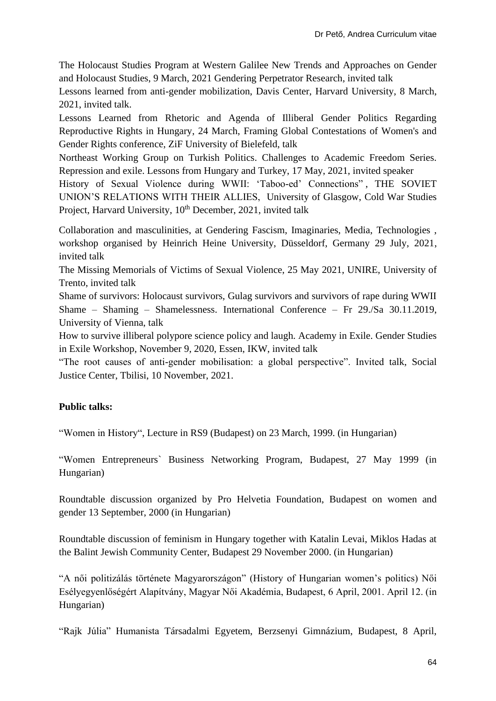The Holocaust Studies Program at Western Galilee New Trends and Approaches on Gender and Holocaust Studies, 9 March, 2021 Gendering Perpetrator Research, invited talk

Lessons learned from anti-gender mobilization, Davis Center, Harvard University, 8 March, 2021, invited talk.

Lessons Learned from Rhetoric and Agenda of Illiberal Gender Politics Regarding Reproductive Rights in Hungary, 24 March, Framing Global Contestations of Women's and Gender Rights conference, ZiF University of Bielefeld, talk

Northeast Working Group on Turkish Politics. Challenges to Academic Freedom Series. Repression and exile. Lessons from Hungary and Turkey, 17 May, 2021, invited speaker

History of Sexual Violence during WWII: 'Taboo-ed' Connections" , THE SOVIET UNION'S RELATIONS WITH THEIR ALLIES, University of Glasgow, Cold War Studies Project, Harvard University, 10<sup>th</sup> December, 2021, invited talk

Collaboration and masculinities, at Gendering Fascism, Imaginaries, Media, Technologies , workshop organised by Heinrich Heine University, Düsseldorf, Germany 29 July, 2021, invited talk

The Missing Memorials of Victims of Sexual Violence, 25 May 2021, UNIRE, University of Trento, invited talk

Shame of survivors: Holocaust survivors, Gulag survivors and survivors of rape during WWII Shame – Shaming – Shamelessness. International Conference – Fr 29./Sa 30.11.2019, University of Vienna, talk

How to survive illiberal polypore science policy and laugh. Academy in Exile. Gender Studies in Exile Workshop, November 9, 2020, Essen, IKW, invited talk

"The root causes of anti-gender mobilisation: a global perspective". Invited talk, Social Justice Center, Tbilisi, 10 November, 2021.

# **Public talks:**

"Women in History", Lecture in RS9 (Budapest) on 23 March, 1999. (in Hungarian)

"Women Entrepreneurs` Business Networking Program, Budapest, 27 May 1999 (in Hungarian)

Roundtable discussion organized by Pro Helvetia Foundation, Budapest on women and gender 13 September, 2000 (in Hungarian)

Roundtable discussion of feminism in Hungary together with Katalin Levai, Miklos Hadas at the Balint Jewish Community Center, Budapest 29 November 2000. (in Hungarian)

"A női politizálás története Magyarországon" (History of Hungarian women's politics) Női Esélyegyenlőségért Alapítvány, Magyar Női Akadémia, Budapest, 6 April, 2001. April 12. (in Hungarian)

"Rajk Júlia" Humanista Társadalmi Egyetem, Berzsenyi Gimnázium, Budapest, 8 April,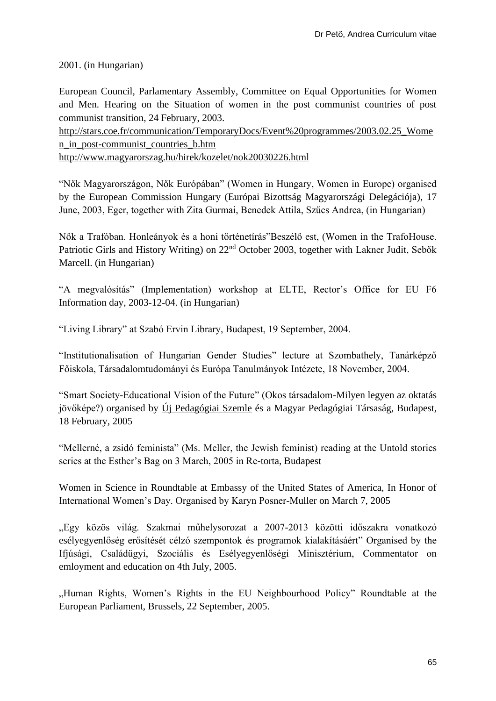2001. (in Hungarian)

European Council, Parlamentary Assembly, Committee on Equal Opportunities for Women and Men. Hearing on the Situation of women in the post communist countries of post communist transition, 24 February, 2003.

[http://stars.coe.fr/communication/TemporaryDocs/Event%20programmes/2003.02.25\\_Wome](http://stars.coe.fr/communication/TemporaryDocs/Event%20programmes/2003.02.25_Women_in_post-communist_countries_b.htm) [n\\_in\\_post-communist\\_countries\\_b.htm](http://stars.coe.fr/communication/TemporaryDocs/Event%20programmes/2003.02.25_Women_in_post-communist_countries_b.htm)

<http://www.magyarorszag.hu/hirek/kozelet/nok20030226.html>

"Nők Magyarországon, Nők Európában" (Women in Hungary, Women in Europe) organised by the European Commission Hungary (Európai Bizottság Magyarországi Delegációja), 17 June, 2003, Eger, together with Zita Gurmai, Benedek Attila, Szűcs Andrea, (in Hungarian)

Nők a Trafóban. Honleányok és a honi történetírás"Beszélő est, (Women in the TrafoHouse. Patriotic Girls and History Writing) on 22<sup>nd</sup> October 2003, together with Lakner Judit, Sebők Marcell. (in Hungarian)

"A megvalósítás" (Implementation) workshop at ELTE, Rector's Office for EU F6 Information day, 2003-12-04. (in Hungarian)

"Living Library" at Szabó Ervin Library, Budapest, 19 September, 2004.

"Institutionalisation of Hungarian Gender Studies" lecture at Szombathely, Tanárképző Főiskola, Társadalomtudományi és Európa Tanulmányok Intézete, 18 November, 2004.

"Smart Society-Educational Vision of the Future" (Okos társadalom-Milyen legyen az oktatás jövőképe?) organised by Új Pedagógiai Szemle és a Magyar Pedagógiai Társaság, Budapest, 18 February, 2005

"Mellerné, a zsidó feminista" (Ms. Meller, the Jewish feminist) reading at the Untold stories series at the Esther's Bag on 3 March, 2005 in Re-torta, Budapest

Women in Science in Roundtable at Embassy of the United States of America, In Honor of International Women's Day. Organised by Karyn Posner-Muller on March 7, 2005

"Egy közös világ. Szakmai műhelysorozat a 2007-2013 közötti időszakra vonatkozó esélyegyenlőség erősítését célzó szempontok és programok kialakításáért" Organised by the Ifjúsági, Családügyi, Szociális és Esélyegyenlőségi Minisztérium, Commentator on emloyment and education on 4th July, 2005.

"Human Rights, Women's Rights in the EU Neighbourhood Policy" Roundtable at the European Parliament, Brussels, 22 September, 2005.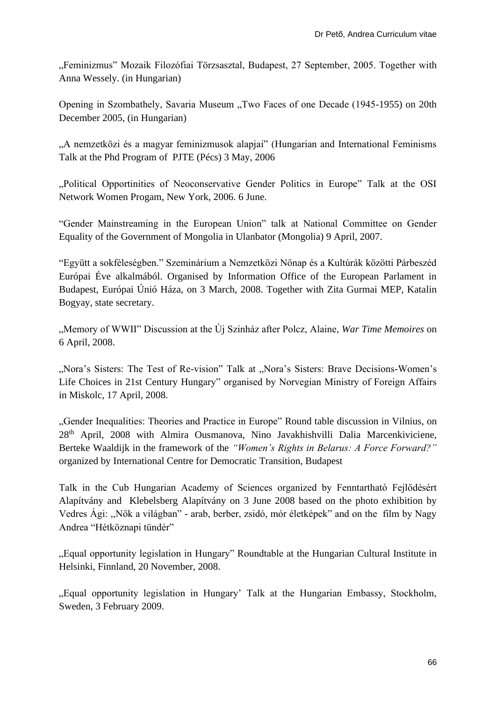"Feminizmus" Mozaik Filozófiai Törzsasztal, Budapest, 27 September, 2005. Together with Anna Wessely. (in Hungarian)

Opening in Szombathely, Savaria Museum "Two Faces of one Decade (1945-1955) on 20th December 2005, (in Hungarian)

"A nemzetközi és a magyar feminizmusok alapjai" (Hungarian and International Feminisms Talk at the Phd Program of PJTE (Pécs) 3 May, 2006

"Political Opportinities of Neoconservative Gender Politics in Europe" Talk at the OSI Network Women Progam, New York, 2006. 6 June.

"Gender Mainstreaming in the European Union" talk at National Committee on Gender Equality of the Government of Mongolia in Ulanbator (Mongolia) 9 April, 2007.

"Együtt a sokféleségben." Szeminárium a Nemzetközi Nőnap és a Kultúrák közötti Párbeszéd Európai Éve alkalmából. Organised by Information Office of the European Parlament in Budapest, Európai Únió Háza, on 3 March, 2008. Together with Zita Gurmai MEP, Katalin Bogyay, state secretary.

"Memory of WWII" Discussion at the Új Szinház after Polcz, Alaine, *War Time Memoires* on 6 April, 2008.

"Nora's Sisters: The Test of Re-vision" Talk at "Nora's Sisters: Brave Decisions-Women's Life Choices in 21st Century Hungary" organised by Norvegian Ministry of Foreign Affairs in Miskolc, 17 April, 2008.

"Gender Inequalities: Theories and Practice in Europe" Round table discussion in Vilnius, on 28th April, 2008 with Almira Ousmanova, Nino Javakhishvilli Dalia Marcenkiviciene, Berteke Waaldijk in the framework of the *"Women's Rights in Belarus: A Force Forward?"* organized by International Centre for Democratic Transition, Budapest

Talk in the Cub Hungarian Academy of Sciences organized by Fenntartható Fejlődésért Alapítvány and Klebelsberg Alapítvány on 3 June 2008 based on the photo exhibition by Vedres Ági: ,,Nők a világban" - arab, berber, zsidó, mór életképek" and on the film by Nagy Andrea "Hétköznapi tündér"

"Equal opportunity legislation in Hungary" Roundtable at the Hungarian Cultural Institute in Helsinki, Finnland, 20 November, 2008.

"Equal opportunity legislation in Hungary' Talk at the Hungarian Embassy, Stockholm, Sweden, 3 February 2009.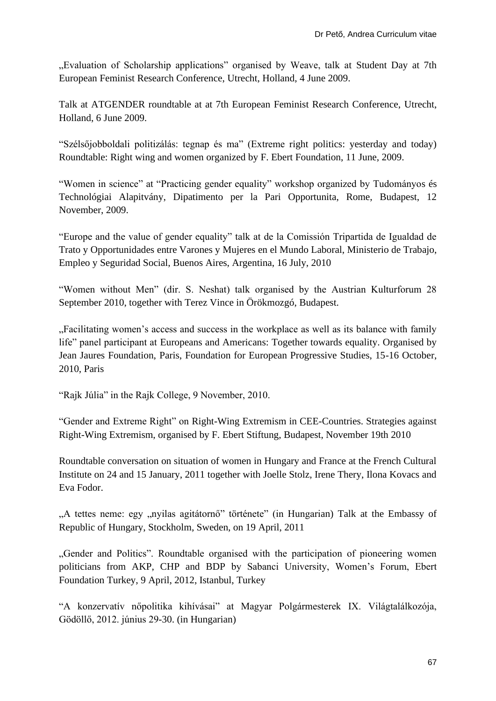"Evaluation of Scholarship applications" organised by Weave, talk at Student Day at 7th European Feminist Research Conference, Utrecht, Holland, 4 June 2009.

Talk at ATGENDER roundtable at at 7th European Feminist Research Conference, Utrecht, Holland, 6 June 2009.

"Szélsőjobboldali politizálás: tegnap és ma" (Extreme right politics: yesterday and today) Roundtable: Right wing and women organized by F. Ebert Foundation, 11 June, 2009.

"Women in science" at "Practicing gender equality" workshop organized by Tudományos és Technológiai Alapitvány, Dipatimento per la Pari Opportunita, Rome, Budapest, 12 November, 2009.

"Europe and the value of gender equality" talk at de la Comissión Tripartida de Igualdad de Trato y Opportunidades entre Varones y Mujeres en el Mundo Laboral, Ministerio de Trabajo, Empleo y Seguridad Social, Buenos Aires, Argentina, 16 July, 2010

"Women without Men" (dir. S. Neshat) talk organised by the Austrian Kulturforum 28 September 2010, together with Terez Vince in Örökmozgó, Budapest.

"Facilitating women's access and success in the workplace as well as its balance with family life" panel participant at Europeans and Americans: Together towards equality. Organised by Jean Jaures Foundation, Paris, Foundation for European Progressive Studies, 15-16 October, 2010, Paris

"Rajk Júlia" in the Rajk College, 9 November, 2010.

"Gender and Extreme Right" on Right-Wing Extremism in CEE-Countries. Strategies against Right-Wing Extremism, organised by F. Ebert Stiftung, Budapest, November 19th 2010

Roundtable conversation on situation of women in Hungary and France at the French Cultural Institute on 24 and 15 January, 2011 together with Joelle Stolz, Irene Thery, Ilona Kovacs and Eva Fodor.

"A tettes neme: egy "nyilas agitátornő" története" (in Hungarian) Talk at the Embassy of Republic of Hungary, Stockholm, Sweden, on 19 April, 2011

"Gender and Politics". Roundtable organised with the participation of pioneering women politicians from AKP, CHP and BDP by Sabanci University, Women's Forum, Ebert Foundation Turkey, 9 April, 2012, Istanbul, Turkey

"A konzervatív nőpolitika kihívásai" at Magyar Polgármesterek IX. Világtalálkozója, Gödöllő, 2012. június 29-30. (in Hungarian)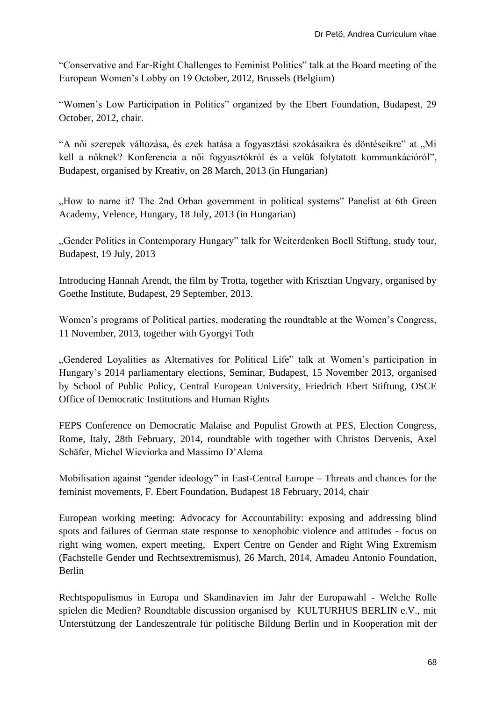"Conservative and Far-Right Challenges to Feminist Politics" talk at the Board meeting of the European Women's Lobby on 19 October, 2012, Brussels (Belgium)

"Women's Low Participation in Politics" organized by the Ebert Foundation, Budapest, 29 October, 2012, chair.

"A női szerepek változása, és ezek hatása a fogyasztási szokásaikra és döntéseikre" at "Mi kell a nőknek? Konferencia a női fogyasztókról és a velük folytatott kommunkációról", Budapest, organised by Kreativ, on 28 March, 2013 (in Hungarian)

"How to name it? The 2nd Orban government in political systems" Panelist at 6th Green Academy, Velence, Hungary, 18 July, 2013 (in Hungarian)

"Gender Politics in Contemporary Hungary" talk for Weiterdenken Boell Stiftung, study tour, Budapest, 19 July, 2013

Introducing Hannah Arendt, the film by Trotta, together with Krisztian Ungvary, organised by Goethe Institute, Budapest, 29 September, 2013.

Women's programs of Political parties, moderating the roundtable at the Women's Congress, 11 November, 2013, together with Gyorgyi Toth

"Gendered Loyalities as Alternatives for Political Life" talk at Women's participation in Hungary's 2014 parliamentary elections, Seminar, Budapest, 15 November 2013, organised by School of Public Policy, Central European University, Friedrich Ebert Stiftung, OSCE Office of Democratic Institutions and Human Rights

FEPS Conference on Democratic Malaise and Populist Growth at PES, Election Congress, Rome, Italy, 28th February, 2014, roundtable with together with Christos Dervenis, Axel Schäfer, Michel Wieviorka and Massimo D'Alema

Mobilisation against "gender ideology" in East-Central Europe – Threats and chances for the feminist movements, F. Ebert Foundation, Budapest 18 February, 2014, chair

European working meeting: Advocacy for Accountability: exposing and addressing blind spots and failures of German state response to xenophobic violence and attitudes - focus on right wing women, expert meeting, Expert Centre on Gender and Right Wing Extremism (Fachstelle Gender und Rechtsextremismus), 26 March, 2014, Amadeu Antonio Foundation, Berlin

Rechtspopulismus in Europa und Skandinavien im Jahr der Europawahl - Welche Rolle spielen die Medien? Roundtable discussion organised by KULTURHUS BERLIN e.V., mit Unterstützung der Landeszentrale für politische Bildung Berlin und in Kooperation mit der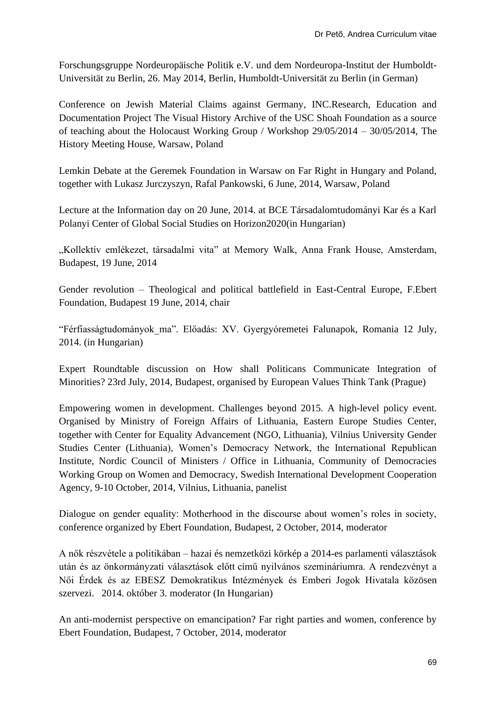Forschungsgruppe Nordeuropäische Politik e.V. und dem Nordeuropa-Institut der Humboldt-Universität zu Berlin, 26. May 2014, Berlin, Humboldt-Universität zu Berlin (in German)

Conference on Jewish Material Claims against Germany, INC.Research, Education and Documentation Project The Visual History Archive of the USC Shoah Foundation as a source of teaching about the Holocaust Working Group / Workshop 29/05/2014 – 30/05/2014, The History Meeting House, Warsaw, Poland

Lemkin Debate at the Geremek Foundation in Warsaw on Far Right in Hungary and Poland, together with Lukasz Jurczyszyn, Rafal Pankowski, 6 June, 2014, Warsaw, Poland

Lecture at the Information day on 20 June, 2014. at BCE Társadalomtudományi Kar és a Karl Polanyi Center of Global Social Studies on Horizon2020(in Hungarian)

"Kollektív emlékezet, társadalmi vita" at Memory Walk, Anna Frank House, Amsterdam, Budapest, 19 June, 2014

Gender revolution – Theological and political battlefield in East-Central Europe, F.Ebert Foundation, Budapest 19 June, 2014, chair

"Férfiasságtudományok\_ma". Előadás: XV. Gyergyóremetei Falunapok, Romania 12 July, 2014. (in Hungarian)

Expert Roundtable discussion on How shall Politicans Communicate Integration of Minorities? 23rd July, 2014, Budapest, organised by European Values Think Tank (Prague)

Empowering women in development. Challenges beyond 2015. A high-level policy event. Organised by Ministry of Foreign Affairs of Lithuania, Eastern Europe Studies Center, together with Center for Equality Advancement (NGO, Lithuania), Vilnius University Gender Studies Center (Lithuania), Women's Democracy Network, the International Republican Institute, Nordic Council of Ministers / Office in Lithuania, Community of Democracies Working Group on Women and Democracy, Swedish International Development Cooperation Agency, 9-10 October, 2014, Vilnius, Lithuania, panelist

Dialogue on gender equality: Motherhood in the discourse about women's roles in society, conference organized by Ebert Foundation, Budapest, 2 October, 2014, moderator

A nők részvétele a politikában – hazai és nemzetközi körkép a 2014-es parlamenti választások után és az önkormányzati választások előtt című nyilvános szemináriumra. A rendezvényt a Női Érdek és az EBESZ Demokratikus Intézmények és Emberi Jogok Hivatala közösen szervezi. 2014. október 3. moderator (In Hungarian)

An anti-modernist perspective on emancipation? Far right parties and women, conference by Ebert Foundation, Budapest, 7 October, 2014, moderator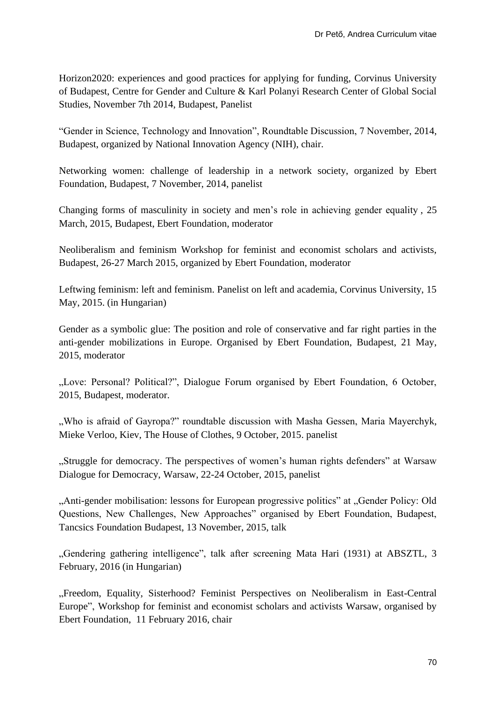Horizon2020: experiences and good practices for applying for funding, Corvinus University of Budapest, Centre for Gender and Culture & Karl Polanyi Research Center of Global Social Studies, November 7th 2014, Budapest, Panelist

"Gender in Science, Technology and Innovation", Roundtable Discussion, 7 November, 2014, Budapest, organized by National Innovation Agency (NIH), chair.

Networking women: challenge of leadership in a network society, organized by Ebert Foundation, Budapest, 7 November, 2014, panelist

Changing forms of masculinity in society and men's role in achieving gender equality , 25 March, 2015, Budapest, Ebert Foundation, moderator

Neoliberalism and feminism Workshop for feminist and economist scholars and activists, Budapest, 26-27 March 2015, organized by Ebert Foundation, moderator

Leftwing feminism: left and feminism. Panelist on left and academia, Corvinus University, 15 May, 2015. (in Hungarian)

Gender as a symbolic glue: The position and role of conservative and far right parties in the anti-gender mobilizations in Europe. Organised by Ebert Foundation, Budapest, 21 May, 2015, moderator

"Love: Personal? Political?", Dialogue Forum organised by Ebert Foundation, 6 October, 2015, Budapest, moderator.

", Who is afraid of Gayropa?" roundtable discussion with Masha Gessen, Maria Mayerchyk, Mieke Verloo, Kiev, The House of Clothes, 9 October, 2015. panelist

"Struggle for democracy. The perspectives of women's human rights defenders" at Warsaw Dialogue for Democracy, Warsaw, 22-24 October, 2015, panelist

"Anti-gender mobilisation: lessons for European progressive politics" at "Gender Policy: Old Questions, New Challenges, New Approaches" organised by Ebert Foundation, Budapest, Tancsics Foundation Budapest, 13 November, 2015, talk

"Gendering gathering intelligence", talk after screening Mata Hari (1931) at ABSZTL, 3 February, 2016 (in Hungarian)

"Freedom, Equality, Sisterhood? Feminist Perspectives on Neoliberalism in East-Central Europe", Workshop for feminist and economist scholars and activists Warsaw, organised by Ebert Foundation, 11 February 2016, chair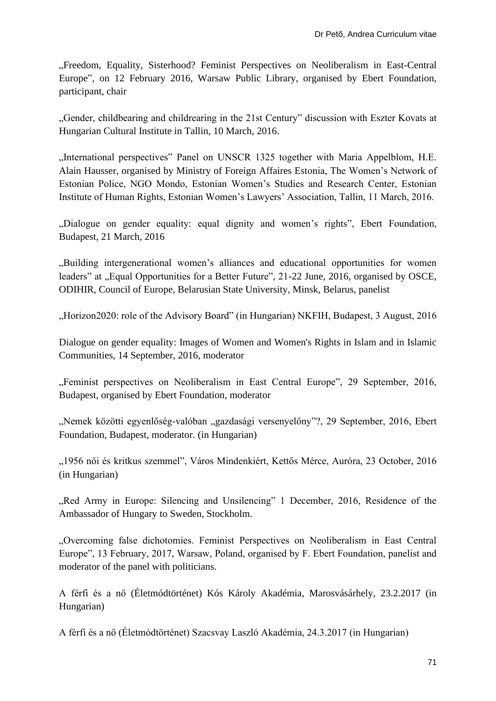"Freedom, Equality, Sisterhood? Feminist Perspectives on Neoliberalism in East-Central Europe", on 12 February 2016, Warsaw Public Library, organised by Ebert Foundation, participant, chair

"Gender, childbearing and childrearing in the 21st Century" discussion with Eszter Kovats at Hungarian Cultural Institute in Tallin, 10 March, 2016.

"International perspectives" Panel on UNSCR 1325 together with Maria Appelblom, H.E. Alain Hausser, organised by Ministry of Foreign Affaires Estonia, The Women's Network of Estonian Police, NGO Mondo, Estonian Women's Studies and Research Center, Estonian Institute of Human Rights, Estonian Women's Lawyers' Association, Tallin, 11 March, 2016.

"Dialogue on gender equality: equal dignity and women's rights", Ebert Foundation, Budapest, 21 March, 2016

"Building intergenerational women's alliances and educational opportunities for women leaders" at "Equal Opportunities for a Better Future", 21-22 June, 2016, organised by OSCE, ODIHIR, Council of Europe, Belarusian State University, Minsk, Belarus, panelist

"Horizon2020: role of the Advisory Board" (in Hungarian) NKFIH, Budapest, 3 August, 2016

Dialogue on gender equality: Images of Women and Women's Rights in Islam and in Islamic Communities, 14 September, 2016, moderator

"Feminist perspectives on Neoliberalism in East Central Europe", 29 September, 2016, Budapest, organised by Ebert Foundation, moderator

"Nemek közötti egyenlőség-valóban "gazdasági versenyelőny"?, 29 September, 2016, Ebert Foundation, Budapest, moderator. (in Hungarian)

"1956 női és kritkus szemmel", Város Mindenkiért, Kettős Mérce, Auróra, 23 October, 2016 (in Hungarian)

"Red Army in Europe: Silencing and Unsilencing" 1 December, 2016, Residence of the Ambassador of Hungary to Sweden, Stockholm.

"Overcoming false dichotomies. Feminist Perspectives on Neoliberalism in East Central Europe", 13 February, 2017, Warsaw, Poland, organised by F. Ebert Foundation, panelist and moderator of the panel with politicians.

A férfi és a nő (Életmódtörténet) Kós Károly Akadémia, Marosvásárhely, 23.2.2017 (in Hungarian)

A férfi és a nő (Életmódtörténet) Szacsvay Laszló Akadémia, 24.3.2017 (in Hungarian)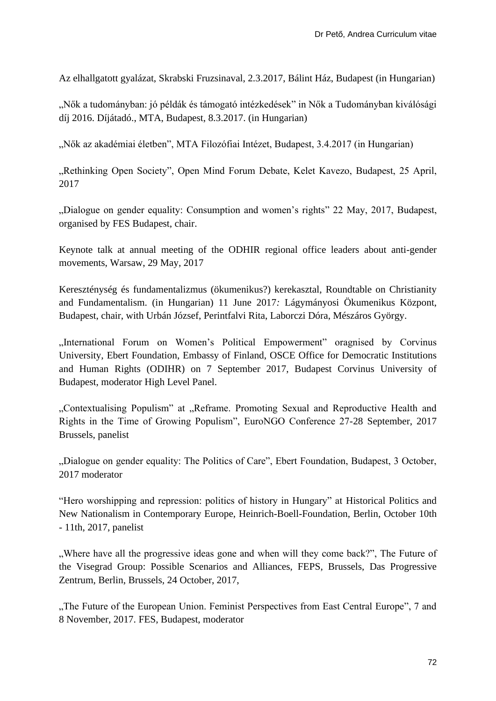Az elhallgatott gyalázat, Skrabski Fruzsinaval, 2.3.2017, Bálint Ház, Budapest (in Hungarian)

"Nők a tudományban: jó példák és támogató intézkedések" in Nők a Tudományban kiválósági díj 2016. Díjátadó., MTA, Budapest, 8.3.2017. (in Hungarian)

"Nők az akadémiai életben", MTA Filozófiai Intézet, Budapest, 3.4.2017 (in Hungarian)

"Rethinking Open Society", Open Mind Forum Debate, Kelet Kavezo, Budapest, 25 April, 2017

"Dialogue on gender equality: Consumption and women's rights" 22 May, 2017, Budapest, organised by FES Budapest, chair.

Keynote talk at annual meeting of the ODHIR regional office leaders about anti-gender movements, Warsaw, 29 May, 2017

Kereszténység és fundamentalizmus (ökumenikus?) kerekasztal, Roundtable on Christianity and Fundamentalism. (in Hungarian) 11 June 2017*:* Lágymányosi Ökumenikus Központ, Budapest, chair, with Urbán József, Perintfalvi Rita, Laborczi Dóra, Mészáros György.

"International Forum on Women's Political Empowerment" oragnised by Corvinus University, Ebert Foundation, Embassy of Finland, OSCE Office for Democratic Institutions and Human Rights (ODIHR) on 7 September 2017, Budapest Corvinus University of Budapest, moderator High Level Panel.

"Contextualising Populism" at "Reframe. Promoting Sexual and Reproductive Health and Rights in the Time of Growing Populism", EuroNGO Conference 27-28 September, 2017 Brussels, panelist

"Dialogue on gender equality: The Politics of Care", Ebert Foundation, Budapest, 3 October, 2017 moderator

"Hero worshipping and repression: politics of history in Hungary" at Historical Politics and New Nationalism in Contemporary Europe, Heinrich-Boell-Foundation, Berlin, October 10th - 11th, 2017, panelist

...Where have all the progressive ideas gone and when will they come back?", The Future of the Visegrad Group: Possible Scenarios and Alliances, FEPS, Brussels, Das Progressive Zentrum, Berlin, Brussels, 24 October, 2017,

"The Future of the European Union. Feminist Perspectives from East Central Europe", 7 and 8 November, 2017. FES, Budapest, moderator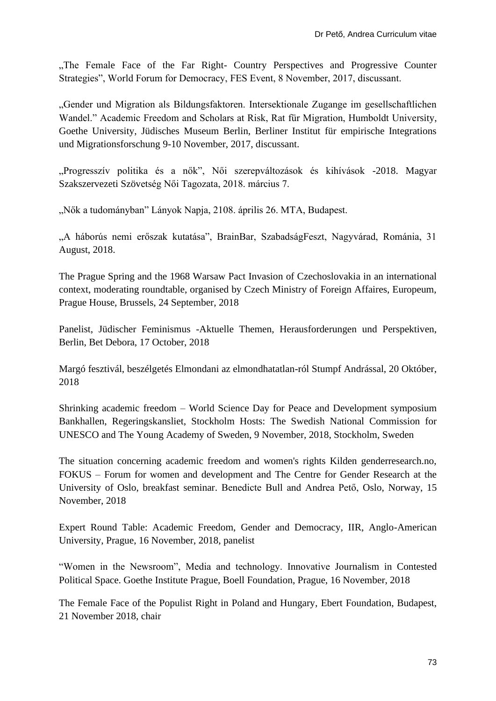"The Female Face of the Far Right- Country Perspectives and Progressive Counter Strategies", World Forum for Democracy, FES Event, 8 November, 2017, discussant.

"Gender und Migration als Bildungsfaktoren. Intersektionale Zugange im gesellschaftlichen Wandel." Academic Freedom and Scholars at Risk, Rat für Migration, Humboldt University, Goethe University, Jüdisches Museum Berlin, Berliner Institut für empirische Integrations und Migrationsforschung 9-10 November, 2017, discussant.

"Progresszív politika és a nők", Női szerepváltozások és kihívások -2018. Magyar Szakszervezeti Szövetség Női Tagozata, 2018. március 7.

"Nők a tudományban" Lányok Napja, 2108. április 26. MTA, Budapest.

"A háborús nemi erőszak kutatása", BrainBar, SzabadságFeszt, Nagyvárad, Románia, 31 August, 2018.

The Prague Spring and the 1968 Warsaw Pact Invasion of Czechoslovakia in an international context, moderating roundtable, organised by Czech Ministry of Foreign Affaires, Europeum, Prague House, Brussels, 24 September, 2018

Panelist, Jüdischer Feminismus -Aktuelle Themen, Herausforderungen und Perspektiven, Berlin, Bet Debora, 17 October, 2018

Margó fesztivál, beszélgetés Elmondani az elmondhatatlan-ról Stumpf Andrással, 20 Október, 2018

Shrinking academic freedom – World Science Day for Peace and Development symposium Bankhallen, Regeringskansliet, Stockholm Hosts: The Swedish National Commission for UNESCO and The Young Academy of Sweden, 9 November, 2018, Stockholm, Sweden

The situation concerning academic freedom and women's rights Kilden genderresearch.no, FOKUS – Forum for women and development and The Centre for Gender Research at the University of Oslo, breakfast seminar. Benedicte Bull and Andrea Pető, Oslo, Norway, 15 November, 2018

Expert Round Table: Academic Freedom, Gender and Democracy, IIR, Anglo-American University, Prague, 16 November, 2018, panelist

"Women in the Newsroom", Media and technology. Innovative Journalism in Contested Political Space. Goethe Institute Prague, Boell Foundation, Prague, 16 November, 2018

The Female Face of the Populist Right in Poland and Hungary, Ebert Foundation, Budapest, 21 November 2018, chair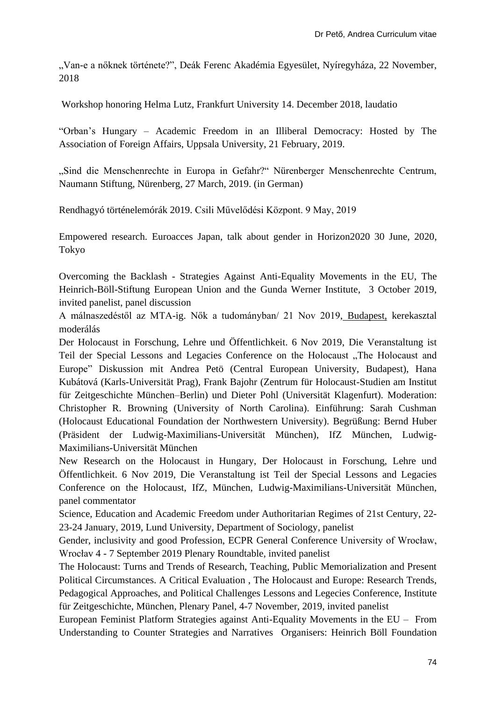"Van-e a nőknek története?", Deák Ferenc Akadémia Egyesület, Nyíregyháza, 22 November, 2018

Workshop honoring Helma Lutz, Frankfurt University 14. December 2018, laudatio

"Orban's Hungary – Academic Freedom in an Illiberal Democracy: Hosted by The Association of Foreign Affairs, Uppsala University, 21 February, 2019.

"Sind die Menschenrechte in Europa in Gefahr?" Nürenberger Menschenrechte Centrum, Naumann Stiftung, Nürenberg, 27 March, 2019. (in German)

Rendhagyó történelemórák 2019. Csili Művelődési Központ. 9 May, 2019

Empowered research. Euroacces Japan, talk about gender in Horizon2020 30 June, 2020, Tokyo

Overcoming the Backlash - Strategies Against Anti-Equality Movements in the EU, The Heinrich-Böll-Stiftung European Union and the Gunda Werner Institute, 3 October 2019, invited panelist, panel discussion

[A málnaszedéstől az MTA-ig. Nők a tudományban/ 21 Nov 2019,](https://www.academia.edu/41143899/A_m%C3%A1lnaszed%C3%A9st%C5%91l_az_MTA_ig_N%C5%91k_a_tudom%C3%A1nyban_21_Nov_2019) Budapest, kerekasztal moderálás

[Der Holocaust in Forschung, Lehre und Öffentlichkeit. 6 Nov 2019,](https://www.academia.edu/40821570/Der_Holocaust_in_Forschung_Lehre_und_%C3%96ffentlichkeit_6_Nov_2019) Die Veranstaltung ist Teil der Special Lessons and Legacies Conference on the Holocaust "The Holocaust and Europe" Diskussion mit Andrea Petö (Central European University, Budapest), Hana Kubátová (Karls-Universität Prag), Frank Bajohr (Zentrum für Holocaust-Studien am Institut für Zeitgeschichte München–Berlin) und Dieter Pohl (Universität Klagenfurt). Moderation: Christopher R. Browning (University of North Carolina). Einführung: Sarah Cushman (Holocaust Educational Foundation der Northwestern University). Begrüßung: Bernd Huber (Präsident der Ludwig-Maximilians-Universität München), IfZ München, Ludwig-Maximilians-Universität München

New Research on the Holocaust in Hungary, [Der Holocaust in Forschung, Lehre und](https://www.academia.edu/40821570/Der_Holocaust_in_Forschung_Lehre_und_%C3%96ffentlichkeit_6_Nov_2019)  [Öffentlichkeit. 6 Nov 2019,](https://www.academia.edu/40821570/Der_Holocaust_in_Forschung_Lehre_und_%C3%96ffentlichkeit_6_Nov_2019) Die Veranstaltung ist Teil der Special Lessons and Legacies Conference on the Holocaust, IfZ, München, Ludwig-Maximilians-Universität München, panel commentator

Science, Education and Academic Freedom under Authoritarian Regimes of 21st Century, 22- 23-24 January, 2019, Lund University, Department of Sociology, panelist

Gender, inclusivity and good Profession, ECPR General Conference University of Wrocław, Wrocłav 4 - 7 September 2019 Plenary Roundtable, invited panelist

The Holocaust: Turns and Trends of Research, Teaching, Public Memorialization and Present Political Circumstances. A Critical Evaluation , The Holocaust and Europe: Research Trends, Pedagogical Approaches, and Political Challenges Lessons and Legecies Conference, Institute für Zeitgeschichte, München, Plenary Panel, 4-7 November, 2019, invited panelist

European Feminist Platform Strategies against Anti-Equality Movements in the EU – From Understanding to Counter Strategies and Narratives Organisers: Heinrich Böll Foundation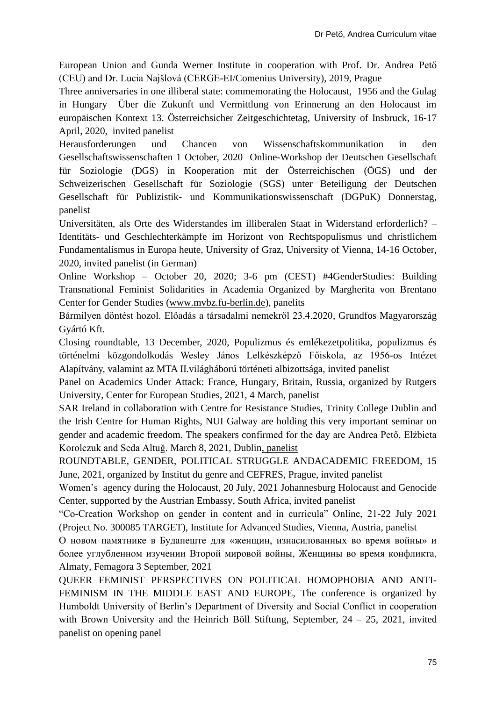European Union and Gunda Werner Institute in cooperation with Prof. Dr. Andrea Pető (CEU) and Dr. Lucia Najšlová (CERGE-EI/Comenius University), 2019, Prague

Three anniversaries in one illiberal state: commemorating the Holocaust, 1956 and the Gulag in Hungary Über die Zukunft und Vermittlung von Erinnerung an den Holocaust im europäischen Kontext 13. Österreichsicher Zeitgeschichtetag, University of Insbruck, 16-17 April, 2020, invited panelist

[Herausforderungen und Chancen von Wissenschaftskommunikation in den](https://www.academia.edu/44168486/Herausforderungen_und_Chancen_von_Wissenschaftskommunikation_in_den_Gesellschaftswissenschaften_1_October_2020)  [Gesellschaftswissenschaften 1 October, 2020](https://www.academia.edu/44168486/Herausforderungen_und_Chancen_von_Wissenschaftskommunikation_in_den_Gesellschaftswissenschaften_1_October_2020) Online-Workshop der Deutschen Gesellschaft für Soziologie (DGS) in Kooperation mit der Österreichischen (ÖGS) und der Schweizerischen Gesellschaft für Soziologie (SGS) unter Beteiligung der Deutschen Gesellschaft für Publizistik- und Kommunikationswissenschaft (DGPuK) Donnerstag, panelist

Universitäten, als Orte des Widerstandes im illiberalen Staat in Widerstand erforderlich? – Identitäts- und Geschlechterkämpfe im Horizont von Rechtspopulismus und christlichem Fundamentalismus in Europa heute, University of Graz, University of Vienna, 14-16 October, 2020, invited panelist (in German)

Online Workshop – October 20, 2020; 3-6 pm (CEST) #4GenderStudies: Building Transnational Feminist Solidarities in Academia Organized by Margherita von Brentano Center for Gender Studies [\(www.mvbz.fu-berlin.de\)](http://www.mvbz.fu-berlin.de/), panelits

[Bármilyen döntést hozol. Előadás a társadalmi nemekről 23.4.2020,](https://www.academia.edu/42840201/B%C3%A1rmilyen_d%C3%B6nt%C3%A9st_hozol_El%C5%91ad%C3%A1s_a_t%C3%A1rsadalmi_nemekr%C5%91l_23_4_2020) Grundfos Magyarország Gyártó Kft.

Closing roundtable, 13 December, 2020, Populizmus és emlékezetpolitika, populizmus és történelmi közgondolkodás Wesley János Lelkészképző Főiskola, az 1956-os Intézet Alapítvány, valamint az MTA II.világháború történeti albizottsága, invited panelist

Panel on Academics Under Attack: France, Hungary, Britain, Russia, organized by Rutgers University, Center for European Studies, 2021, 4 March, panelist

SAR Ireland in collaboration with Centre for Resistance Studies, Trinity College Dublin and the Irish Centre for Human Rights, NUI Galway are holding this very important seminar on gender and academic freedom. The speakers confirmed for the day are Andrea Pető, Elżbieta Korolczuk and Seda Altuğ. March 8, 2021, [Dublin,](javascript:;) panelist

ROUNDTABLE, GENDER, POLITICAL STRUGGLE ANDACADEMIC FREEDOM, 15 June, 2021, organized by Institut du genre and CEFRES, Prague, invited panelist

Women's agency during the Holocaust, 20 July, 2021 Johannesburg Holocaust and Genocide Center, supported by the Austrian Embassy, South Africa, invited panelist

"Co-Creation Workshop on gender in content and in curricula" Online, 21-22 July 2021 (Project No. 300085 TARGET), Institute for Advanced Studies, Vienna, Austria, panelist

О новом памятнике в Будапеште для «женщин, изнасилованных во время войны» и более углубленном изучении Второй мировой войны, Женщины во время конфликта, Almaty, Femagora 3 September, 2021

QUEER FEMINIST PERSPECTIVES ON POLITICAL HOMOPHOBIA AND ANTI-FEMINISM IN THE MIDDLE EAST AND EUROPE, The conference is organized by Humboldt University of Berlin's Department of Diversity and Social Conflict in cooperation with Brown University and the Heinrich Böll Stiftung, September,  $24 - 25$ , 2021, invited panelist on opening panel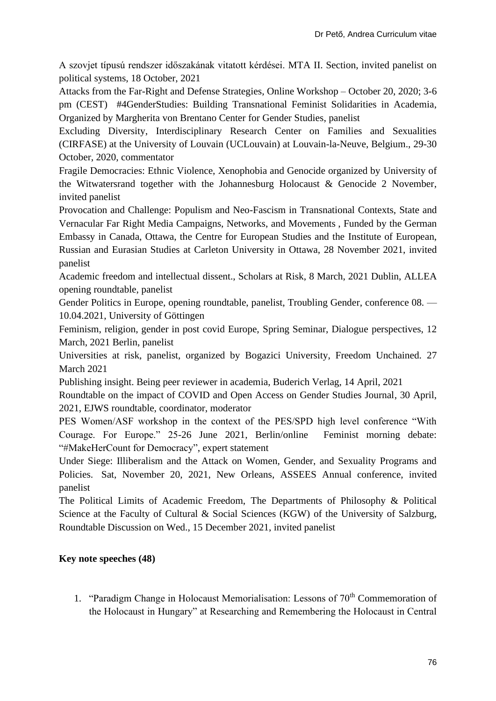A szovjet típusú rendszer időszakának vitatott kérdései. MTA II. Section, invited panelist on political systems, 18 October, 2021

Attacks from the Far-Right and Defense Strategies, Online Workshop – October 20, 2020; 3-6 pm (CEST) #4GenderStudies: Building Transnational Feminist Solidarities in Academia, Organized by Margherita von Brentano Center for Gender Studies, panelist

Excluding Diversity, Interdisciplinary Research Center on Families and Sexualities (CIRFASE) at the University of Louvain (UCLouvain) at Louvain-la-Neuve, Belgium., 29-30 October, 2020, commentator

Fragile Democracies: Ethnic Violence, Xenophobia and Genocide organized by University of the Witwatersrand together with the Johannesburg Holocaust & Genocide 2 November, invited panelist

Provocation and Challenge: Populism and Neo-Fascism in Transnational Contexts, State and Vernacular Far Right Media Campaigns, Networks, and Movements , Funded by the German Embassy in Canada, Ottawa, the Centre for European Studies and the [Institute of European,](https://carleton.ca/eurus)  [Russian and Eurasian Studies](https://carleton.ca/eurus) at Carleton University in Ottawa, 28 November 2021, invited panelist

Academic freedom and intellectual dissent., Scholars at Risk, 8 March, 2021 Dublin, ALLEA opening roundtable, panelist

Gender Politics in Europe, opening roundtable, panelist, Troubling Gender, conference 08. — 10.04.2021, University of Göttingen

Feminism, religion, gender in post covid Europe, Spring Seminar, Dialogue perspectives, 12 March, 2021 Berlin, panelist

Universities at risk, panelist, organized by Bogazici University, Freedom Unchained. 27 March 2021

Publishing insight. Being peer reviewer in academia, Buderich Verlag, 14 April, 2021

Roundtable on the impact of COVID and Open Access on Gender Studies Journal, 30 April, 2021, EJWS roundtable, coordinator, moderator

PES Women/ASF workshop in the context of the PES/SPD high level conference "With Courage. For Europe." 25-26 June 2021, Berlin/online Feminist morning debate: "#MakeHerCount for Democracy", expert statement

Under Siege: Illiberalism and the Attack on Women, Gender, and Sexuality Programs and Policies. Sat, November 20, 2021, New Orleans, ASSEES Annual conference, invited panelist

The Political Limits of Academic Freedom, The Departments of Philosophy & Political Science at the Faculty of Cultural & Social Sciences (KGW) of the University of Salzburg, Roundtable Discussion on Wed., 15 December 2021, invited panelist

# **Key note speeches (48)**

1. "Paradigm Change in Holocaust Memorialisation: Lessons of 70<sup>th</sup> Commemoration of the Holocaust in Hungary" at Researching and Remembering the Holocaust in Central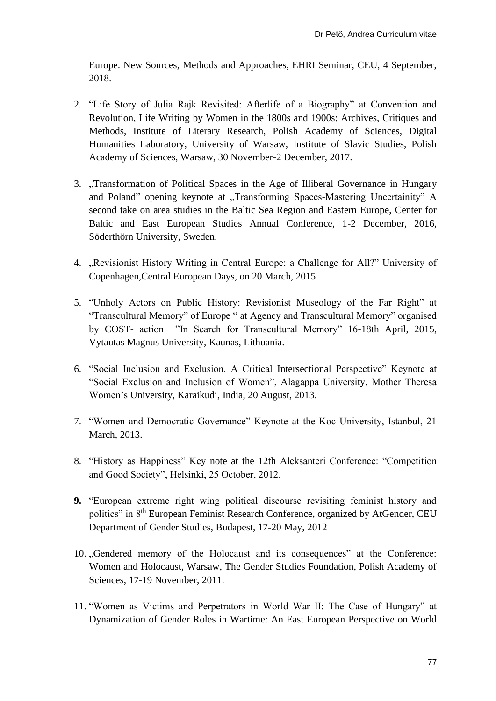Europe. New Sources, Methods and Approaches, EHRI Seminar, CEU, 4 September, 2018.

- 2. "Life Story of Julia Rajk Revisited: Afterlife of a Biography" at Convention and Revolution, Life Writing by Women in the 1800s and 1900s: Archives, Critiques and Methods, Institute of Literary Research, Polish Academy of Sciences, Digital Humanities Laboratory, University of Warsaw, Institute of Slavic Studies, Polish Academy of Sciences, Warsaw, 30 November-2 December, 2017.
- 3. "Transformation of Political Spaces in the Age of Illiberal Governance in Hungary and Poland" opening keynote at "Transforming Spaces-Mastering Uncertainity" A second take on area studies in the Baltic Sea Region and Eastern Europe, Center for Baltic and East European Studies Annual Conference, 1-2 December, 2016, Söderthörn University, Sweden.
- 4. "Revisionist History Writing in Central Europe: a Challenge for All?" University of Copenhagen,Central European Days, on 20 March, 2015
- 5. "Unholy Actors on Public History: Revisionist Museology of the Far Right" at "Transcultural Memory" of Europe " at Agency and Transcultural Memory" organised by COST- action "In Search for Transcultural Memory" 16-18th April, 2015, Vytautas Magnus University, Kaunas, Lithuania.
- 6. "Social Inclusion and Exclusion. A Critical Intersectional Perspective" Keynote at "Social Exclusion and Inclusion of Women", Alagappa University, Mother Theresa Women's University, Karaikudi, India, 20 August, 2013.
- 7. "Women and Democratic Governance" Keynote at the Koc University, Istanbul, 21 March, 2013.
- 8. "History as Happiness" Key note at the 12th Aleksanteri Conference: "Competition and Good Society", Helsinki, 25 October, 2012.
- **9.** "European extreme right wing political discourse revisiting feminist history and politics" in 8<sup>th</sup> European Feminist Research Conference, organized by AtGender, CEU Department of Gender Studies, Budapest, 17-20 May, 2012
- 10. "Gendered memory of the Holocaust and its consequences" at the Conference: Women and Holocaust, Warsaw, The Gender Studies Foundation, Polish Academy of Sciences, 17-19 November, 2011.
- 11. "Women as Victims and Perpetrators in World War II: The Case of Hungary" at Dynamization of Gender Roles in Wartime: An East European Perspective on World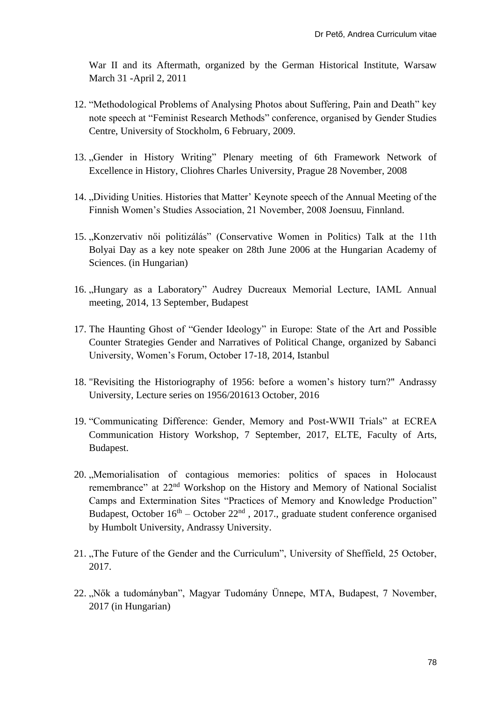War II and its Aftermath, organized by the German Historical Institute, Warsaw March 31 -April 2, 2011

- 12. "Methodological Problems of Analysing Photos about Suffering, Pain and Death" key note speech at "Feminist Research Methods" conference, organised by Gender Studies Centre, University of Stockholm, 6 February, 2009.
- 13. "Gender in History Writing" Plenary meeting of 6th Framework Network of Excellence in History, Cliohres Charles University, Prague 28 November, 2008
- 14. "Dividing Unities. Histories that Matter' Keynote speech of the Annual Meeting of the Finnish Women's Studies Association, 21 November, 2008 Joensuu, Finnland.
- 15. "Konzervativ női politizálás" (Conservative Women in Politics) Talk at the 11th Bolyai Day as a key note speaker on 28th June 2006 at the Hungarian Academy of Sciences. (in Hungarian)
- 16. "Hungary as a Laboratory" Audrey Ducreaux Memorial Lecture, IAML Annual meeting, 2014, 13 September, Budapest
- 17. The Haunting Ghost of "Gender Ideology" in Europe: State of the Art and Possible Counter Strategies Gender and Narratives of Political Change, organized by Sabanci University, Women's Forum, October 17-18, 2014, Istanbul
- 18. "Revisiting the Historiography of 1956: before a women's history turn?" Andrassy University, Lecture series on 1956/201613 October, 2016
- 19. "Communicating Difference: Gender, Memory and Post-WWII Trials" at ECREA Communication History Workshop, 7 September, 2017, ELTE, Faculty of Arts, Budapest.
- 20. "Memorialisation of contagious memories: politics of spaces in Holocaust remembrance" at 22<sup>nd</sup> Workshop on the History and Memory of National Socialist Camps and Extermination Sites "Practices of Memory and Knowledge Production" Budapest, October  $16<sup>th</sup>$  – October 22<sup>nd</sup>, 2017., graduate student conference organised by Humbolt University, Andrassy University.
- 21. "The Future of the Gender and the Curriculum", University of Sheffield, 25 October, 2017.
- 22. "Nők a tudományban", Magyar Tudomány Ünnepe, MTA, Budapest, 7 November, 2017 (in Hungarian)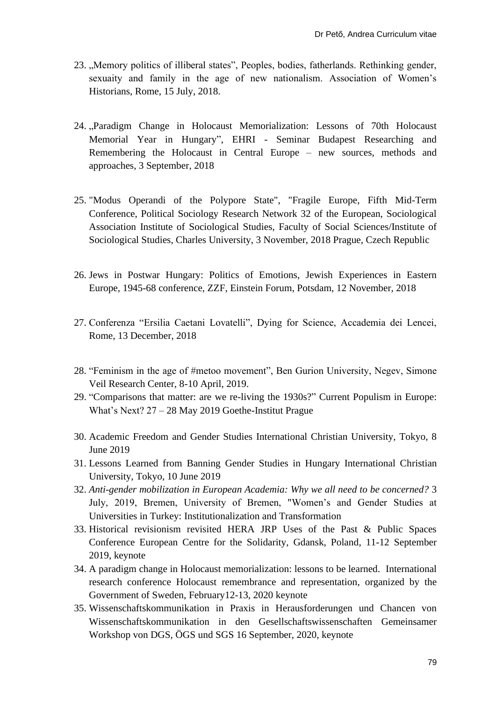- 23. "Memory politics of illiberal states", Peoples, bodies, fatherlands. Rethinking gender, sexuaity and family in the age of new nationalism. Association of Women's Historians, Rome, 15 July, 2018.
- 24. "Paradigm Change in Holocaust Memorialization: Lessons of 70th Holocaust Memorial Year in Hungary", EHRI - Seminar Budapest Researching and Remembering the Holocaust in Central Europe – new sources, methods and approaches, 3 September, 2018
- 25. "Modus Operandi of the Polypore State", "Fragile Europe, Fifth Mid-Term Conference, Political Sociology Research Network 32 of the European, Sociological Association Institute of Sociological Studies, Faculty of Social Sciences/Institute of Sociological Studies, Charles University, 3 November, 2018 Prague, Czech Republic
- 26. Jews in Postwar Hungary: Politics of Emotions, Jewish Experiences in Eastern Europe, 1945-68 conference, ZZF, Einstein Forum, Potsdam, 12 November, 2018
- 27. Conferenza "Ersilia Caetani Lovatelli", Dying for Science, Accademia dei Lencei, Rome, 13 December, 2018
- 28. "Feminism in the age of #metoo movement", Ben Gurion University, Negev, Simone Veil Research Center, 8-10 April, 2019.
- 29. "Comparisons that matter: are we re-living the 1930s?" Current Populism in Europe: What's Next? 27 – 28 May 2019 Goethe-Institut Prague
- 30. Academic Freedom and Gender Studies International Christian University, Tokyo, 8 June 2019
- 31. Lessons Learned from Banning Gender Studies in Hungary International Christian University, Tokyo, 10 June 2019
- 32. *Anti-gender mobilization in European Academia: Why we all need to be concerned?* 3 July, 2019, Bremen, University of Bremen, "Women's and Gender Studies at Universities in Turkey: Institutionalization and Transformation
- 33. Historical revisionism revisited HERA JRP Uses of the Past & Public Spaces Conference European Centre for the Solidarity, Gdansk, Poland, 11-12 September 2019, keynote
- 34. A paradigm change in Holocaust memorialization: lessons to be learned. International research conference Holocaust remembrance and representation, organized by the Government of Sweden, February12-13, 2020 keynote
- 35. Wissenschaftskommunikation in Praxis in Herausforderungen und Chancen von Wissenschaftskommunikation in den Gesellschaftswissenschaften Gemeinsamer Workshop von DGS, ÖGS und SGS 16 September, 2020, keynote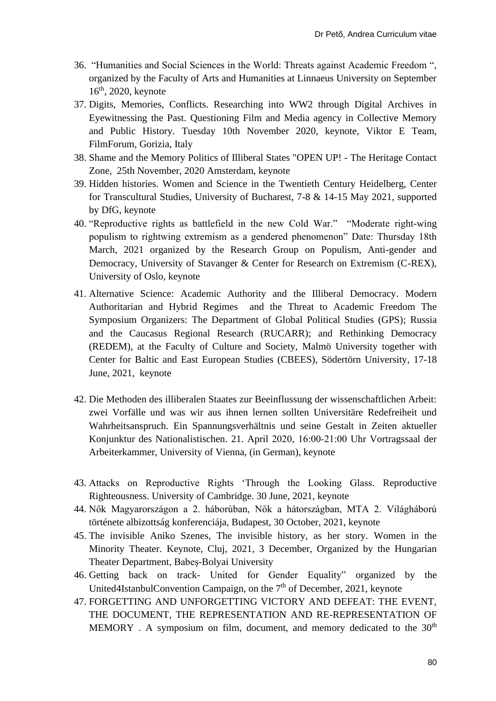- 36. "Humanities and Social Sciences in the World: Threats against Academic Freedom ", organized by the Faculty of Arts and Humanities at Linnaeus University on September  $16<sup>th</sup>$ , 2020, keynote
- 37. Digits, Memories, Conflicts. Researching into WW2 through Digital Archives in Eyewitnessing the Past. Questioning Film and Media agency in Collective Memory and Public History. Tuesday 10th November 2020, keynote, Viktor E Team, FilmForum, Gorizia, Italy
- 38. Shame and the Memory Politics of Illiberal States "OPEN UP! The Heritage Contact Zone, 25th November, 2020 Amsterdam, keynote
- 39. Hidden histories. Women and Science in the Twentieth Century Heidelberg, Center for Transcultural Studies, University of Bucharest, 7-8 & 14-15 May 2021, supported by DfG, keynote
- 40. "Reproductive rights as battlefield in the new Cold War." "Moderate right-wing populism to rightwing extremism as a gendered phenomenon" Date: Thursday 18th March, 2021 organized by the Research Group on Populism, Anti-gender and Democracy, University of Stavanger & Center for Research on Extremism (C-REX), University of Oslo, keynote
- 41. Alternative Science: Academic Authority and the Illiberal Democracy. Modern Authoritarian and Hybrid Regimes and the Threat to Academic Freedom The Symposium Organizers: The Department of Global Political Studies (GPS); Russia and the Caucasus Regional Research (RUCARR); and Rethinking Democracy (REDEM), at the Faculty of Culture and Society, Malmö University together with Center for Baltic and East European Studies (CBEES), Södertörn University, 17-18 June, 2021, keynote
- 42. Die Methoden des illiberalen Staates zur Beeinflussung der wissenschaftlichen Arbeit: zwei Vorfälle und was wir aus ihnen lernen sollten Universitäre Redefreiheit und Wahrheitsanspruch. Ein Spannungsverhältnis und seine Gestalt in Zeiten aktueller Konjunktur des Nationalistischen. 21. April 2020, 16:00‐21:00 Uhr Vortragssaal der Arbeiterkammer, University of Vienna, (in German), keynote
- 43. Attacks on Reproductive Rights 'Through the Looking Glass. Reproductive Righteousness. University of Cambridge. 30 June, 2021, keynote
- 44. Nők Magyarországon a 2. háborúban, Nők a hátországban, MTA 2. Világháború története albizottság konferenciája, Budapest, 30 October, 2021, keynote
- 45. The invisible Aniko Szenes, The invisible history, as her story. Women in the Minority Theater. Keynote, Cluj, 2021, 3 December, Organized by the Hungarian Theater Department, Babeș-Bolyai University
- 46. Getting back on track- United for Gender Equality" organized by the United4IstanbulConvention Campaign, on the 7<sup>th</sup> of December, 2021, keynote
- 47. FORGETTING AND UNFORGETTING VICTORY AND DEFEAT: THE EVENT, THE DOCUMENT, THE REPRESENTATION AND RE-REPRESENTATION OF MEMORY . A symposium on film, document, and memory dedicated to the  $30<sup>th</sup>$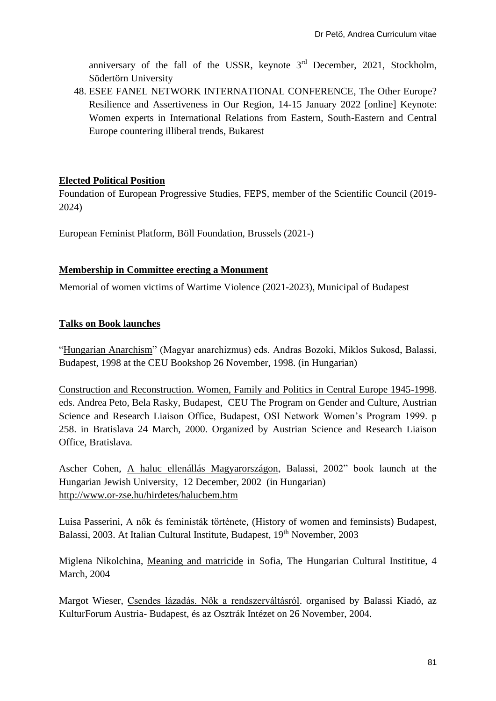anniversary of the fall of the USSR, keynote  $3<sup>rd</sup>$  December, 2021, Stockholm, Södertörn University

48. ESEE FANEL NETWORK INTERNATIONAL CONFERENCE, The Other Europe? Resilience and Assertiveness in Our Region, 14-15 January 2022 [online] Keynote: Women experts in International Relations from Eastern, South-Eastern and Central Europe countering illiberal trends, Bukarest

# **Elected Political Position**

Foundation of European Progressive Studies, FEPS, member of the Scientific Council (2019- 2024)

European Feminist Platform, Böll Foundation, Brussels (2021-)

## **Membership in Committee erecting a Monument**

Memorial of women victims of Wartime Violence (2021-2023), Municipal of Budapest

# **Talks on Book launches**

"Hungarian Anarchism" (Magyar anarchizmus) eds. Andras Bozoki, Miklos Sukosd, Balassi, Budapest, 1998 at the CEU Bookshop 26 November, 1998. (in Hungarian)

Construction and Reconstruction. Women, Family and Politics in Central Europe 1945-1998. eds. Andrea Peto, Bela Rasky, Budapest, CEU The Program on Gender and Culture, Austrian Science and Research Liaison Office, Budapest, OSI Network Women's Program 1999. p 258. in Bratislava 24 March, 2000. Organized by Austrian Science and Research Liaison Office, Bratislava.

Ascher Cohen, A haluc ellenállás Magyarországon, Balassi, 2002" book launch at the Hungarian Jewish University, 12 December, 2002 (in Hungarian) <http://www.or-zse.hu/hirdetes/halucbem.htm>

Luisa Passerini, A nők és feministák története, (History of women and feminsists) Budapest, Balassi, 2003. At Italian Cultural Institute, Budapest, 19<sup>th</sup> November, 2003

Miglena Nikolchina, Meaning and matricide in Sofia, The Hungarian Cultural Instititue, 4 March, 2004

Margot Wieser, Csendes lázadás. Nők a rendszerváltásról. organised by Balassi Kiadó, az KulturForum Austria- Budapest, és az Osztrák Intézet on 26 November, 2004.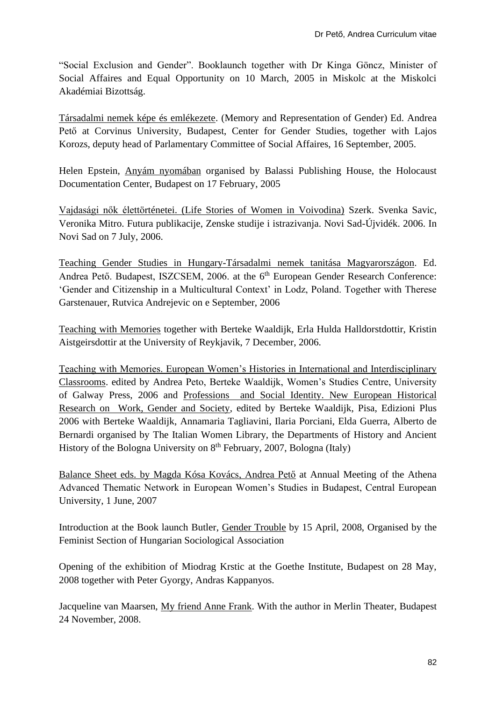"Social Exclusion and Gender". Booklaunch together with Dr Kinga Göncz, Minister of Social Affaires and Equal Opportunity on 10 March, 2005 in Miskolc at the Miskolci Akadémiai Bizottság.

Társadalmi nemek képe és emlékezete. (Memory and Representation of Gender) Ed. Andrea Pető at Corvinus University, Budapest, Center for Gender Studies, together with Lajos Korozs, deputy head of Parlamentary Committee of Social Affaires, 16 September, 2005.

Helen Epstein, Anyám nyomában organised by Balassi Publishing House, the Holocaust Documentation Center, Budapest on 17 February, 2005

Vajdasági nők élettörténetei. (Life Stories of Women in Voivodina) Szerk. Svenka Savic, Veronika Mitro. Futura publikacije, Zenske studije i istrazivanja. Novi Sad-Újvidék. 2006. In Novi Sad on 7 July, 2006.

Teaching Gender Studies in Hungary-Társadalmi nemek tanitása Magyarországon. Ed. Andrea Pető. Budapest, ISZCSEM, 2006. at the 6<sup>th</sup> European Gender Research Conference: 'Gender and Citizenship in a Multicultural Context' in Lodz, Poland. Together with Therese Garstenauer, Rutvica Andrejevic on e September, 2006

Teaching with Memories together with Berteke Waaldijk, Erla Hulda Halldorstdottir, Kristin Aistgeirsdottir at the University of Reykjavik, 7 December, 2006.

Teaching with Memories. European Women's Histories in International and Interdisciplinary Classrooms. edited by Andrea Peto, Berteke Waaldijk, Women's Studies Centre, University of Galway Press, 2006 and Professions and Social Identity. New European Historical Research on Work, Gender and Society, edited by Berteke Waaldijk, Pisa, Edizioni Plus 2006 with Berteke Waaldijk, Annamaria Tagliavini, Ilaria Porciani, Elda Guerra, Alberto de Bernardi organised by The Italian Women Library, the Departments of History and Ancient History of the Bologna University on  $8<sup>th</sup>$  February, 2007, Bologna (Italy)

Balance Sheet eds. by Magda Kósa Kovács, Andrea Pető at Annual Meeting of the Athena Advanced Thematic Network in European Women's Studies in Budapest, Central European University, 1 June, 2007

Introduction at the Book launch Butler, Gender Trouble by 15 April, 2008, Organised by the Feminist Section of Hungarian Sociological Association

Opening of the exhibition of Miodrag Krstic at the Goethe Institute, Budapest on 28 May, 2008 together with Peter Gyorgy, Andras Kappanyos.

Jacqueline van Maarsen, My friend Anne Frank. With the author in Merlin Theater, Budapest 24 November, 2008.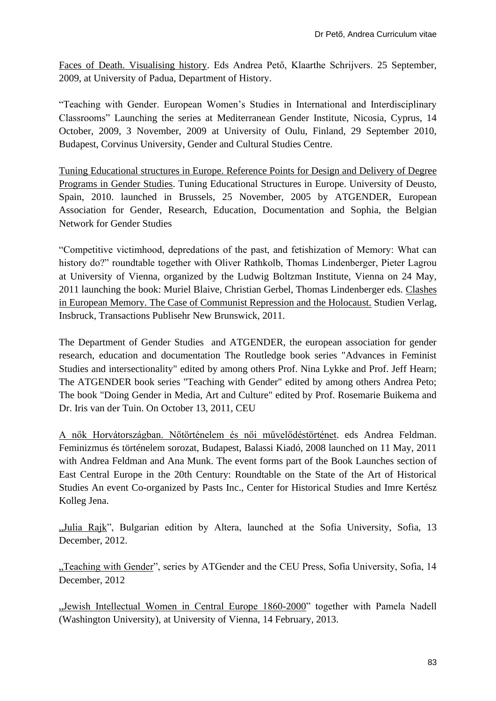Faces of Death. Visualising history. Eds Andrea Pető, Klaarthe Schrijvers. 25 September, 2009, at University of Padua, Department of History.

"Teaching with Gender. European Women's Studies in International and Interdisciplinary Classrooms" Launching the series at Mediterranean Gender Institute, Nicosia, Cyprus, 14 October, 2009, 3 November, 2009 at University of Oulu, Finland, 29 September 2010, Budapest, Corvinus University, Gender and Cultural Studies Centre.

Tuning Educational structures in Europe. Reference Points for Design and Delivery of Degree Programs in Gender Studies. Tuning Educational Structures in Europe. University of Deusto, Spain, 2010. launched in Brussels, 25 November, 2005 by ATGENDER, European Association for Gender, Research, Education, Documentation and Sophia, the Belgian Network for Gender Studies

"Competitive victimhood, depredations of the past, and fetishization of Memory: What can history do?" roundtable together with Oliver Rathkolb, Thomas Lindenberger, Pieter Lagrou at University of Vienna, organized by the Ludwig Boltzman Institute, Vienna on 24 May, 2011 launching the book: Muriel Blaive, Christian Gerbel, Thomas Lindenberger eds. Clashes in European Memory. The Case of Communist Repression and the Holocaust. Studien Verlag, Insbruck, Transactions Publisehr New Brunswick, 2011.

The Department of Gender Studies and ATGENDER, the european association for gender research, education and documentation The Routledge book series "Advances in Feminist Studies and intersectionality" edited by among others Prof. Nina Lykke and Prof. Jeff Hearn; The ATGENDER book series "Teaching with Gender" edited by among others Andrea Peto; The book "Doing Gender in Media, Art and Culture" edited by Prof. Rosemarie Buikema and Dr. Iris van der Tuin. On October 13, 2011, CEU

A nők Horvátországban. Nőtörténelem és női művelődéstörténet. eds Andrea Feldman. Feminizmus és történelem sorozat, Budapest, Balassi Kiadó, 2008 launched on 11 May, 2011 with Andrea Feldman and Ana Munk. The event forms part of the Book Launches section of East Central Europe in the 20th Century: Roundtable on the State of the Art of Historical Studies An event Co-organized by Pasts Inc., Center for Historical Studies and Imre Kertész Kolleg Jena.

"Julia Rajk", Bulgarian edition by Altera, launched at the Sofia University, Sofia, 13 December, 2012.

"Teaching with Gender", series by ATGender and the CEU Press, Sofia University, Sofia, 14 December, 2012

"Jewish Intellectual Women in Central Europe 1860-2000" together with Pamela Nadell (Washington University), at University of Vienna, 14 February, 2013.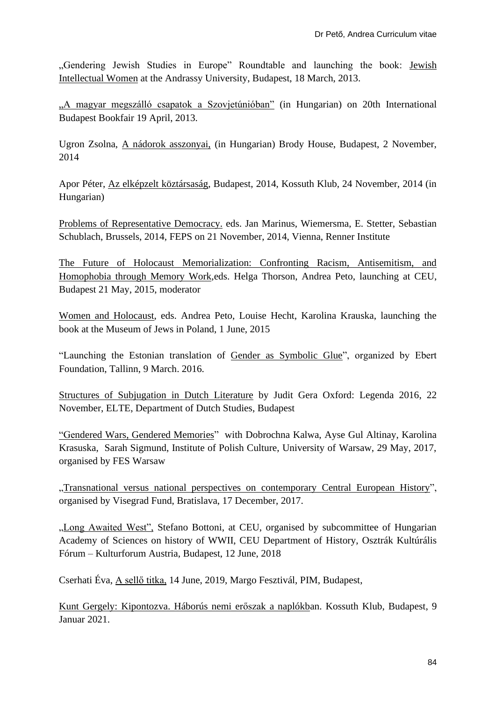"Gendering Jewish Studies in Europe" Roundtable and launching the book: Jewish Intellectual Women at the Andrassy University, Budapest, 18 March, 2013.

"A magyar megszálló csapatok a Szovjetúnióban" (in Hungarian) on 20th International Budapest Bookfair 19 April, 2013.

Ugron Zsolna, A nádorok asszonyai, (in Hungarian) Brody House, Budapest, 2 November, 2014

Apor Péter, Az elképzelt köztársaság, Budapest, 2014, Kossuth Klub, 24 November, 2014 (in Hungarian)

Problems of Representative Democracy. eds. Jan Marinus, Wiemersma, E. Stetter, Sebastian Schublach, Brussels, 2014, FEPS on 21 November, 2014, Vienna, Renner Institute

The Future of Holocaust Memorialization: Confronting Racism, Antisemitism, and Homophobia through Memory Work,eds. Helga Thorson, Andrea Peto, launching at CEU, Budapest 21 May, 2015, moderator

Women and Holocaust, eds. Andrea Peto, Louise Hecht, Karolina Krauska, launching the book at the Museum of Jews in Poland, 1 June, 2015

"Launching the Estonian translation of Gender as Symbolic Glue", organized by Ebert Foundation, Tallinn, 9 March. 2016.

Structures of Subjugation in Dutch Literature by Judit Gera Oxford: Legenda 2016, 22 November, ELTE, Department of Dutch Studies, Budapest

"Gendered Wars, Gendered Memories" with Dobrochna Kalwa, Ayse Gul Altinay, Karolina Krasuska, Sarah Sigmund, Institute of Polish Culture, University of Warsaw, 29 May, 2017, organised by FES Warsaw

"Transnational versus national perspectives on contemporary Central European History". organised by Visegrad Fund, Bratislava, 17 December, 2017.

"Long Awaited West", Stefano Bottoni, at CEU, organised by subcommittee of Hungarian Academy of Sciences on history of WWII, CEU Department of History, Osztrák Kultúrális Fórum – Kulturforum Austria, Budapest, 12 June, 2018

Cserhati Éva, A sellő titka, 14 June, 2019, Margo Fesztivál, PIM, Budapest,

Kunt Gergely: Kipontozva. Háborús nemi erőszak a naplókban. Kossuth Klub, Budapest, 9 Januar 2021.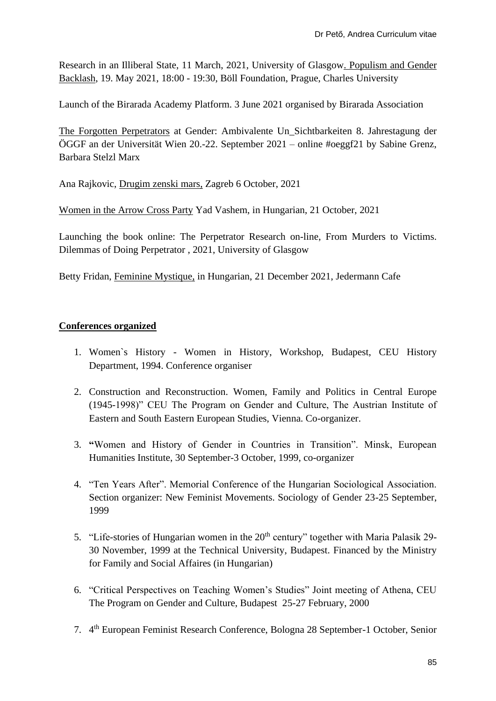Research in an Illiberal State, 11 March, 2021, University of Glasgow. Populism and Gender Backlash, 19. May 2021, 18:00 - 19:30, Böll Foundation, Prague, Charles University

[Launch of the Birarada Academy Platform. 3 June 2021](https://www.academia.edu/43205279/launch_of_the_Birarada_Academy_Platform_3_June_2020) organised by Birarada Association

The Forgotten Perpetrators at Gender: Ambivalente Un\_Sichtbarkeiten 8. Jahrestagung der ÖGGF an der Universität Wien 20.-22. September 2021 – online #oeggf21 by Sabine Grenz, Barbara Stelzl Marx

Ana Rajkovic, Drugim zenski mars, Zagreb 6 October, 2021

Women in the Arrow Cross Party Yad Vashem, in Hungarian, 21 October, 2021

Launching the book online: The Perpetrator Research on-line, From Murders to Victims. Dilemmas of Doing Perpetrator , 2021, University of Glasgow

Betty Fridan, Feminine Mystique, in Hungarian, 21 December 2021, Jedermann Cafe

# **Conferences organized**

- 1. Women`s History Women in History, Workshop, Budapest, CEU History Department, 1994. Conference organiser
- 2. Construction and Reconstruction. Women, Family and Politics in Central Europe (1945-1998)" CEU The Program on Gender and Culture, The Austrian Institute of Eastern and South Eastern European Studies, Vienna. Co-organizer.
- 3. **"**Women and History of Gender in Countries in Transition". Minsk, European Humanities Institute, 30 September-3 October, 1999, co-organizer
- 4. "Ten Years After". Memorial Conference of the Hungarian Sociological Association. Section organizer: New Feminist Movements. Sociology of Gender 23-25 September, 1999
- 5. "Life-stories of Hungarian women in the  $20<sup>th</sup>$  century" together with Maria Palasik 29-30 November, 1999 at the Technical University, Budapest. Financed by the Ministry for Family and Social Affaires (in Hungarian)
- 6. "Critical Perspectives on Teaching Women's Studies" Joint meeting of Athena, CEU The Program on Gender and Culture, Budapest 25-27 February, 2000
- 7. 4 th European Feminist Research Conference, Bologna 28 September-1 October, Senior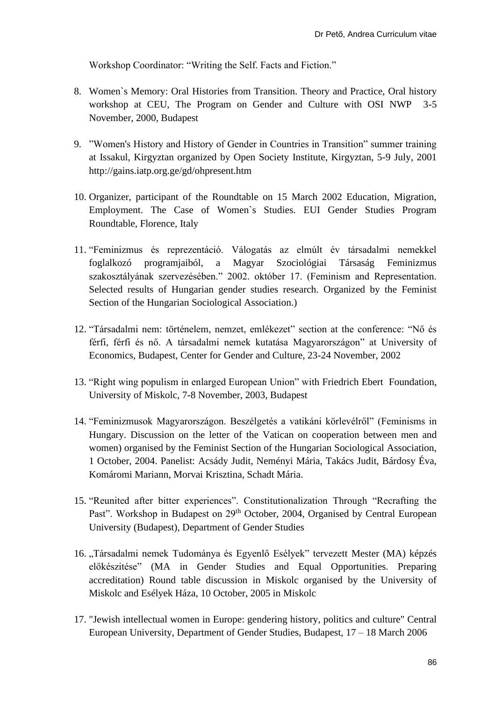Workshop Coordinator: "Writing the Self. Facts and Fiction."

- 8. Women`s Memory: Oral Histories from Transition. Theory and Practice, Oral history workshop at CEU, The Program on Gender and Culture with OSI NWP 3-5 November, 2000, Budapest
- 9. "Women's History and History of Gender in Countries in Transition" summer training at Issakul, Kirgyztan organized by Open Society Institute, Kirgyztan, 5-9 July, 2001 http://gains.iatp.org.ge/gd/ohpresent.htm
- 10. Organizer, participant of the Roundtable on 15 March 2002 Education, Migration, Employment. The Case of Women`s Studies. EUI Gender Studies Program Roundtable, Florence, Italy
- 11. "Feminizmus és reprezentáció. Válogatás az elmúlt év társadalmi nemekkel foglalkozó programjaiból, a Magyar Szociológiai Társaság Feminizmus szakosztályának szervezésében." 2002. október 17. (Feminism and Representation. Selected results of Hungarian gender studies research. Organized by the Feminist Section of the Hungarian Sociological Association.)
- 12. "Társadalmi nem: történelem, nemzet, emlékezet" section at the conference: "Nő és férfi, férfi és nő. A társadalmi nemek kutatása Magyarországon" at University of Economics, Budapest, Center for Gender and Culture, 23-24 November, 2002
- 13. "Right wing populism in enlarged European Union" with Friedrich Ebert Foundation, University of Miskolc, 7-8 November, 2003, Budapest
- 14. "Feminizmusok Magyarországon. Beszélgetés a vatikáni körlevélről" (Feminisms in Hungary. Discussion on the letter of the Vatican on cooperation between men and women) organised by the Feminist Section of the Hungarian Sociological Association, 1 October, 2004. Panelist: Acsády Judit, Neményi Mária, Takács Judit, Bárdosy Éva, Komáromi Mariann, Morvai Krisztina, Schadt Mária.
- 15. "Reunited after bitter experiences". Constitutionalization Through "Recrafting the Past". Workshop in Budapest on 29<sup>th</sup> October, 2004, Organised by Central European University (Budapest), Department of Gender Studies
- 16. "Társadalmi nemek Tudománya és Egyenlő Esélyek" tervezett Mester (MA) képzés előkészitése" (MA in Gender Studies and Equal Opportunities. Preparing accreditation) Round table discussion in Miskolc organised by the University of Miskolc and Esélyek Háza, 10 October, 2005 in Miskolc
- 17. "Jewish intellectual women in Europe: gendering history, politics and culture" Central European University, Department of Gender Studies, Budapest, 17 – 18 March 2006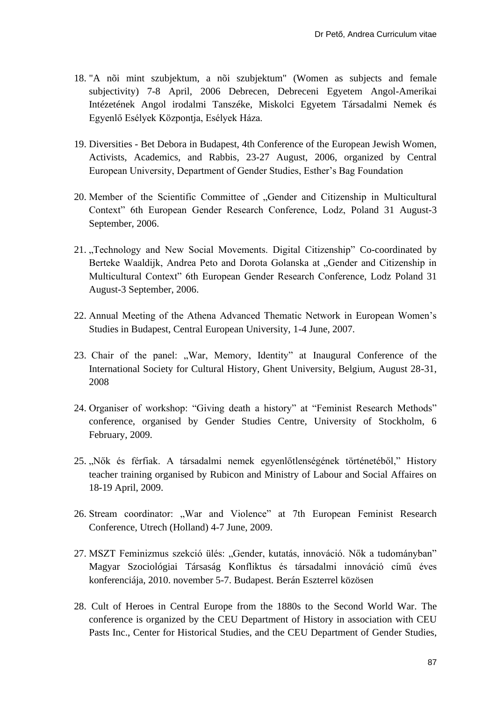- 18. "A nõi mint szubjektum, a nõi szubjektum" (Women as subjects and female subjectivity) 7-8 April, 2006 Debrecen, Debreceni Egyetem Angol-Amerikai Intézetének Angol irodalmi Tanszéke, Miskolci Egyetem Társadalmi Nemek és Egyenlő Esélyek Központja, Esélyek Háza.
- 19. Diversities Bet Debora in Budapest, 4th Conference of the European Jewish Women, Activists, Academics, and Rabbis, 23-27 August, 2006, organized by Central European University, Department of Gender Studies, Esther's Bag Foundation
- 20. Member of the Scientific Committee of "Gender and Citizenship in Multicultural Context" 6th European Gender Research Conference, Lodz, Poland 31 August-3 September, 2006.
- 21. "Technology and New Social Movements. Digital Citizenship" Co-coordinated by Berteke Waaldijk, Andrea Peto and Dorota Golanska at "Gender and Citizenship in Multicultural Context" 6th European Gender Research Conference, Lodz Poland 31 August-3 September, 2006.
- 22. Annual Meeting of the Athena Advanced Thematic Network in European Women's Studies in Budapest, Central European University, 1-4 June, 2007.
- 23. Chair of the panel: "War, Memory, Identity" at Inaugural Conference of the International Society for Cultural History, Ghent University, Belgium, August 28-31, 2008
- 24. Organiser of workshop: "Giving death a history" at "Feminist Research Methods" conference, organised by Gender Studies Centre, University of Stockholm, 6 February, 2009.
- 25. "Nők és férfiak. A társadalmi nemek egyenlőtlenségének történetéből," History teacher training organised by Rubicon and Ministry of Labour and Social Affaires on 18-19 April, 2009.
- 26. Stream coordinator: "War and Violence" at 7th European Feminist Research Conference, Utrech (Holland) 4-7 June, 2009.
- 27. MSZT Feminizmus szekció ülés: "Gender, kutatás, innováció. Nők a tudományban" Magyar Szociológiai Társaság Konfliktus és társadalmi innováció című éves konferenciája, 2010. november 5-7. Budapest. Berán Eszterrel közösen
- 28. Cult of Heroes in Central Europe from the 1880s to the Second World War. The conference is organized by the CEU Department of History in association with CEU Pasts Inc., Center for Historical Studies, and the CEU Department of Gender Studies,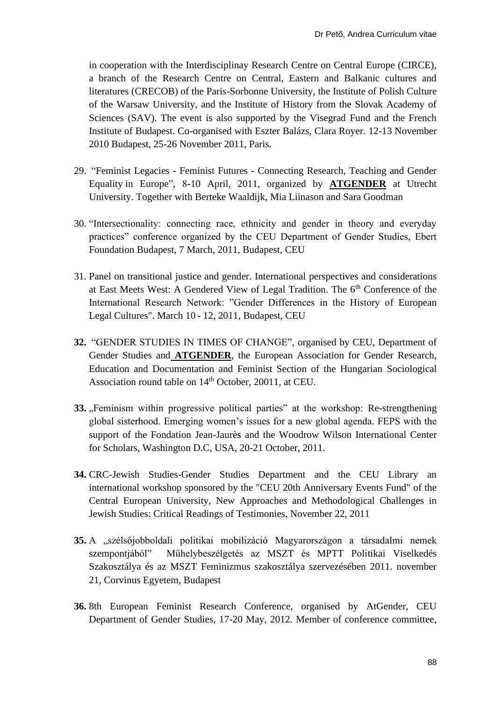in cooperation with the Interdisciplinay Research Centre on Central Europe (CIRCE), a branch of the Research Centre on Central, Eastern and Balkanic cultures and literatures (CRECOB) of the Paris‐Sorbonne University, the Institute of Polish Culture of the Warsaw University, and the Institute of History from the Slovak Academy of Sciences (SAV). The event is also supported by the Visegrad Fund and the French Institute of Budapest. Co-organised with Eszter Balázs, Clara Royer. 12-13 November 2010 Budapest, 25-26 November 2011, Paris.

- 29. "Feminist Legacies Feminist Futures Connecting Research, Teaching and Gender Equality in Europe", 8-10 April, 2011, organized by **ATGENDER** at Utrecht University. Together with Berteke Waaldijk, Mia Liinason and Sara Goodman
- 30. "Intersectionality: connecting race, ethnicity and gender in theory and everyday practices" conference organized by the CEU Department of Gender Studies, Ebert Foundation Budapest, 7 March, 2011, Budapest, CEU
- 31. Panel on transitional justice and gender. International perspectives and considerations at East Meets West: A Gendered View of Legal Tradition. The 6<sup>th</sup> Conference of the International Research Network: "Gender Differences in the History of European Legal Cultures". March 10 - 12, 2011, Budapest, CEU
- **32.** "GENDER STUDIES IN TIMES OF CHANGE", organised by CEU, Department of Gender Studies and **ATGENDER**, the European Association for Gender Research, Education and Documentation and Feminist Section of the Hungarian Sociological Association round table on 14<sup>th</sup> October, 20011, at CEU.
- **33.** "Feminism within progressive political parties" at the workshop: Re-strengthening global sisterhood. Emerging women's issues for a new global agenda. FEPS with the support of the Fondation Jean-Jaurès and the Woodrow Wilson International Center for Scholars, Washington D.C, USA, 20-21 October, 2011.
- **34.** CRC-Jewish Studies-Gender Studies Department and the CEU Library an international workshop sponsored by the "CEU 20th Anniversary Events Fund" of the Central European University, New Approaches and Methodological Challenges in Jewish Studies: Critical Readings of Testimonies, November 22, 2011
- **35.** A "szélsőjobboldali politikai mobilizáció Magyarországon a társadalmi nemek szempontjából" Műhelybeszélgetés az MSZT és MPTT Politikai Viselkedés Szakosztálya és az MSZT Feminizmus szakosztálya szervezésében 2011. november 21, Corvinus Egyetem, Budapest
- **36.** 8th European Feminist Research Conference, organised by AtGender, CEU Department of Gender Studies, 17-20 May, 2012. Member of conference committee,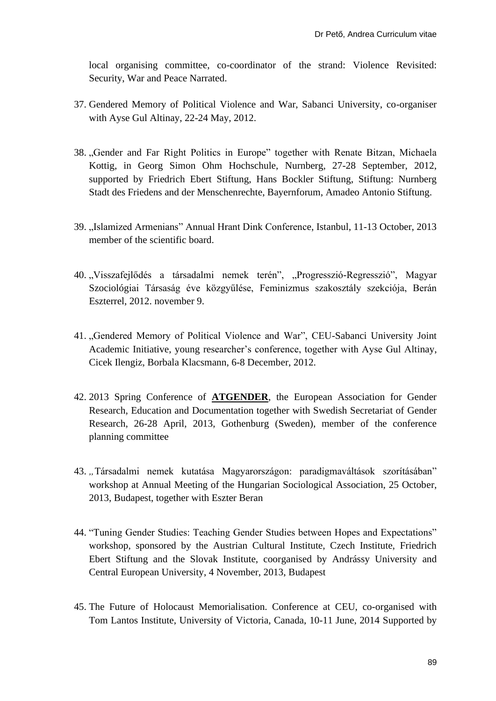local organising committee, co-coordinator of the strand: Violence Revisited: Security, War and Peace Narrated.

- 37. Gendered Memory of Political Violence and War, Sabanci University, co-organiser with Ayse Gul Altinay, 22-24 May, 2012.
- 38. "Gender and Far Right Politics in Europe" together with Renate Bitzan, Michaela Kottig, in Georg Simon Ohm Hochschule, Nurnberg, 27-28 September, 2012, supported by Friedrich Ebert Stiftung, Hans Bockler Stiftung, Stiftung: Nurnberg Stadt des Friedens and der Menschenrechte, Bayernforum, Amadeo Antonio Stiftung.
- 39. "Islamized Armenians" Annual Hrant Dink Conference, Istanbul, 11-13 October, 2013 member of the scientific board.
- 40. "Visszafejlődés a társadalmi nemek terén", "Progresszió-Regresszió", Magyar Szociológiai Társaság éve közgyűlése, Feminizmus szakosztály szekciója, Berán Eszterrel, 2012. november 9.
- 41. "Gendered Memory of Political Violence and War", CEU-Sabanci University Joint Academic Initiative, young researcher's conference, together with Ayse Gul Altinay, Cicek Ilengiz, Borbala Klacsmann, 6-8 December, 2012.
- 42. 2013 Spring Conference of **ATGENDER**, the European Association for Gender Research, Education and Documentation together with Swedish Secretariat of Gender Research, 26-28 April, 2013, Gothenburg (Sweden), member of the conference planning committee
- 43. *"*Társadalmi nemek kutatása Magyarországon: paradigmaváltások szorításában" workshop at Annual Meeting of the Hungarian Sociological Association, 25 October, 2013, Budapest, together with Eszter Beran
- 44. "Tuning Gender Studies: Teaching Gender Studies between Hopes and Expectations" workshop, sponsored by the Austrian Cultural Institute, Czech Institute, Friedrich Ebert Stiftung and the Slovak Institute, coorganised by Andrássy University and Central European University, 4 November, 2013, Budapest
- 45. [The Future of Holocaust Memorialisation. Conference at CEU, co-organised with](http://www.academia.edu/7218593/The_Future_of_Holocaust_Memorialisation._Conference_at_CEU_co-organised_with_Tom_Lantos_Institute_10_June_2014)  Tom Lantos Institute, [University of Victoria, Canada,](http://www.academia.edu/7218593/The_Future_of_Holocaust_Memorialisation._Conference_at_CEU_co-organised_with_Tom_Lantos_Institute_10_June_2014) 10-11 June, 2014 Supported by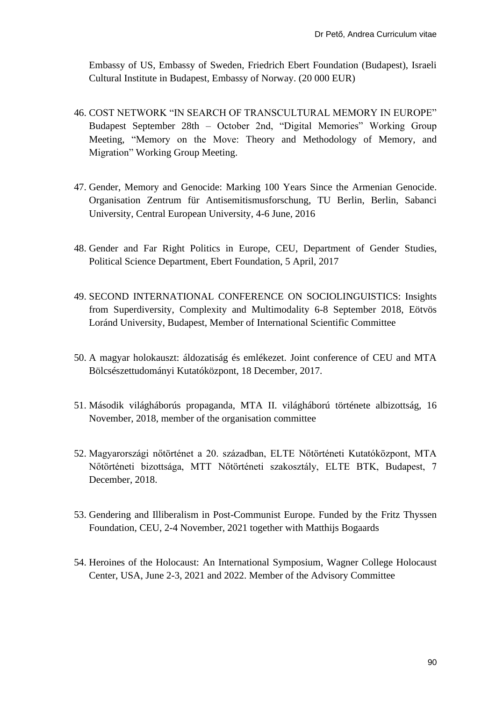Embassy of US, Embassy of Sweden, Friedrich Ebert Foundation (Budapest), Israeli Cultural Institute in Budapest, Embassy of Norway. (20 000 EUR)

- 46. COST NETWORK "IN SEARCH OF TRANSCULTURAL MEMORY IN EUROPE" Budapest September 28th – October 2nd, "Digital Memories" Working Group Meeting, "Memory on the Move: Theory and Methodology of Memory, and Migration" Working Group Meeting.
- 47. Gender, Memory and Genocide: Marking 100 Years Since the Armenian Genocide. Organisation Zentrum für Antisemitismusforschung, TU Berlin, Berlin, Sabanci University, Central European University, 4-6 June, 2016
- 48. Gender and Far Right Politics in Europe, CEU, Department of Gender Studies, Political Science Department, Ebert Foundation, 5 April, 2017
- 49. SECOND INTERNATIONAL CONFERENCE ON SOCIOLINGUISTICS: Insights from Superdiversity, Complexity and Multimodality 6-8 September 2018, Eötvös Loránd University, Budapest, Member of International Scientific Committee
- 50. A magyar holokauszt: áldozatiság és emlékezet. Joint conference of CEU and MTA Bölcsészettudományi Kutatóközpont, 18 December, 2017.
- 51. Második világháborús propaganda, MTA II. világháború története albizottság, 16 November, 2018, member of the organisation committee
- 52. Magyarországi nőtörténet a 20. században, ELTE Nőtörténeti Kutatóközpont, MTA Nőtörténeti bizottsága, MTT Nőtörténeti szakosztály, ELTE BTK, Budapest, 7 December, 2018.
- 53. Gendering and Illiberalism in Post-Communist Europe. Funded by the Fritz Thyssen Foundation, CEU, 2-4 November, 2021 together with Matthijs Bogaards
- 54. Heroines of the Holocaust: An International Symposium, Wagner College Holocaust Center, USA, June 2-3, 2021 and 2022. Member of the Advisory Committee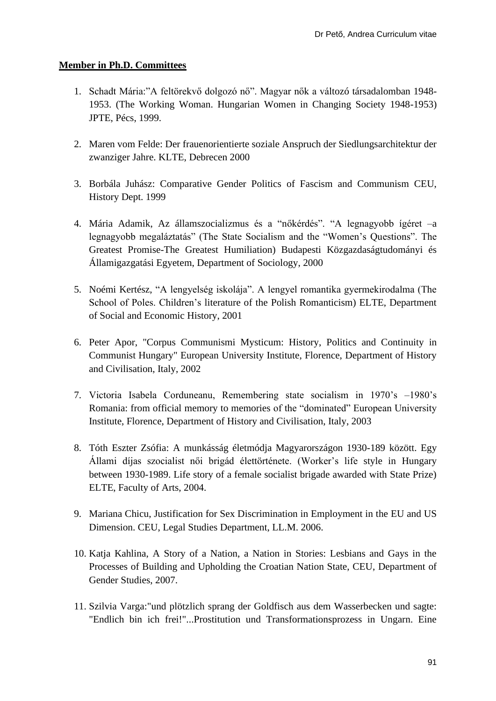# **Member in Ph.D. Committees**

- 1. Schadt Mária:"A feltörekvő dolgozó nő". Magyar nők a változó társadalomban 1948- 1953. (The Working Woman. Hungarian Women in Changing Society 1948-1953) JPTE, Pécs, 1999.
- 2. Maren vom Felde: Der frauenorientierte soziale Anspruch der Siedlungsarchitektur der zwanziger Jahre. KLTE, Debrecen 2000
- 3. Borbála Juhász: Comparative Gender Politics of Fascism and Communism CEU, History Dept. 1999
- 4. Mária Adamik, Az államszocializmus és a "nőkérdés". "A legnagyobb ígéret –a legnagyobb megaláztatás" (The State Socialism and the "Women's Questions". The Greatest Promise-The Greatest Humiliation) Budapesti Közgazdaságtudományi és Államigazgatási Egyetem, Department of Sociology, 2000
- 5. Noémi Kertész, "A lengyelség iskolája". A lengyel romantika gyermekirodalma (The School of Poles. Children's literature of the Polish Romanticism) ELTE, Department of Social and Economic History, 2001
- 6. Peter Apor, "Corpus Communismi Mysticum: History, Politics and Continuity in Communist Hungary" European University Institute, Florence, Department of History and Civilisation, Italy, 2002
- 7. Victoria Isabela Corduneanu, Remembering state socialism in 1970's –1980's Romania: from official memory to memories of the "dominated" European University Institute, Florence, Department of History and Civilisation, Italy, 2003
- 8. Tóth Eszter Zsófia: A munkásság életmódja Magyarországon 1930-189 között. Egy Állami díjas szocialist női brigád élettörténete. (Worker's life style in Hungary between 1930-1989. Life story of a female socialist brigade awarded with State Prize) ELTE, Faculty of Arts, 2004.
- 9. Mariana Chicu, Justification for Sex Discrimination in Employment in the EU and US Dimension. CEU, Legal Studies Department, LL.M. 2006.
- 10. Katja Kahlina, A Story of a Nation, a Nation in Stories: Lesbians and Gays in the Processes of Building and Upholding the Croatian Nation State, CEU, Department of Gender Studies, 2007.
- 11. Szilvia Varga:"und plötzlich sprang der Goldfisch aus dem Wasserbecken und sagte: "Endlich bin ich frei!"...Prostitution und Transformationsprozess in Ungarn. Eine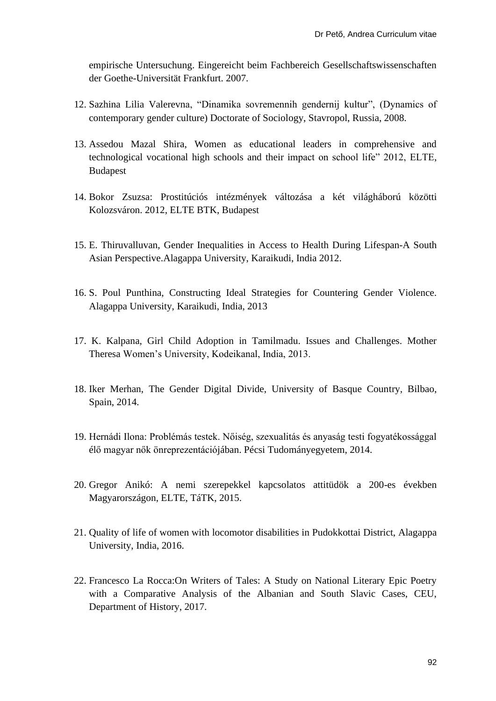empirische Untersuchung. Eingereicht beim Fachbereich Gesellschaftswissenschaften der Goethe-Universität Frankfurt. 2007.

- 12. Sazhina Lilia Valerevna, "Dinamika sovremennih gendernij kultur", (Dynamics of contemporary gender culture) Doctorate of Sociology, Stavropol, Russia, 2008.
- 13. Assedou Mazal Shira, Women as educational leaders in comprehensive and technological vocational high schools and their impact on school life" 2012, ELTE, Budapest
- 14. Bokor Zsuzsa: Prostitúciós intézmények változása a két világháború közötti Kolozsváron. 2012, ELTE BTK, Budapest
- 15. E. Thiruvalluvan, Gender Inequalities in Access to Health During Lifespan-A South Asian Perspective.Alagappa University, Karaikudi, India 2012.
- 16. S. Poul Punthina, Constructing Ideal Strategies for Countering Gender Violence. Alagappa University, Karaikudi, India, 2013
- 17. K. Kalpana, Girl Child Adoption in Tamilmadu. Issues and Challenges. Mother Theresa Women's University, Kodeikanal, India, 2013.
- 18. Iker Merhan, The Gender Digital Divide, University of Basque Country, Bilbao, Spain, 2014.
- 19. Hernádi Ilona: Problémás testek. Nőiség, szexualitás és anyaság testi fogyatékossággal élő magyar nők önreprezentációjában. Pécsi Tudományegyetem, 2014.
- 20. Gregor Anikó: A nemi szerepekkel kapcsolatos attitüdök a 200-es években Magyarországon, ELTE, TáTK, 2015.
- 21. Quality of life of women with locomotor disabilities in Pudokkottai District, Alagappa University, India, 2016.
- 22. Francesco La Rocca:On Writers of Tales: A Study on National Literary Epic Poetry with a Comparative Analysis of the Albanian and South Slavic Cases, CEU, Department of History, 2017.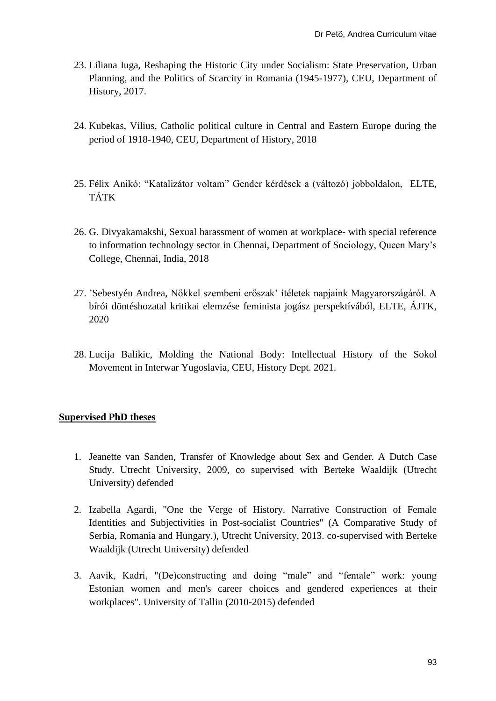- 23. Liliana Iuga, Reshaping the Historic City under Socialism: State Preservation, Urban Planning, and the Politics of Scarcity in Romania (1945-1977), CEU, Department of History, 2017.
- 24. Kubekas, Vilius, Catholic political culture in Central and Eastern Europe during the period of 1918-1940, CEU, Department of History, 2018
- 25. Félix Anikó: "Katalizátor voltam" Gender kérdések a (változó) jobboldalon, ELTE, TÁTK
- 26. G. Divyakamakshi, Sexual harassment of women at workplace- with special reference to information technology sector in Chennai, Department of Sociology, Queen Mary's College, Chennai, India, 2018
- 27. 'Sebestyén Andrea, Nőkkel szembeni erőszak' ítéletek napjaink Magyarországáról. A bírói döntéshozatal kritikai elemzése feminista jogász perspektívából, ELTE, ÁJTK, 2020
- 28. Lucija Balikic, Molding the National Body: Intellectual History of the Sokol Movement in Interwar Yugoslavia, CEU, History Dept. 2021.

## **Supervised PhD theses**

- 1. Jeanette van Sanden, Transfer of Knowledge about Sex and Gender. A Dutch Case Study. Utrecht University, 2009, co supervised with Berteke Waaldijk (Utrecht University) defended
- 2. Izabella Agardi, "One the Verge of History. Narrative Construction of Female Identities and Subjectivities in Post-socialist Countries" (A Comparative Study of Serbia, Romania and Hungary.), Utrecht University, 2013. co-supervised with Berteke Waaldijk (Utrecht University) defended
- 3. Aavik, Kadri, "(De)constructing and doing "male" and "female" work: young Estonian women and men's career choices and gendered experiences at their workplaces". University of Tallin (2010-2015) defended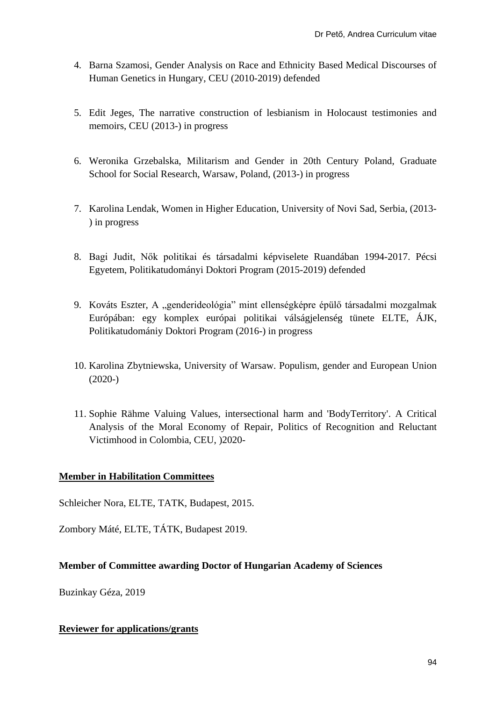- 4. Barna Szamosi, Gender Analysis on Race and Ethnicity Based Medical Discourses of Human Genetics in Hungary, CEU (2010-2019) defended
- 5. Edit Jeges, The narrative construction of lesbianism in Holocaust testimonies and memoirs, CEU (2013-) in progress
- 6. Weronika Grzebalska, Militarism and Gender in 20th Century Poland, Graduate School for Social Research, Warsaw, Poland, (2013-) in progress
- 7. Karolina Lendak, Women in Higher Education, University of Novi Sad, Serbia, (2013- ) in progress
- 8. Bagi Judit, Nők politikai és társadalmi képviselete Ruandában 1994-2017. Pécsi Egyetem, Politikatudományi Doktori Program (2015-2019) defended
- 9. Kováts Eszter, A "genderideológia" mint ellenségképre épülő társadalmi mozgalmak Európában: egy komplex európai politikai válságjelenség tünete ELTE, ÁJK, Politikatudomániy Doktori Program (2016-) in progress
- 10. Karolina Zbytniewska, University of Warsaw. Populism, gender and European Union  $(2020-)$
- 11. Sophie Rähme Valuing Values, intersectional harm and 'BodyTerritory'. A Critical Analysis of the Moral Economy of Repair, Politics of Recognition and Reluctant Victimhood in Colombia, CEU, )2020-

# **Member in Habilitation Committees**

Schleicher Nora, ELTE, TATK, Budapest, 2015.

Zombory Máté, ELTE, TÁTK, Budapest 2019.

# **Member of Committee awarding Doctor of Hungarian Academy of Sciences**

Buzinkay Géza, 2019

## **Reviewer for applications/grants**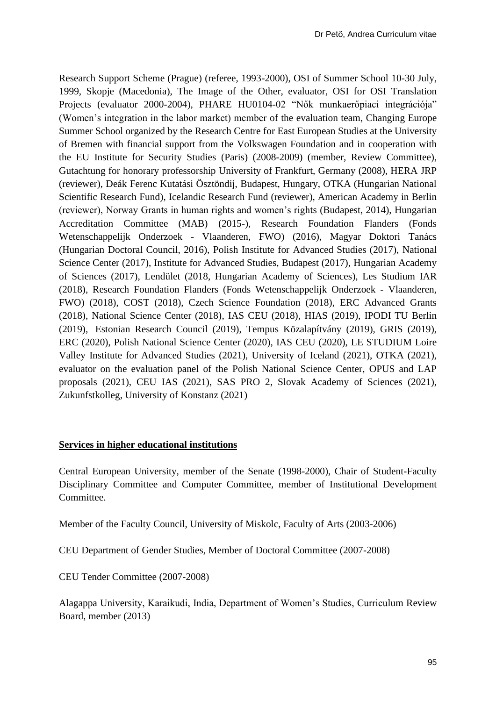Research Support Scheme (Prague) (referee, 1993-2000), OSI of Summer School 10-30 July, 1999, Skopje (Macedonia), The Image of the Other, evaluator, OSI for OSI Translation Projects (evaluator 2000-2004), PHARE HU0104-02 "Nők munkaerőpiaci integrációja" (Women's integration in the labor market) member of the evaluation team, Changing Europe Summer School organized by the Research Centre for East European Studies at the University of Bremen with financial support from the Volkswagen Foundation and in cooperation with the EU Institute for Security Studies (Paris) (2008-2009) (member, Review Committee), Gutachtung for honorary professorship University of Frankfurt, Germany (2008), HERA JRP (reviewer), Deák Ferenc Kutatási Ösztöndij, Budapest, Hungary, OTKA (Hungarian National Scientific Research Fund), Icelandic Research Fund (reviewer), American Academy in Berlin (reviewer), Norway Grants in human rights and women's rights (Budapest, 2014), Hungarian Accreditation Committee (MAB) (2015-), Research Foundation Flanders (Fonds Wetenschappelijk Onderzoek - Vlaanderen, FWO) (2016), Magyar Doktori Tanács (Hungarian Doctoral Council, 2016), Polish Institute for Advanced Studies (2017), National Science Center (2017), Institute for Advanced Studies, Budapest (2017), Hungarian Academy of Sciences (2017), Lendület (2018, Hungarian Academy of Sciences), Les Studium IAR (2018), Research Foundation Flanders (Fonds Wetenschappelijk Onderzoek - Vlaanderen, FWO) (2018), COST (2018), Czech Science Foundation (2018), ERC Advanced Grants (2018), National Science Center (2018), IAS CEU (2018), HIAS (2019), IPODI TU Berlin (2019), Estonian Research Council (2019), Tempus Közalapítvány (2019), GRIS (2019), ERC (2020), Polish National Science Center (2020), IAS CEU (2020), LE STUDIUM Loire Valley Institute for Advanced Studies (2021), University of Iceland (2021), OTKA (2021), evaluator on the evaluation panel of the Polish National Science Center, OPUS and LAP proposals (2021), CEU IAS (2021), SAS PRO 2, Slovak Academy of Sciences (2021), Zukunfstkolleg, University of Konstanz (2021)

#### **Services in higher educational institutions**

Central European University, member of the Senate (1998-2000), Chair of Student-Faculty Disciplinary Committee and Computer Committee, member of Institutional Development Committee.

Member of the Faculty Council, University of Miskolc, Faculty of Arts (2003-2006)

CEU Department of Gender Studies, Member of Doctoral Committee (2007-2008)

CEU Tender Committee (2007-2008)

Alagappa University, Karaikudi, India, Department of Women's Studies, Curriculum Review Board, member (2013)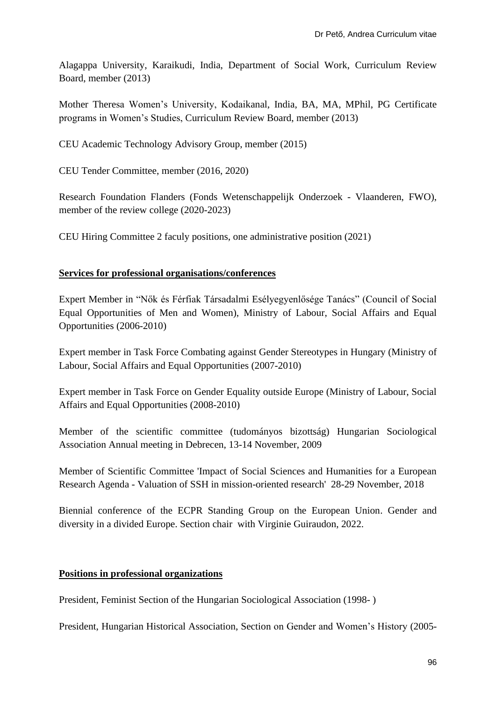Alagappa University, Karaikudi, India, Department of Social Work, Curriculum Review Board, member (2013)

Mother Theresa Women's University, Kodaikanal, India, BA, MA, MPhil, PG Certificate programs in Women's Studies, Curriculum Review Board, member (2013)

CEU Academic Technology Advisory Group, member (2015)

CEU Tender Committee, member (2016, 2020)

Research Foundation Flanders (Fonds Wetenschappelijk Onderzoek - Vlaanderen, FWO), member of the review college (2020-2023)

CEU Hiring Committee 2 faculy positions, one administrative position (2021)

# **Services for professional organisations/conferences**

Expert Member in "Nők és Férfiak Társadalmi Esélyegyenlősége Tanács" (Council of Social Equal Opportunities of Men and Women), Ministry of Labour, Social Affairs and Equal Opportunities (2006-2010)

Expert member in Task Force Combating against Gender Stereotypes in Hungary (Ministry of Labour, Social Affairs and Equal Opportunities (2007-2010)

Expert member in Task Force on Gender Equality outside Europe (Ministry of Labour, Social Affairs and Equal Opportunities (2008-2010)

Member of the scientific committee (tudományos bizottság) Hungarian Sociological Association Annual meeting in Debrecen, 13-14 November, 2009

Member of Scientific Committee 'Impact of Social Sciences and Humanities for a European Research Agenda - Valuation of SSH in mission-oriented research' 28-29 November, 2018

Biennial conference of the ECPR Standing Group on the European Union. Gender and diversity in a divided Europe. Section chair with Virginie Guiraudon, 2022.

## **Positions in professional organizations**

President, Feminist Section of the Hungarian Sociological Association (1998- )

President, Hungarian Historical Association, Section on Gender and Women's History (2005-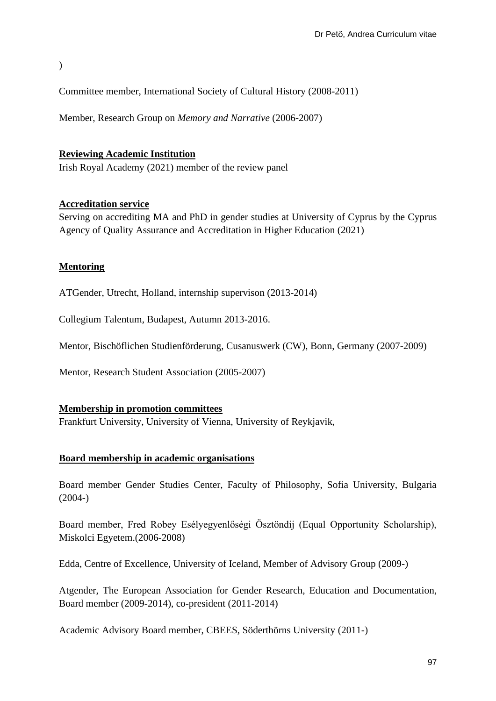)

Committee member, International Society of Cultural History (2008-2011)

Member, Research Group on *Memory and Narrative* (2006-2007)

### **Reviewing Academic Institution**

Irish Royal Academy (2021) member of the review panel

### **Accreditation service**

Serving on accrediting MA and PhD in gender studies at University of Cyprus by the Cyprus Agency of Quality Assurance and Accreditation in Higher Education (2021)

### **Mentoring**

ATGender, Utrecht, Holland, internship supervison (2013-2014)

Collegium Talentum, Budapest, Autumn 2013-2016.

Mentor, Bischöflichen Studienförderung, Cusanuswerk (CW), Bonn, Germany (2007-2009)

Mentor, Research Student Association (2005-2007)

#### **Membership in promotion committees**

Frankfurt University, University of Vienna, University of Reykjavik,

#### **Board membership in academic organisations**

Board member Gender Studies Center, Faculty of Philosophy, Sofia University, Bulgaria (2004-)

Board member, Fred Robey Esélyegyenlőségi Ösztöndij (Equal Opportunity Scholarship), Miskolci Egyetem.(2006-2008)

Edda, Centre of Excellence, University of Iceland, Member of Advisory Group (2009-)

Atgender, The European Association for Gender Research, Education and Documentation, Board member (2009-2014), co-president (2011-2014)

Academic Advisory Board member, CBEES, Söderthörns University (2011-)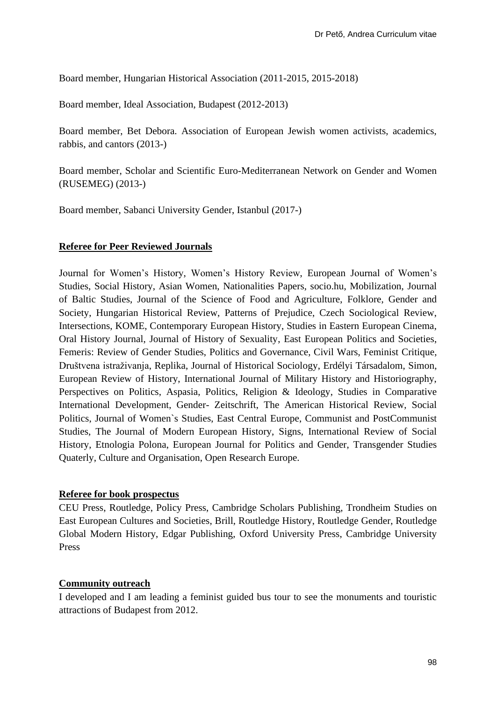Board member, Hungarian Historical Association (2011-2015, 2015-2018)

Board member, Ideal Association, Budapest (2012-2013)

Board member, Bet Debora. Association of European Jewish women activists, academics, rabbis, and cantors (2013-)

Board member, Scholar and Scientific Euro-Mediterranean Network on Gender and Women (RUSEMEG) (2013-)

Board member, Sabanci University Gender, Istanbul (2017-)

#### **Referee for Peer Reviewed Journals**

Journal for Women's History, Women's History Review, European Journal of Women's Studies, Social History, Asian Women, Nationalities Papers, socio.hu, Mobilization, Journal of Baltic Studies, Journal of the Science of Food and Agriculture, Folklore, Gender and Society, Hungarian Historical Review, Patterns of Prejudice, Czech Sociological Review, Intersections, KOME, Contemporary European History, Studies in Eastern European Cinema, Oral History Journal, Journal of History of Sexuality, East European Politics and Societies, Femeris: Review of Gender Studies, Politics and Governance, Civil Wars, Feminist Critique, Društvena istraživanja, Replika, Journal of Historical Sociology, Erdélyi Társadalom, Simon, European Review of History, International Journal of Military History and Historiography, Perspectives on Politics, Aspasia, Politics, Religion & Ideology, Studies in Comparative International Development, Gender- Zeitschrift, The American Historical Review, Social Politics, Journal of Women`s Studies, East Central Europe, Communist and PostCommunist Studies, The Journal of Modern European History, Signs, International Review of Social History, Etnologia Polona, European Journal for Politics and Gender, Transgender Studies Quaterly, Culture and Organisation, Open Research Europe.

#### **Referee for book prospectus**

CEU Press, Routledge, Policy Press, Cambridge Scholars Publishing, Trondheim Studies on East European Cultures and Societies, Brill, Routledge History, Routledge Gender, Routledge Global Modern History, Edgar Publishing, Oxford University Press, Cambridge University Press

#### **Community outreach**

I developed and I am leading a feminist guided bus tour to see the monuments and touristic attractions of Budapest from 2012.